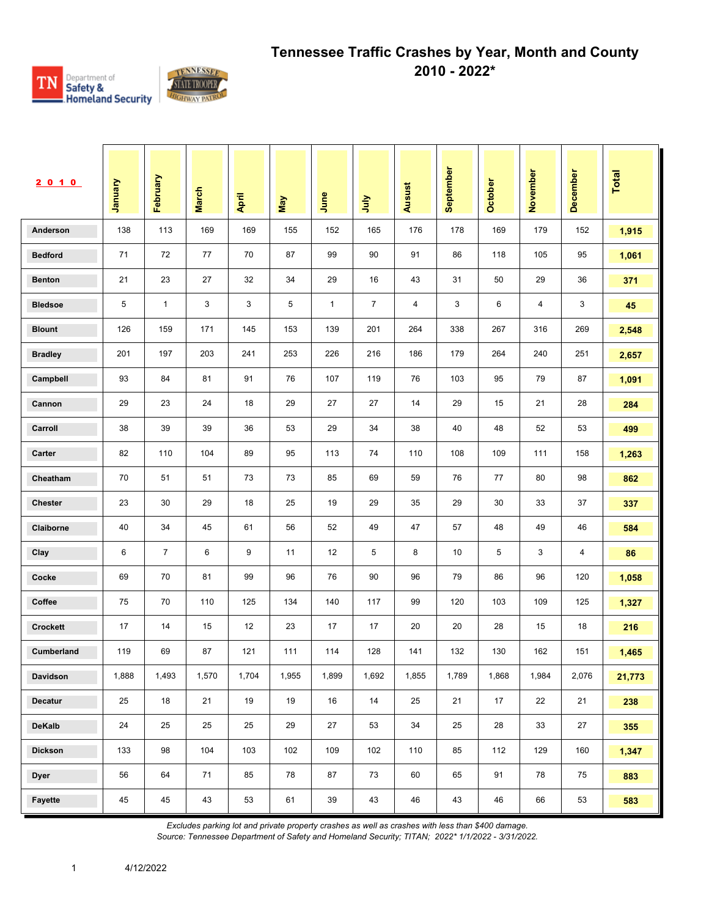

| 2010            | Vanuary | February       | <b>March</b> | April | May   | June         | <b>S</b>       | Ausust | September | October | November | December | Total  |
|-----------------|---------|----------------|--------------|-------|-------|--------------|----------------|--------|-----------|---------|----------|----------|--------|
| Anderson        | 138     | 113            | 169          | 169   | 155   | 152          | 165            | 176    | 178       | 169     | 179      | 152      | 1,915  |
| <b>Bedford</b>  | 71      | 72             | 77           | 70    | 87    | 99           | 90             | 91     | 86        | 118     | 105      | 95       | 1,061  |
| <b>Benton</b>   | 21      | 23             | 27           | 32    | 34    | 29           | 16             | 43     | 31        | 50      | 29       | 36       | 371    |
| <b>Bledsoe</b>  | 5       | $\mathbf{1}$   | 3            | 3     | 5     | $\mathbf{1}$ | $\overline{7}$ | 4      | 3         | 6       | 4        | 3        | 45     |
| <b>Blount</b>   | 126     | 159            | 171          | 145   | 153   | 139          | 201            | 264    | 338       | 267     | 316      | 269      | 2,548  |
| <b>Bradley</b>  | 201     | 197            | 203          | 241   | 253   | 226          | 216            | 186    | 179       | 264     | 240      | 251      | 2,657  |
| Campbell        | 93      | 84             | 81           | 91    | 76    | 107          | 119            | 76     | 103       | 95      | 79       | 87       | 1,091  |
| Cannon          | 29      | 23             | 24           | 18    | 29    | 27           | 27             | 14     | 29        | 15      | 21       | 28       | 284    |
| Carroll         | 38      | 39             | 39           | 36    | 53    | 29           | 34             | 38     | 40        | 48      | 52       | 53       | 499    |
| Carter          | 82      | 110            | 104          | 89    | 95    | 113          | 74             | 110    | 108       | 109     | 111      | 158      | 1,263  |
| Cheatham        | 70      | 51             | 51           | 73    | 73    | 85           | 69             | 59     | 76        | 77      | 80       | 98       | 862    |
| Chester         | 23      | 30             | 29           | 18    | 25    | 19           | 29             | 35     | 29        | 30      | 33       | 37       | 337    |
| Claiborne       | 40      | 34             | 45           | 61    | 56    | 52           | 49             | 47     | 57        | 48      | 49       | 46       | 584    |
| Clay            | 6       | $\overline{7}$ | 6            | 9     | 11    | 12           | 5              | 8      | 10        | 5       | 3        | 4        | 86     |
| Cocke           | 69      | 70             | 81           | 99    | 96    | 76           | 90             | 96     | 79        | 86      | 96       | 120      | 1,058  |
| Coffee          | 75      | 70             | 110          | 125   | 134   | 140          | 117            | 99     | 120       | 103     | 109      | 125      | 1,327  |
| <b>Crockett</b> | 17      | 14             | 15           | 12    | 23    | 17           | 17             | 20     | 20        | 28      | 15       | 18       | 216    |
| Cumberland      | 119     | 69             | 87           | 121   | 111   | 114          | 128            | 141    | 132       | 130     | 162      | 151      | 1,465  |
| Davidson        | 1,888   | 1,493          | 1,570        | 1,704 | 1,955 | 1,899        | 1,692          | 1,855  | 1,789     | 1,868   | 1,984    | 2,076    | 21,773 |
| <b>Decatur</b>  | 25      | 18             | 21           | 19    | 19    | 16           | 14             | 25     | 21        | 17      | 22       | 21       | 238    |
| <b>DeKalb</b>   | 24      | 25             | 25           | 25    | 29    | 27           | 53             | $34\,$ | 25        | 28      | 33       | $27\,$   | 355    |
| <b>Dickson</b>  | 133     | 98             | 104          | 103   | 102   | 109          | 102            | 110    | 85        | 112     | 129      | 160      | 1,347  |
| <b>Dyer</b>     | 56      | 64             | 71           | 85    | 78    | 87           | 73             | 60     | 65        | 91      | 78       | 75       | 883    |
| Fayette         | 45      | 45             | 43           | 53    | 61    | 39           | 43             | 46     | 43        | 46      | 66       | 53       | 583    |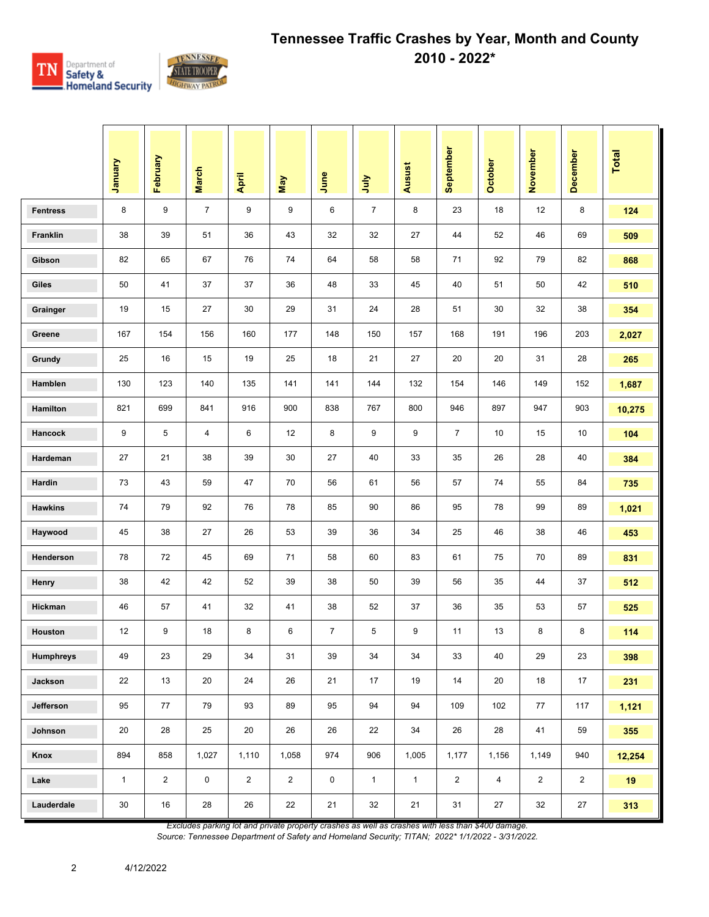

|                  | Vienuary     | February       | <b>March</b>   | April          | May            | June           | ήη             | Ausust       | September      | <b>October</b> | November       | December       | Total  |
|------------------|--------------|----------------|----------------|----------------|----------------|----------------|----------------|--------------|----------------|----------------|----------------|----------------|--------|
| <b>Fentress</b>  | 8            | 9              | $\overline{7}$ | 9              | 9              | 6              | $\overline{7}$ | 8            | 23             | 18             | 12             | 8              | 124    |
| Franklin         | 38           | 39             | 51             | 36             | 43             | 32             | 32             | 27           | 44             | 52             | 46             | 69             | 509    |
| Gibson           | 82           | 65             | 67             | 76             | 74             | 64             | 58             | 58           | 71             | 92             | 79             | 82             | 868    |
| Giles            | 50           | 41             | 37             | 37             | 36             | 48             | 33             | 45           | 40             | 51             | 50             | 42             | 510    |
| Grainger         | 19           | 15             | 27             | 30             | 29             | 31             | 24             | 28           | 51             | 30             | 32             | 38             | 354    |
| Greene           | 167          | 154            | 156            | 160            | 177            | 148            | 150            | 157          | 168            | 191            | 196            | 203            | 2,027  |
| Grundy           | 25           | 16             | 15             | 19             | 25             | 18             | 21             | 27           | 20             | 20             | 31             | 28             | 265    |
| Hamblen          | 130          | 123            | 140            | 135            | 141            | 141            | 144            | 132          | 154            | 146            | 149            | 152            | 1,687  |
| Hamilton         | 821          | 699            | 841            | 916            | 900            | 838            | 767            | 800          | 946            | 897            | 947            | 903            | 10,275 |
| <b>Hancock</b>   | 9            | 5              | 4              | 6              | 12             | 8              | 9              | 9            | $\overline{7}$ | 10             | 15             | 10             | 104    |
| Hardeman         | 27           | 21             | 38             | 39             | 30             | 27             | 40             | 33           | 35             | 26             | 28             | 40             | 384    |
| Hardin           | 73           | 43             | 59             | 47             | 70             | 56             | 61             | 56           | 57             | 74             | 55             | 84             | 735    |
| <b>Hawkins</b>   | 74           | 79             | 92             | 76             | 78             | 85             | 90             | 86           | 95             | 78             | 99             | 89             | 1,021  |
| Haywood          | 45           | 38             | 27             | 26             | 53             | 39             | 36             | 34           | 25             | 46             | 38             | 46             | 453    |
| Henderson        | 78           | 72             | 45             | 69             | 71             | 58             | 60             | 83           | 61             | 75             | 70             | 89             | 831    |
| Henry            | 38           | 42             | 42             | 52             | 39             | 38             | 50             | 39           | 56             | 35             | 44             | 37             | 512    |
| Hickman          | 46           | 57             | 41             | 32             | 41             | 38             | 52             | 37           | 36             | 35             | 53             | 57             | 525    |
| Houston          | 12           | 9              | 18             | 8              | 6              | $\overline{7}$ | 5              | 9            | 11             | 13             | 8              | 8              | 114    |
| <b>Humphreys</b> | 49           | 23             | 29             | 34             | 31             | 39             | 34             | 34           | 33             | 40             | 29             | 23             | 398    |
| Jackson          | 22           | 13             | 20             | 24             | 26             | 21             | 17             | 19           | 14             | 20             | 18             | 17             | 231    |
| Jefferson        | 95           | 77             | 79             | 93             | 89             | 95             | 94             | 94           | 109            | 102            | 77             | 117            | 1,121  |
| Johnson          | 20           | $28\,$         | 25             | $20\,$         | 26             | 26             | 22             | 34           | 26             | 28             | 41             | 59             | 355    |
| Knox             | 894          | 858            | 1,027          | 1,110          | 1,058          | 974            | 906            | 1,005        | 1,177          | 1,156          | 1,149          | 940            | 12,254 |
| Lake             | $\mathbf{1}$ | $\overline{2}$ | $\pmb{0}$      | $\overline{2}$ | $\overline{2}$ | $\mathsf 0$    | $\mathbf{1}$   | $\mathbf{1}$ | $\overline{2}$ | $\overline{4}$ | $\overline{2}$ | $\overline{2}$ | 19     |
| Lauderdale       | $30\,$       | $16\,$         | 28             | 26             | 22             | 21             | 32             | 21           | 31             | 27             | 32             | 27             | 313    |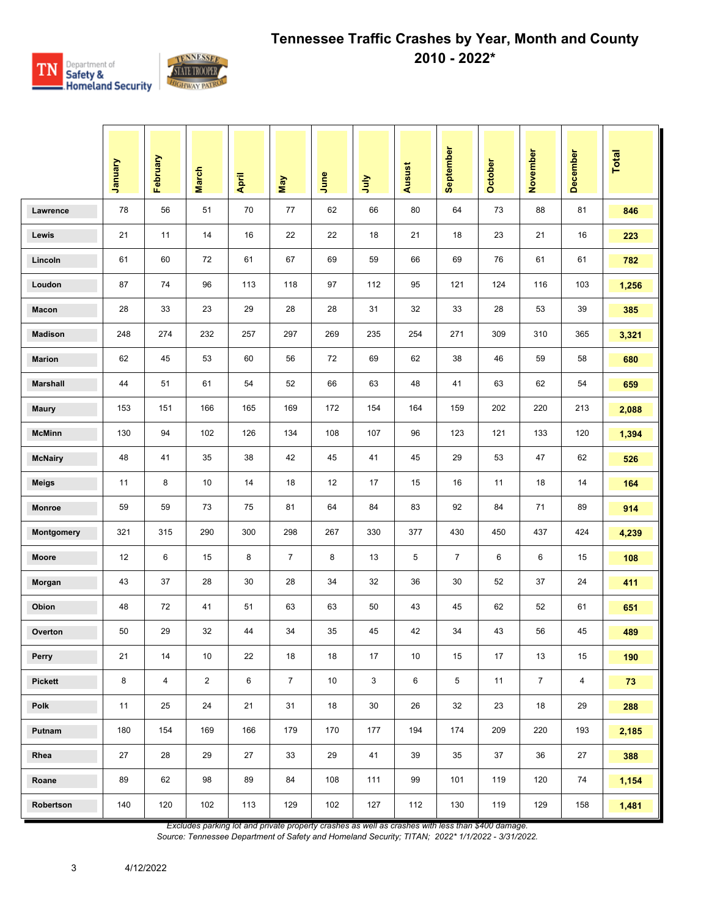

|                 | Vienuary | February       | <b>March</b>   | April | May            | June            | <b>Surr</b> | Ausust | September      | October | November       | December       | <b>Total</b> |
|-----------------|----------|----------------|----------------|-------|----------------|-----------------|-------------|--------|----------------|---------|----------------|----------------|--------------|
| Lawrence        | 78       | 56             | 51             | 70    | 77             | 62              | 66          | 80     | 64             | 73      | 88             | 81             | 846          |
| Lewis           | 21       | 11             | 14             | 16    | 22             | 22              | 18          | 21     | 18             | 23      | 21             | 16             | 223          |
| Lincoln         | 61       | 60             | 72             | 61    | 67             | 69              | 59          | 66     | 69             | 76      | 61             | 61             | 782          |
| Loudon          | 87       | 74             | 96             | 113   | 118            | 97              | 112         | 95     | 121            | 124     | 116            | 103            | 1,256        |
| Macon           | 28       | 33             | 23             | 29    | 28             | 28              | 31          | 32     | 33             | 28      | 53             | 39             | 385          |
| <b>Madison</b>  | 248      | 274            | 232            | 257   | 297            | 269             | 235         | 254    | 271            | 309     | 310            | 365            | 3,321        |
| <b>Marion</b>   | 62       | 45             | 53             | 60    | 56             | 72              | 69          | 62     | 38             | 46      | 59             | 58             | 680          |
| <b>Marshall</b> | 44       | 51             | 61             | 54    | 52             | 66              | 63          | 48     | 41             | 63      | 62             | 54             | 659          |
| <b>Maury</b>    | 153      | 151            | 166            | 165   | 169            | 172             | 154         | 164    | 159            | 202     | 220            | 213            | 2,088        |
| <b>McMinn</b>   | 130      | 94             | 102            | 126   | 134            | 108             | 107         | 96     | 123            | 121     | 133            | 120            | 1,394        |
| <b>McNairy</b>  | 48       | 41             | 35             | 38    | 42             | 45              | 41          | 45     | 29             | 53      | 47             | 62             | 526          |
| <b>Meigs</b>    | 11       | 8              | 10             | 14    | 18             | 12              | 17          | 15     | 16             | 11      | 18             | 14             | 164          |
| Monroe          | 59       | 59             | 73             | 75    | 81             | 64              | 84          | 83     | 92             | 84      | 71             | 89             | 914          |
| Montgomery      | 321      | 315            | 290            | 300   | 298            | 267             | 330         | 377    | 430            | 450     | 437            | 424            | 4,239        |
| <b>Moore</b>    | 12       | 6              | 15             | 8     | $\overline{7}$ | 8               | 13          | 5      | $\overline{7}$ | 6       | 6              | 15             | 108          |
| Morgan          | 43       | 37             | 28             | 30    | 28             | 34              | 32          | 36     | 30             | 52      | 37             | 24             | 411          |
| Obion           | 48       | 72             | 41             | 51    | 63             | 63              | 50          | 43     | 45             | 62      | 52             | 61             | 651          |
| Overton         | 50       | 29             | 32             | 44    | 34             | 35              | 45          | 42     | 34             | 43      | 56             | 45             | 489          |
| Perry           | 21       | 14             | 10             | 22    | 18             | 18              | 17          | 10     | 15             | 17      | 13             | 15             | 190          |
| <b>Pickett</b>  | 8        | $\overline{4}$ | $\overline{2}$ | 6     | $\overline{7}$ | 10 <sup>°</sup> | 3           | 6      | 5              | 11      | $\overline{7}$ | $\overline{4}$ | 73           |
| Polk            | 11       | 25             | 24             | 21    | 31             | 18              | 30          | 26     | 32             | 23      | 18             | 29             | 288          |
| Putnam          | 180      | 154            | 169            | 166   | 179            | 170             | 177         | 194    | 174            | 209     | 220            | 193            | 2,185        |
| Rhea            | 27       | 28             | 29             | 27    | 33             | 29              | 41          | 39     | 35             | 37      | 36             | 27             | 388          |
| Roane           | 89       | 62             | 98             | 89    | 84             | 108             | 111         | 99     | 101            | 119     | 120            | 74             | 1,154        |
| Robertson       | 140      | 120            | 102            | 113   | 129            | 102             | 127         | 112    | 130            | 119     | 129            | 158            | 1,481        |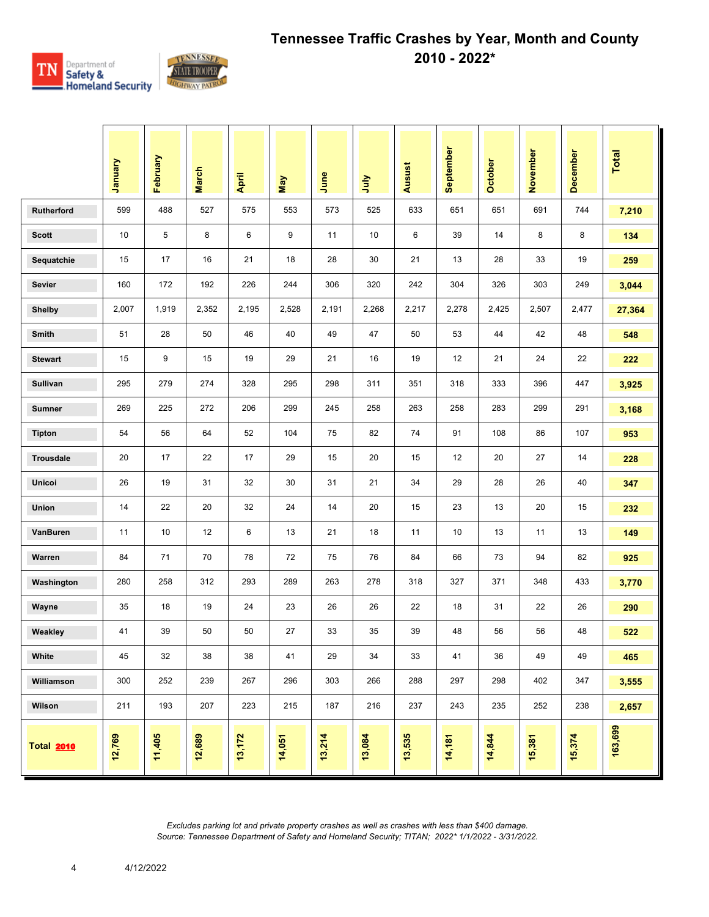

|                   | Vienuary | February         | <b>March</b> | April  | Nay    | June   | <b>Surt</b> | Ausust | September | October | November | <b>December</b> | Total   |
|-------------------|----------|------------------|--------------|--------|--------|--------|-------------|--------|-----------|---------|----------|-----------------|---------|
| <b>Rutherford</b> | 599      | 488              | 527          | 575    | 553    | 573    | 525         | 633    | 651       | 651     | 691      | 744             | 7,210   |
| <b>Scott</b>      | 10       | 5                | 8            | 6      | 9      | 11     | 10          | 6      | 39        | 14      | 8        | 8               | 134     |
| Sequatchie        | 15       | 17               | 16           | 21     | 18     | 28     | 30          | 21     | 13        | 28      | 33       | 19              | 259     |
| <b>Sevier</b>     | 160      | 172              | 192          | 226    | 244    | 306    | 320         | 242    | 304       | 326     | 303      | 249             | 3,044   |
| <b>Shelby</b>     | 2,007    | 1,919            | 2,352        | 2,195  | 2,528  | 2,191  | 2,268       | 2,217  | 2,278     | 2,425   | 2,507    | 2,477           | 27,364  |
| <b>Smith</b>      | 51       | 28               | 50           | 46     | 40     | 49     | 47          | 50     | 53        | 44      | 42       | 48              | 548     |
| <b>Stewart</b>    | 15       | 9                | 15           | 19     | 29     | 21     | 16          | 19     | 12        | 21      | 24       | 22              | 222     |
| <b>Sullivan</b>   | 295      | 279              | 274          | 328    | 295    | 298    | 311         | 351    | 318       | 333     | 396      | 447             | 3,925   |
| <b>Sumner</b>     | 269      | 225              | 272          | 206    | 299    | 245    | 258         | 263    | 258       | 283     | 299      | 291             | 3,168   |
| <b>Tipton</b>     | 54       | 56               | 64           | 52     | 104    | 75     | 82          | 74     | 91        | 108     | 86       | 107             | 953     |
| <b>Trousdale</b>  | 20       | 17               | 22           | 17     | 29     | 15     | 20          | 15     | 12        | 20      | 27       | 14              | 228     |
| <b>Unicoi</b>     | 26       | 19               | 31           | 32     | 30     | 31     | 21          | 34     | 29        | 28      | 26       | 40              | 347     |
| <b>Union</b>      | 14       | 22               | 20           | 32     | 24     | 14     | 20          | 15     | 23        | 13      | 20       | 15              | 232     |
| VanBuren          | 11       | 10 <sup>10</sup> | 12           | 6      | 13     | 21     | 18          | 11     | 10        | 13      | 11       | 13              | 149     |
| Warren            | 84       | 71               | 70           | 78     | 72     | 75     | 76          | 84     | 66        | 73      | 94       | 82              | 925     |
| Washington        | 280      | 258              | 312          | 293    | 289    | 263    | 278         | 318    | 327       | 371     | 348      | 433             | 3,770   |
| Wayne             | 35       | 18               | 19           | 24     | 23     | 26     | 26          | 22     | 18        | 31      | 22       | 26              | 290     |
| Weakley           | 41       | 39               | 50           | 50     | 27     | 33     | 35          | 39     | 48        | 56      | 56       | 48              | 522     |
| White             | 45       | 32               | 38           | 38     | 41     | 29     | 34          | 33     | 41        | 36      | 49       | 49              | 465     |
| Williamson        | 300      | 252              | 239          | 267    | 296    | 303    | 266         | 288    | 297       | 298     | 402      | 347             | 3,555   |
| Wilson            | 211      | 193              | 207          | 223    | 215    | 187    | 216         | 237    | 243       | 235     | 252      | 238             | 2,657   |
| <b>Total 2010</b> | 12,769   | 11,405           | 12,689       | 13,172 | 14,051 | 13,214 | 13,084      | 13,535 | 14,181    | 14,844  | 15,381   | 15,374          | 163,699 |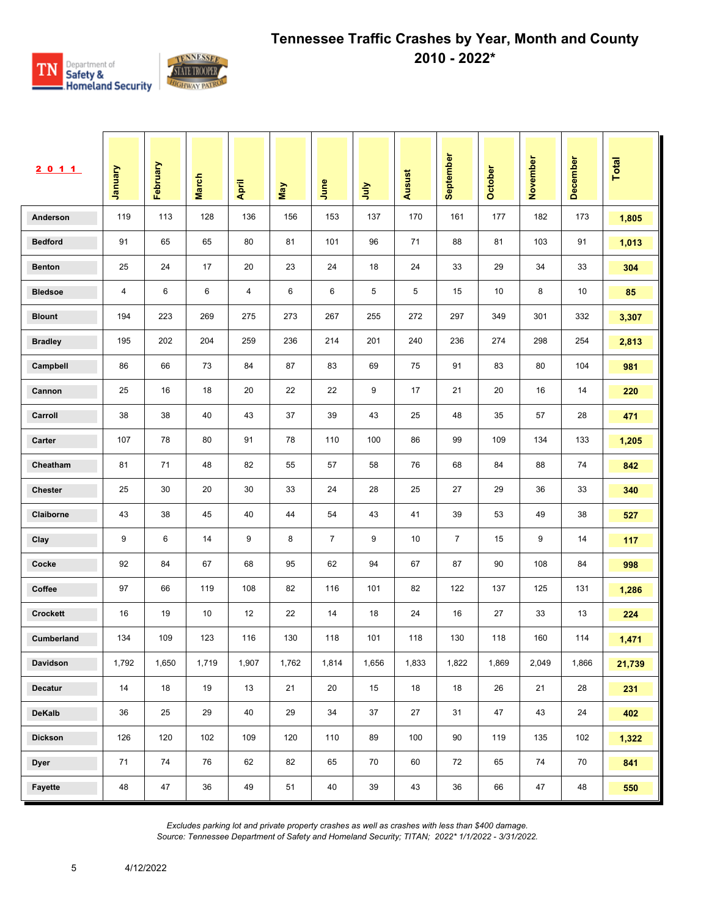

| 2011            | Vanuary | February | <b>March</b> | April | May   | June           | ήη    | Ausust | September      | October | November | December | <b>Total</b> |
|-----------------|---------|----------|--------------|-------|-------|----------------|-------|--------|----------------|---------|----------|----------|--------------|
| Anderson        | 119     | 113      | 128          | 136   | 156   | 153            | 137   | 170    | 161            | 177     | 182      | 173      | 1,805        |
| <b>Bedford</b>  | 91      | 65       | 65           | 80    | 81    | 101            | 96    | 71     | 88             | 81      | 103      | 91       | 1,013        |
| <b>Benton</b>   | 25      | 24       | 17           | 20    | 23    | 24             | 18    | 24     | 33             | 29      | 34       | 33       | 304          |
| <b>Bledsoe</b>  | 4       | 6        | 6            | 4     | 6     | 6              | 5     | 5      | 15             | 10      | 8        | 10       | 85           |
| <b>Blount</b>   | 194     | 223      | 269          | 275   | 273   | 267            | 255   | 272    | 297            | 349     | 301      | 332      | 3,307        |
| <b>Bradley</b>  | 195     | 202      | 204          | 259   | 236   | 214            | 201   | 240    | 236            | 274     | 298      | 254      | 2,813        |
| Campbell        | 86      | 66       | 73           | 84    | 87    | 83             | 69    | 75     | 91             | 83      | 80       | 104      | 981          |
| Cannon          | 25      | 16       | 18           | 20    | 22    | 22             | 9     | 17     | 21             | 20      | 16       | 14       | 220          |
| Carroll         | 38      | 38       | 40           | 43    | 37    | 39             | 43    | 25     | 48             | 35      | 57       | 28       | 471          |
| Carter          | 107     | 78       | 80           | 91    | 78    | 110            | 100   | 86     | 99             | 109     | 134      | 133      | 1,205        |
| Cheatham        | 81      | 71       | 48           | 82    | 55    | 57             | 58    | 76     | 68             | 84      | 88       | 74       | 842          |
| <b>Chester</b>  | 25      | 30       | 20           | 30    | 33    | 24             | 28    | 25     | 27             | 29      | 36       | 33       | 340          |
| Claiborne       | 43      | 38       | 45           | 40    | 44    | 54             | 43    | 41     | 39             | 53      | 49       | 38       | 527          |
| Clay            | 9       | 6        | 14           | 9     | 8     | $\overline{7}$ | 9     | 10     | $\overline{7}$ | 15      | 9        | 14       | 117          |
| Cocke           | 92      | 84       | 67           | 68    | 95    | 62             | 94    | 67     | 87             | 90      | 108      | 84       | 998          |
| Coffee          | 97      | 66       | 119          | 108   | 82    | 116            | 101   | 82     | 122            | 137     | 125      | 131      | 1,286        |
| <b>Crockett</b> | 16      | 19       | 10           | 12    | 22    | 14             | 18    | 24     | 16             | 27      | 33       | 13       | 224          |
| Cumberland      | 134     | 109      | 123          | 116   | 130   | 118            | 101   | 118    | 130            | 118     | 160      | 114      | 1,471        |
| Davidson        | 1,792   | 1,650    | 1,719        | 1,907 | 1,762 | 1,814          | 1,656 | 1,833  | 1,822          | 1,869   | 2,049    | 1,866    | 21,739       |
| Decatur         | 14      | 18       | 19           | 13    | 21    | 20             | 15    | 18     | 18             | 26      | 21       | 28       | 231          |
| DeKalb          | 36      | 25       | 29           | 40    | 29    | 34             | 37    | 27     | 31             | 47      | 43       | 24       | 402          |
| <b>Dickson</b>  | 126     | 120      | 102          | 109   | 120   | 110            | 89    | 100    | 90             | 119     | 135      | 102      | 1,322        |
| <b>Dyer</b>     | 71      | 74       | 76           | 62    | 82    | 65             | 70    | 60     | 72             | 65      | 74       | 70       | 841          |
| Fayette         | 48      | 47       | 36           | 49    | 51    | 40             | 39    | 43     | 36             | 66      | 47       | 48       | 550          |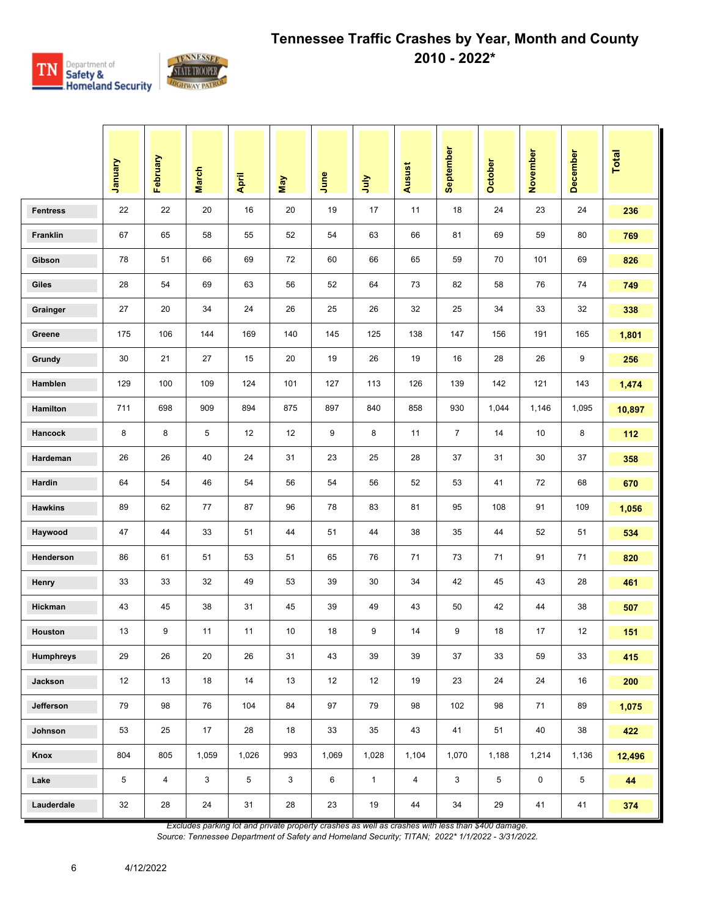

|                  | January | February       | <b>March</b> | April | <b>May</b>   | June  | 言            | Ausust         | September      | October | November | <b>December</b> | Total  |
|------------------|---------|----------------|--------------|-------|--------------|-------|--------------|----------------|----------------|---------|----------|-----------------|--------|
| <b>Fentress</b>  | 22      | 22             | 20           | 16    | 20           | 19    | 17           | 11             | 18             | 24      | 23       | 24              | 236    |
| Franklin         | 67      | 65             | 58           | 55    | 52           | 54    | 63           | 66             | 81             | 69      | 59       | 80              | 769    |
| Gibson           | 78      | 51             | 66           | 69    | 72           | 60    | 66           | 65             | 59             | 70      | 101      | 69              | 826    |
| Giles            | 28      | 54             | 69           | 63    | 56           | 52    | 64           | 73             | 82             | 58      | 76       | 74              | 749    |
| Grainger         | 27      | 20             | 34           | 24    | 26           | 25    | 26           | 32             | 25             | 34      | 33       | 32              | 338    |
| Greene           | 175     | 106            | 144          | 169   | 140          | 145   | 125          | 138            | 147            | 156     | 191      | 165             | 1,801  |
| Grundy           | 30      | 21             | 27           | 15    | 20           | 19    | 26           | 19             | 16             | 28      | 26       | 9               | 256    |
| Hamblen          | 129     | 100            | 109          | 124   | 101          | 127   | 113          | 126            | 139            | 142     | 121      | 143             | 1,474  |
| Hamilton         | 711     | 698            | 909          | 894   | 875          | 897   | 840          | 858            | 930            | 1,044   | 1,146    | 1,095           | 10,897 |
| Hancock          | 8       | 8              | 5            | 12    | 12           | 9     | 8            | 11             | $\overline{7}$ | 14      | 10       | 8               | 112    |
| Hardeman         | 26      | 26             | 40           | 24    | 31           | 23    | 25           | 28             | 37             | 31      | 30       | 37              | 358    |
| Hardin           | 64      | 54             | 46           | 54    | 56           | 54    | 56           | 52             | 53             | 41      | 72       | 68              | 670    |
| <b>Hawkins</b>   | 89      | 62             | 77           | 87    | 96           | 78    | 83           | 81             | 95             | 108     | 91       | 109             | 1,056  |
| Haywood          | 47      | 44             | 33           | 51    | 44           | 51    | 44           | 38             | 35             | 44      | 52       | 51              | 534    |
| Henderson        | 86      | 61             | 51           | 53    | 51           | 65    | 76           | 71             | 73             | 71      | 91       | 71              | 820    |
| Henry            | 33      | 33             | 32           | 49    | 53           | 39    | 30           | 34             | 42             | 45      | 43       | 28              | 461    |
| Hickman          | 43      | 45             | 38           | 31    | 45           | 39    | 49           | 43             | 50             | 42      | 44       | 38              | 507    |
| Houston          | 13      | 9              | 11           | 11    | 10           | 18    | 9            | 14             | 9              | 18      | 17       | 12              | 151    |
| <b>Humphreys</b> | 29      | 26             | 20           | 26    | 31           | 43    | 39           | 39             | 37             | 33      | 59       | 33              | 415    |
| Jackson          | 12      | 13             | 18           | 14    | 13           | 12    | 12           | 19             | 23             | 24      | 24       | 16              | 200    |
| Jefferson        | 79      | 98             | 76           | 104   | 84           | 97    | 79           | 98             | 102            | 98      | 71       | 89              | 1,075  |
| Johnson          | 53      | 25             | 17           | 28    | 18           | 33    | 35           | 43             | 41             | 51      | 40       | 38              | 422    |
| Knox             | 804     | 805            | 1,059        | 1,026 | 993          | 1,069 | 1,028        | 1,104          | 1,070          | 1,188   | 1,214    | 1,136           | 12,496 |
| Lake             | 5       | $\overline{4}$ | 3            | 5     | $\mathbf{3}$ | 6     | $\mathbf{1}$ | $\overline{4}$ | 3              | 5       | 0        | 5               | 44     |
| Lauderdale       | 32      | 28             | 24           | 31    | ${\bf 28}$   | 23    | 19           | 44             | 34             | 29      | 41       | 41              | 374    |

*Excludes parking lot and private property crashes as well as crashes with less than \$400 damage.*

*Source: Tennessee Department of Safety and Homeland Security; TITAN; 2022\* 1/1/2022 - 3/31/2022.*

6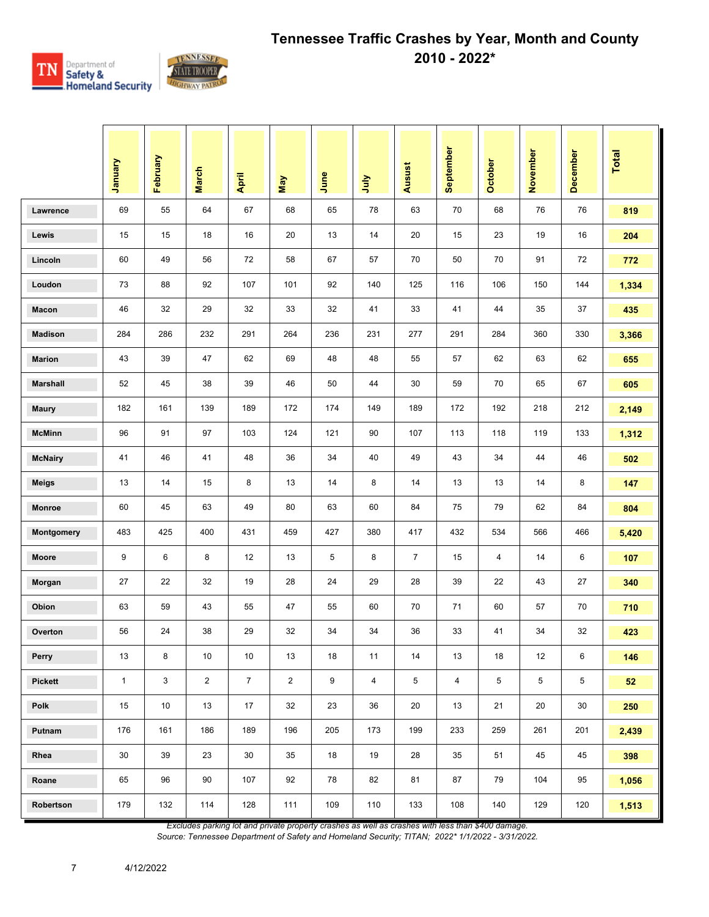

|                 | Vienuary     | February     | <b>March</b>   | April          | May            | June | July | <b>Ausust</b>  | September      | <b>October</b> | November | December   | <b>Total</b> |
|-----------------|--------------|--------------|----------------|----------------|----------------|------|------|----------------|----------------|----------------|----------|------------|--------------|
| Lawrence        | 69           | 55           | 64             | 67             | 68             | 65   | 78   | 63             | 70             | 68             | 76       | 76         | 819          |
| Lewis           | 15           | 15           | 18             | 16             | 20             | 13   | 14   | 20             | 15             | 23             | 19       | 16         | 204          |
| Lincoln         | 60           | 49           | 56             | 72             | 58             | 67   | 57   | 70             | 50             | 70             | 91       | 72         | 772          |
| Loudon          | 73           | 88           | 92             | 107            | 101            | 92   | 140  | 125            | 116            | 106            | 150      | 144        | 1,334        |
| Macon           | 46           | 32           | 29             | 32             | 33             | 32   | 41   | 33             | 41             | 44             | 35       | 37         | 435          |
| <b>Madison</b>  | 284          | 286          | 232            | 291            | 264            | 236  | 231  | 277            | 291            | 284            | 360      | 330        | 3,366        |
| <b>Marion</b>   | 43           | 39           | 47             | 62             | 69             | 48   | 48   | 55             | 57             | 62             | 63       | 62         | 655          |
| <b>Marshall</b> | 52           | 45           | 38             | 39             | 46             | 50   | 44   | 30             | 59             | 70             | 65       | 67         | 605          |
| <b>Maury</b>    | 182          | 161          | 139            | 189            | 172            | 174  | 149  | 189            | 172            | 192            | 218      | 212        | 2,149        |
| <b>McMinn</b>   | 96           | 91           | 97             | 103            | 124            | 121  | 90   | 107            | 113            | 118            | 119      | 133        | 1,312        |
| <b>McNairy</b>  | 41           | 46           | 41             | 48             | 36             | 34   | 40   | 49             | 43             | 34             | 44       | 46         | 502          |
| <b>Meigs</b>    | 13           | 14           | 15             | 8              | 13             | 14   | 8    | 14             | 13             | 13             | 14       | 8          | 147          |
| <b>Monroe</b>   | 60           | 45           | 63             | 49             | 80             | 63   | 60   | 84             | 75             | 79             | 62       | 84         | 804          |
| Montgomery      | 483          | 425          | 400            | 431            | 459            | 427  | 380  | 417            | 432            | 534            | 566      | 466        | 5,420        |
| <b>Moore</b>    | 9            | 6            | 8              | 12             | 13             | 5    | 8    | $\overline{7}$ | 15             | 4              | 14       | 6          | 107          |
| Morgan          | 27           | 22           | 32             | 19             | 28             | 24   | 29   | 28             | 39             | 22             | 43       | 27         | 340          |
| Obion           | 63           | 59           | 43             | 55             | 47             | 55   | 60   | 70             | 71             | 60             | 57       | 70         | 710          |
| Overton         | 56           | 24           | 38             | 29             | 32             | 34   | 34   | 36             | 33             | 41             | 34       | 32         | 423          |
| Perry           | 13           | 8            | 10             | 10             | 13             | 18   | 11   | 14             | 13             | 18             | 12       | 6          | 146          |
| Pickett         | $\mathbf{1}$ | $\mathbf{3}$ | $\overline{2}$ | $\overline{7}$ | $\overline{2}$ | 9    | 4    | 5              | $\overline{4}$ | 5              | 5        | $\sqrt{5}$ | 52           |
| Polk            | 15           | 10           | 13             | 17             | 32             | 23   | 36   | 20             | 13             | 21             | 20       | $30\,$     | 250          |
| Putnam          | 176          | 161          | 186            | 189            | 196            | 205  | 173  | 199            | 233            | 259            | 261      | 201        | 2,439        |
| Rhea            | 30           | 39           | 23             | 30             | 35             | 18   | 19   | 28             | 35             | 51             | 45       | 45         | 398          |
| Roane           | 65           | 96           | 90             | 107            | 92             | 78   | 82   | 81             | 87             | 79             | 104      | 95         | 1,056        |
| Robertson       | 179          | 132          | 114            | 128            | 111            | 109  | 110  | 133            | 108            | 140            | 129      | 120        | 1,513        |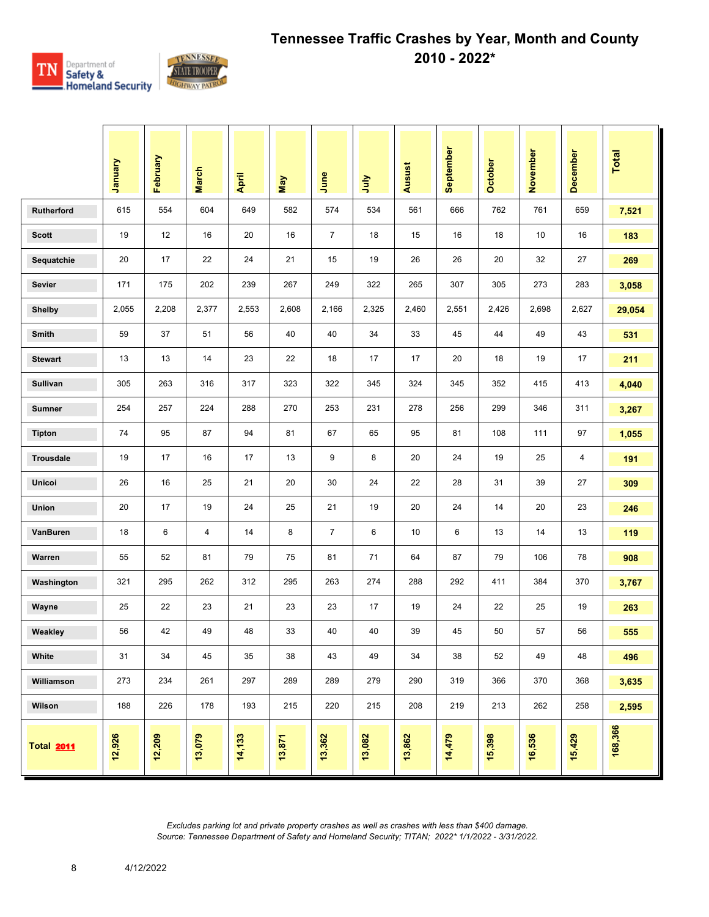

|                   | January | February | <b>March</b> | April  | May    | June           | ήnη    | <b>Ausust</b> | September | October | November | December | <b>Total</b> |
|-------------------|---------|----------|--------------|--------|--------|----------------|--------|---------------|-----------|---------|----------|----------|--------------|
| Rutherford        | 615     | 554      | 604          | 649    | 582    | 574            | 534    | 561           | 666       | 762     | 761      | 659      | 7,521        |
| <b>Scott</b>      | 19      | 12       | 16           | 20     | 16     | $\overline{7}$ | 18     | 15            | 16        | 18      | 10       | 16       | 183          |
| Sequatchie        | 20      | 17       | 22           | 24     | 21     | 15             | 19     | 26            | 26        | 20      | 32       | 27       | 269          |
| <b>Sevier</b>     | 171     | 175      | 202          | 239    | 267    | 249            | 322    | 265           | 307       | 305     | 273      | 283      | 3,058        |
| <b>Shelby</b>     | 2,055   | 2,208    | 2,377        | 2,553  | 2,608  | 2,166          | 2,325  | 2,460         | 2,551     | 2,426   | 2,698    | 2,627    | 29,054       |
| Smith             | 59      | 37       | 51           | 56     | 40     | 40             | 34     | 33            | 45        | 44      | 49       | 43       | 531          |
| <b>Stewart</b>    | 13      | 13       | 14           | 23     | 22     | 18             | 17     | 17            | 20        | 18      | 19       | 17       | 211          |
| Sullivan          | 305     | 263      | 316          | 317    | 323    | 322            | 345    | 324           | 345       | 352     | 415      | 413      | 4,040        |
| <b>Sumner</b>     | 254     | 257      | 224          | 288    | 270    | 253            | 231    | 278           | 256       | 299     | 346      | 311      | 3,267        |
| <b>Tipton</b>     | 74      | 95       | 87           | 94     | 81     | 67             | 65     | 95            | 81        | 108     | 111      | 97       | 1,055        |
| Trousdale         | 19      | 17       | 16           | 17     | 13     | 9              | 8      | 20            | 24        | 19      | 25       | 4        | 191          |
| Unicoi            | 26      | 16       | 25           | 21     | 20     | 30             | 24     | 22            | 28        | 31      | 39       | 27       | 309          |
| Union             | 20      | 17       | 19           | 24     | 25     | 21             | 19     | 20            | 24        | 14      | 20       | 23       | 246          |
| VanBuren          | 18      | 6        | 4            | 14     | 8      | $\overline{7}$ | 6      | 10            | 6         | 13      | 14       | 13       | 119          |
| Warren            | 55      | 52       | 81           | 79     | 75     | 81             | 71     | 64            | 87        | 79      | 106      | 78       | 908          |
| Washington        | 321     | 295      | 262          | 312    | 295    | 263            | 274    | 288           | 292       | 411     | 384      | 370      | 3,767        |
| Wayne             | 25      | 22       | 23           | 21     | 23     | 23             | 17     | 19            | 24        | 22      | 25       | 19       | 263          |
| Weakley           | 56      | 42       | 49           | 48     | 33     | 40             | 40     | 39            | 45        | 50      | 57       | 56       | 555          |
| White             | 31      | 34       | 45           | 35     | 38     | 43             | 49     | 34            | 38        | 52      | 49       | 48       | 496          |
| Williamson        | 273     | 234      | 261          | 297    | 289    | 289            | 279    | 290           | 319       | 366     | 370      | 368      | 3,635        |
| Wilson            | 188     | 226      | 178          | 193    | 215    | 220            | 215    | 208           | 219       | 213     | 262      | 258      | 2,595        |
| <b>Total 2011</b> | 12,926  | 12,209   | 13,079       | 14,133 | 13,871 | 13,362         | 13,082 | 13,862        | 14,479    | 15,398  | 16,536   | 15,429   | 168,366      |

8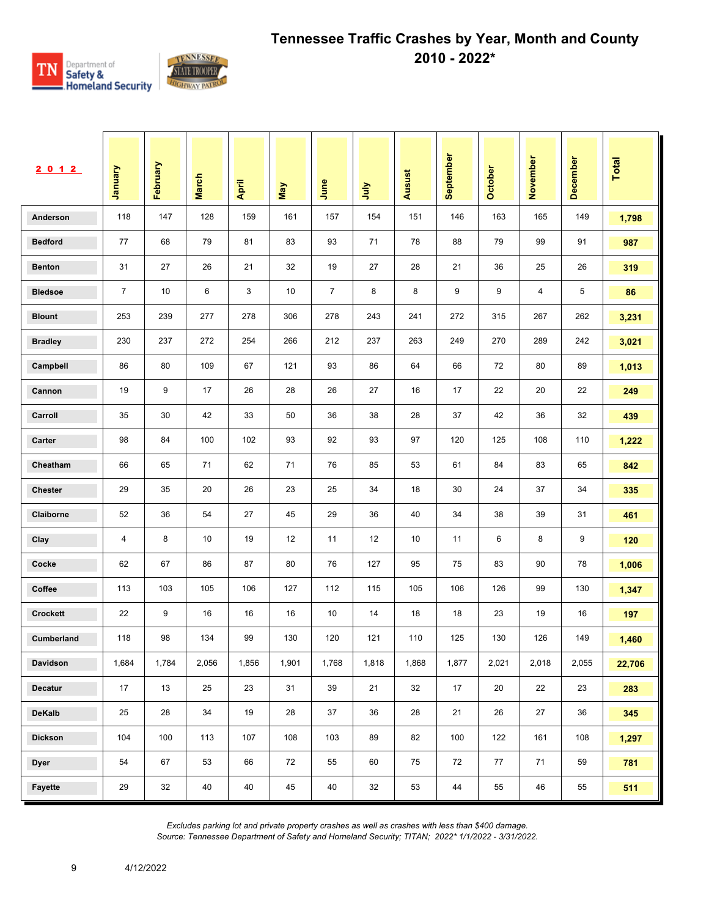

| 2 0 1 2         | Vanuary        | February | <b>March</b> | April | May   | June           | <b>Surt</b> | Ausust | September | October | November | December | <b>Total</b> |
|-----------------|----------------|----------|--------------|-------|-------|----------------|-------------|--------|-----------|---------|----------|----------|--------------|
| Anderson        | 118            | 147      | 128          | 159   | 161   | 157            | 154         | 151    | 146       | 163     | 165      | 149      | 1,798        |
| <b>Bedford</b>  | 77             | 68       | 79           | 81    | 83    | 93             | 71          | 78     | 88        | 79      | 99       | 91       | 987          |
| <b>Benton</b>   | 31             | 27       | 26           | 21    | 32    | 19             | 27          | 28     | 21        | 36      | 25       | 26       | 319          |
| <b>Bledsoe</b>  | $\overline{7}$ | 10       | 6            | 3     | 10    | $\overline{7}$ | 8           | 8      | 9         | 9       | 4        | 5        | 86           |
| <b>Blount</b>   | 253            | 239      | 277          | 278   | 306   | 278            | 243         | 241    | 272       | 315     | 267      | 262      | 3,231        |
| <b>Bradley</b>  | 230            | 237      | 272          | 254   | 266   | 212            | 237         | 263    | 249       | 270     | 289      | 242      | 3,021        |
| Campbell        | 86             | 80       | 109          | 67    | 121   | 93             | 86          | 64     | 66        | 72      | 80       | 89       | 1,013        |
| Cannon          | 19             | 9        | 17           | 26    | 28    | 26             | 27          | 16     | 17        | 22      | 20       | 22       | 249          |
| Carroll         | 35             | 30       | 42           | 33    | 50    | 36             | 38          | 28     | 37        | 42      | 36       | 32       | 439          |
| Carter          | 98             | 84       | 100          | 102   | 93    | 92             | 93          | 97     | 120       | 125     | 108      | 110      | 1,222        |
| Cheatham        | 66             | 65       | 71           | 62    | 71    | 76             | 85          | 53     | 61        | 84      | 83       | 65       | 842          |
| <b>Chester</b>  | 29             | 35       | 20           | 26    | 23    | 25             | 34          | 18     | 30        | 24      | 37       | 34       | 335          |
| Claiborne       | 52             | 36       | 54           | 27    | 45    | 29             | 36          | 40     | 34        | 38      | 39       | 31       | 461          |
| Clay            | 4              | 8        | 10           | 19    | 12    | 11             | 12          | 10     | 11        | 6       | 8        | 9        | 120          |
| Cocke           | 62             | 67       | 86           | 87    | 80    | 76             | 127         | 95     | 75        | 83      | 90       | 78       | 1,006        |
| Coffee          | 113            | 103      | 105          | 106   | 127   | 112            | 115         | 105    | 106       | 126     | 99       | 130      | 1,347        |
| <b>Crockett</b> | 22             | 9        | 16           | 16    | 16    | 10             | 14          | 18     | 18        | 23      | 19       | 16       | 197          |
| Cumberland      | 118            | 98       | 134          | 99    | 130   | 120            | 121         | 110    | 125       | 130     | 126      | 149      | 1,460        |
| Davidson        | 1,684          | 1,784    | 2,056        | 1,856 | 1,901 | 1,768          | 1,818       | 1,868  | 1,877     | 2,021   | 2,018    | 2,055    | 22,706       |
| Decatur         | 17             | 13       | 25           | 23    | 31    | 39             | 21          | 32     | 17        | 20      | 22       | 23       | 283          |
| DeKalb          | 25             | 28       | 34           | 19    | 28    | 37             | 36          | 28     | 21        | 26      | 27       | 36       | 345          |
| <b>Dickson</b>  | 104            | 100      | 113          | 107   | 108   | 103            | 89          | 82     | 100       | 122     | 161      | 108      | 1,297        |
| <b>Dyer</b>     | 54             | 67       | 53           | 66    | 72    | 55             | 60          | 75     | 72        | 77      | 71       | 59       | 781          |
| Fayette         | 29             | 32       | 40           | 40    | 45    | 40             | 32          | 53     | 44        | 55      | 46       | 55       | 511          |

9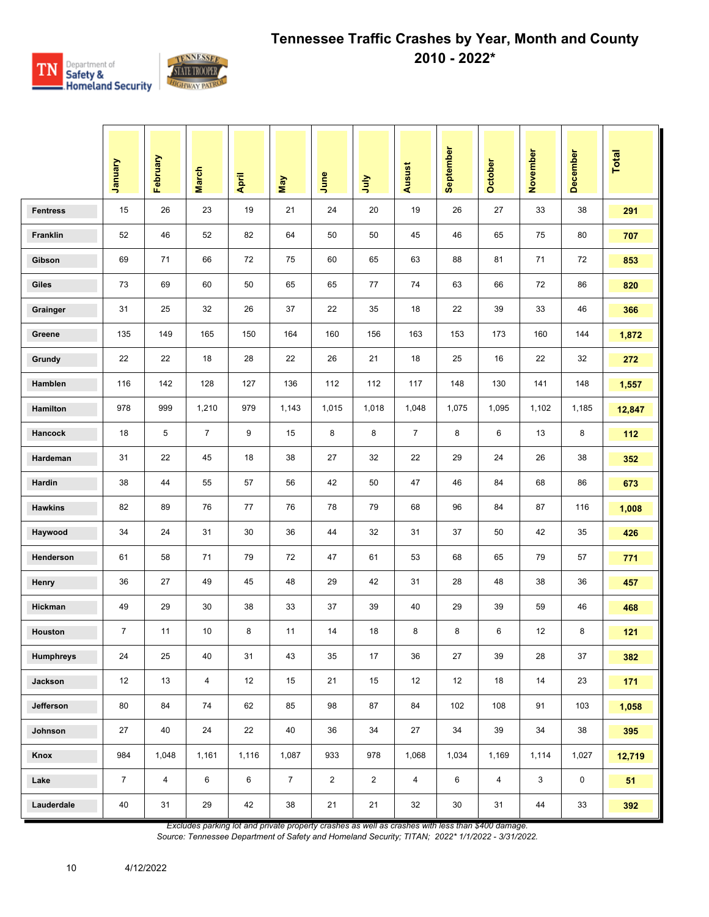

|                  | Vienuary       | February       | <b>March</b>   | April | May            | June           | <b>Surt</b>    | Ausust         | September       | October        | November | December    | <b>Total</b> |
|------------------|----------------|----------------|----------------|-------|----------------|----------------|----------------|----------------|-----------------|----------------|----------|-------------|--------------|
| <b>Fentress</b>  | 15             | 26             | 23             | 19    | 21             | 24             | 20             | 19             | 26              | 27             | 33       | 38          | 291          |
| Franklin         | 52             | 46             | 52             | 82    | 64             | 50             | 50             | 45             | 46              | 65             | 75       | 80          | 707          |
| Gibson           | 69             | 71             | 66             | 72    | 75             | 60             | 65             | 63             | 88              | 81             | 71       | 72          | 853          |
| Giles            | 73             | 69             | 60             | 50    | 65             | 65             | 77             | 74             | 63              | 66             | 72       | 86          | 820          |
| Grainger         | 31             | 25             | 32             | 26    | 37             | 22             | 35             | 18             | 22              | 39             | 33       | 46          | 366          |
| Greene           | 135            | 149            | 165            | 150   | 164            | 160            | 156            | 163            | 153             | 173            | 160      | 144         | 1,872        |
| Grundy           | 22             | 22             | 18             | 28    | 22             | 26             | 21             | 18             | 25              | 16             | 22       | 32          | 272          |
| Hamblen          | 116            | 142            | 128            | 127   | 136            | 112            | 112            | 117            | 148             | 130            | 141      | 148         | 1,557        |
| Hamilton         | 978            | 999            | 1,210          | 979   | 1,143          | 1,015          | 1,018          | 1,048          | 1,075           | 1,095          | 1,102    | 1,185       | 12,847       |
| Hancock          | 18             | 5              | $\overline{7}$ | 9     | 15             | 8              | 8              | $\overline{7}$ | 8               | 6              | 13       | 8           | 112          |
| Hardeman         | 31             | 22             | 45             | 18    | 38             | 27             | 32             | 22             | 29              | 24             | 26       | 38          | 352          |
| Hardin           | 38             | 44             | 55             | 57    | 56             | 42             | 50             | 47             | 46              | 84             | 68       | 86          | 673          |
| <b>Hawkins</b>   | 82             | 89             | 76             | 77    | 76             | 78             | 79             | 68             | 96              | 84             | 87       | 116         | 1,008        |
| Haywood          | 34             | 24             | 31             | 30    | 36             | 44             | 32             | 31             | 37              | 50             | 42       | 35          | 426          |
| Henderson        | 61             | 58             | 71             | 79    | 72             | 47             | 61             | 53             | 68              | 65             | 79       | 57          | 771          |
| Henry            | 36             | 27             | 49             | 45    | 48             | 29             | 42             | 31             | 28              | 48             | 38       | 36          | 457          |
| Hickman          | 49             | 29             | 30             | 38    | 33             | 37             | 39             | 40             | 29              | 39             | 59       | 46          | 468          |
| Houston          | $\overline{7}$ | 11             | 10             | 8     | 11             | 14             | 18             | 8              | 8               | 6              | 12       | 8           | 121          |
| <b>Humphreys</b> | $24\,$         | 25             | 40             | 31    | 43             | 35             | 17             | 36             | 27              | 39             | 28       | $37\,$      | 382          |
| Jackson          | 12             | 13             | $\overline{4}$ | 12    | 15             | 21             | 15             | 12             | 12 <sup>2</sup> | 18             | 14       | 23          | 171          |
| Jefferson        | 80             | 84             | 74             | 62    | 85             | 98             | 87             | 84             | 102             | 108            | 91       | 103         | 1,058        |
| Johnson          | 27             | 40             | 24             | 22    | 40             | 36             | 34             | 27             | 34              | 39             | 34       | 38          | 395          |
| Knox             | 984            | 1,048          | 1,161          | 1,116 | 1,087          | 933            | 978            | 1,068          | 1,034           | 1,169          | 1,114    | 1,027       | 12,719       |
| Lake             | $\overline{7}$ | $\overline{4}$ | 6              | 6     | $\overline{7}$ | $\overline{2}$ | $\overline{2}$ | $\overline{4}$ | 6               | $\overline{4}$ | 3        | $\mathsf 0$ | 51           |
| Lauderdale       | 40             | 31             | 29             | 42    | 38             | 21             | 21             | 32             | 30              | 31             | 44       | 33          | 392          |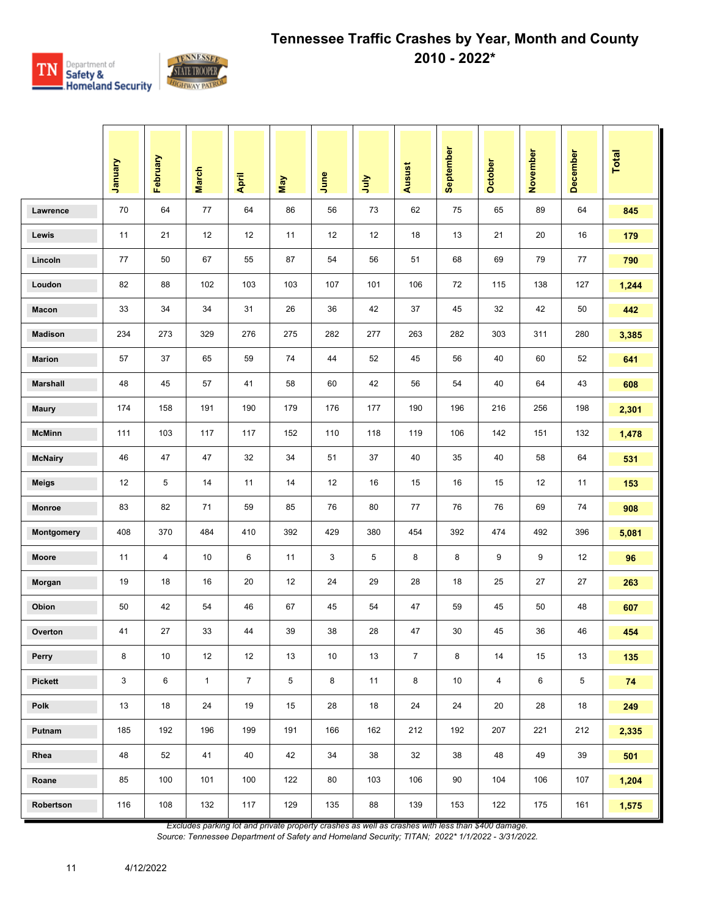

|                 | Vienuary | February       | <b>March</b> | April          | <b>May</b> | June | <b>July</b> | Ausust         | September | <b>October</b> | November | December | Total |
|-----------------|----------|----------------|--------------|----------------|------------|------|-------------|----------------|-----------|----------------|----------|----------|-------|
| Lawrence        | 70       | 64             | 77           | 64             | 86         | 56   | 73          | 62             | 75        | 65             | 89       | 64       | 845   |
| Lewis           | 11       | 21             | 12           | 12             | 11         | 12   | 12          | 18             | 13        | 21             | 20       | 16       | 179   |
| Lincoln         | 77       | 50             | 67           | 55             | 87         | 54   | 56          | 51             | 68        | 69             | 79       | 77       | 790   |
| Loudon          | 82       | 88             | 102          | 103            | 103        | 107  | 101         | 106            | 72        | 115            | 138      | 127      | 1,244 |
| Macon           | 33       | 34             | 34           | 31             | 26         | 36   | 42          | 37             | 45        | 32             | 42       | 50       | 442   |
| <b>Madison</b>  | 234      | 273            | 329          | 276            | 275        | 282  | 277         | 263            | 282       | 303            | 311      | 280      | 3,385 |
| <b>Marion</b>   | 57       | 37             | 65           | 59             | 74         | 44   | 52          | 45             | 56        | 40             | 60       | 52       | 641   |
| <b>Marshall</b> | 48       | 45             | 57           | 41             | 58         | 60   | 42          | 56             | 54        | 40             | 64       | 43       | 608   |
| <b>Maury</b>    | 174      | 158            | 191          | 190            | 179        | 176  | 177         | 190            | 196       | 216            | 256      | 198      | 2,301 |
| <b>McMinn</b>   | 111      | 103            | 117          | 117            | 152        | 110  | 118         | 119            | 106       | 142            | 151      | 132      | 1,478 |
| <b>McNairy</b>  | 46       | 47             | 47           | 32             | 34         | 51   | 37          | 40             | 35        | 40             | 58       | 64       | 531   |
| <b>Meigs</b>    | 12       | 5              | 14           | 11             | 14         | 12   | 16          | 15             | 16        | 15             | 12       | 11       | 153   |
| <b>Monroe</b>   | 83       | 82             | 71           | 59             | 85         | 76   | 80          | 77             | 76        | 76             | 69       | 74       | 908   |
| Montgomery      | 408      | 370            | 484          | 410            | 392        | 429  | 380         | 454            | 392       | 474            | 492      | 396      | 5,081 |
| <b>Moore</b>    | 11       | $\overline{4}$ | 10           | 6              | 11         | 3    | 5           | 8              | 8         | 9              | 9        | 12       | 96    |
| Morgan          | 19       | 18             | 16           | 20             | 12         | 24   | 29          | 28             | 18        | 25             | 27       | 27       | 263   |
| Obion           | 50       | 42             | 54           | 46             | 67         | 45   | 54          | 47             | 59        | 45             | 50       | 48       | 607   |
| Overton         | 41       | 27             | 33           | 44             | 39         | 38   | 28          | 47             | 30        | 45             | 36       | 46       | 454   |
| Perry           | 8        | 10             | 12           | 12             | 13         | 10   | 13          | $\overline{7}$ | 8         | 14             | 15       | 13       | 135   |
| Pickett         | 3        | 6              | $\mathbf{1}$ | $\overline{7}$ | 5          | 8    | 11          | 8              | 10        | $\overline{4}$ | 6        | 5        | 74    |
| Polk            | 13       | 18             | 24           | 19             | 15         | 28   | 18          | 24             | 24        | 20             | 28       | 18       | 249   |
| Putnam          | 185      | 192            | 196          | 199            | 191        | 166  | 162         | 212            | 192       | 207            | 221      | 212      | 2,335 |
| Rhea            | 48       | 52             | 41           | 40             | 42         | 34   | 38          | 32             | 38        | 48             | 49       | 39       | 501   |
| Roane           | 85       | 100            | 101          | 100            | 122        | 80   | 103         | 106            | 90        | 104            | 106      | 107      | 1,204 |
| Robertson       | 116      | 108            | 132          | 117            | 129        | 135  | 88          | 139            | 153       | 122            | 175      | 161      | 1,575 |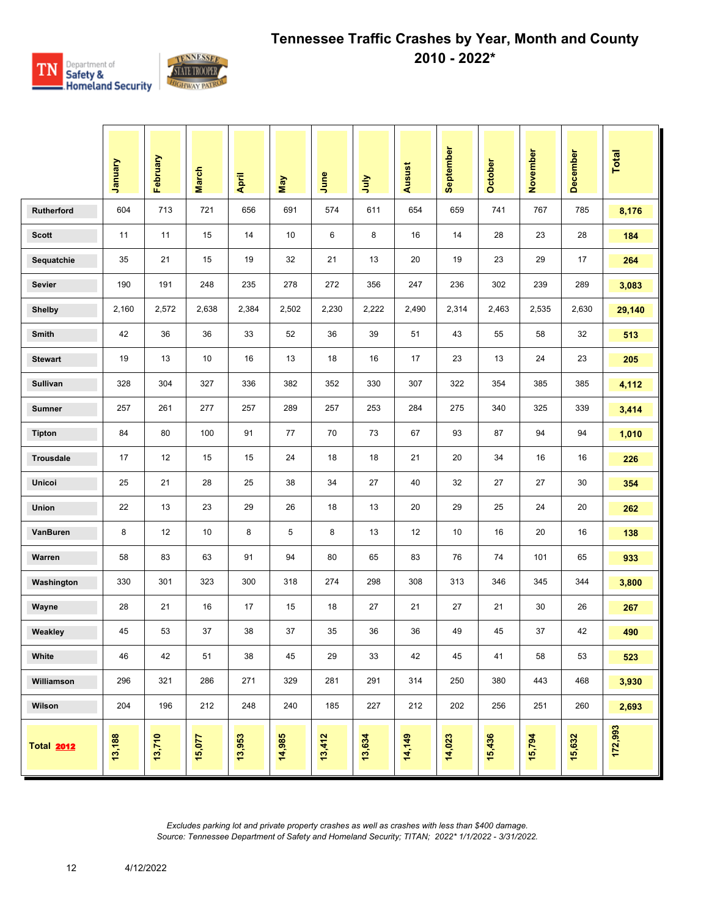

|                   | Vienuary | February | <b>March</b> | April  | Nay    | June   | <b>Surt</b> | Ausust | September | <b>October</b> | November | <b>December</b> | Total   |
|-------------------|----------|----------|--------------|--------|--------|--------|-------------|--------|-----------|----------------|----------|-----------------|---------|
| Rutherford        | 604      | 713      | 721          | 656    | 691    | 574    | 611         | 654    | 659       | 741            | 767      | 785             | 8,176   |
| <b>Scott</b>      | 11       | 11       | 15           | 14     | 10     | 6      | 8           | 16     | 14        | 28             | 23       | 28              | 184     |
| Sequatchie        | 35       | 21       | 15           | 19     | 32     | 21     | 13          | 20     | 19        | 23             | 29       | 17              | 264     |
| Sevier            | 190      | 191      | 248          | 235    | 278    | 272    | 356         | 247    | 236       | 302            | 239      | 289             | 3,083   |
| <b>Shelby</b>     | 2,160    | 2,572    | 2,638        | 2,384  | 2,502  | 2,230  | 2,222       | 2,490  | 2,314     | 2,463          | 2,535    | 2,630           | 29,140  |
| Smith             | 42       | 36       | 36           | 33     | 52     | 36     | 39          | 51     | 43        | 55             | 58       | 32              | 513     |
| <b>Stewart</b>    | 19       | 13       | 10           | 16     | 13     | 18     | 16          | 17     | 23        | 13             | 24       | 23              | 205     |
| Sullivan          | 328      | 304      | 327          | 336    | 382    | 352    | 330         | 307    | 322       | 354            | 385      | 385             | 4,112   |
| <b>Sumner</b>     | 257      | 261      | 277          | 257    | 289    | 257    | 253         | 284    | 275       | 340            | 325      | 339             | 3,414   |
| <b>Tipton</b>     | 84       | 80       | 100          | 91     | 77     | 70     | 73          | 67     | 93        | 87             | 94       | 94              | 1,010   |
| <b>Trousdale</b>  | 17       | 12       | 15           | 15     | 24     | 18     | 18          | 21     | 20        | 34             | 16       | 16              | 226     |
| Unicoi            | 25       | 21       | 28           | 25     | 38     | 34     | 27          | 40     | 32        | 27             | 27       | 30              | 354     |
| <b>Union</b>      | 22       | 13       | 23           | 29     | 26     | 18     | 13          | 20     | 29        | 25             | 24       | 20              | 262     |
| VanBuren          | 8        | 12       | 10           | 8      | 5      | 8      | 13          | 12     | 10        | 16             | 20       | 16              | 138     |
| Warren            | 58       | 83       | 63           | 91     | 94     | 80     | 65          | 83     | 76        | 74             | 101      | 65              | 933     |
| Washington        | 330      | 301      | 323          | 300    | 318    | 274    | 298         | 308    | 313       | 346            | 345      | 344             | 3,800   |
| Wayne             | 28       | 21       | 16           | 17     | 15     | 18     | 27          | 21     | 27        | 21             | 30       | 26              | 267     |
| Weakley           | 45       | 53       | 37           | 38     | 37     | 35     | 36          | 36     | 49        | 45             | 37       | 42              | 490     |
| White             | 46       | 42       | 51           | 38     | 45     | 29     | 33          | 42     | 45        | 41             | 58       | 53              | 523     |
| Williamson        | 296      | 321      | 286          | 271    | 329    | 281    | 291         | 314    | 250       | 380            | 443      | 468             | 3,930   |
| Wilson            | 204      | 196      | 212          | 248    | 240    | 185    | 227         | 212    | 202       | 256            | 251      | 260             | 2,693   |
| <b>Total 2012</b> | 13,188   | 13,710   | 15,077       | 13,953 | 14,985 | 13,412 | 13,634      | 14,149 | 14,023    | 15,436         | 15,794   | 15,632          | 172,993 |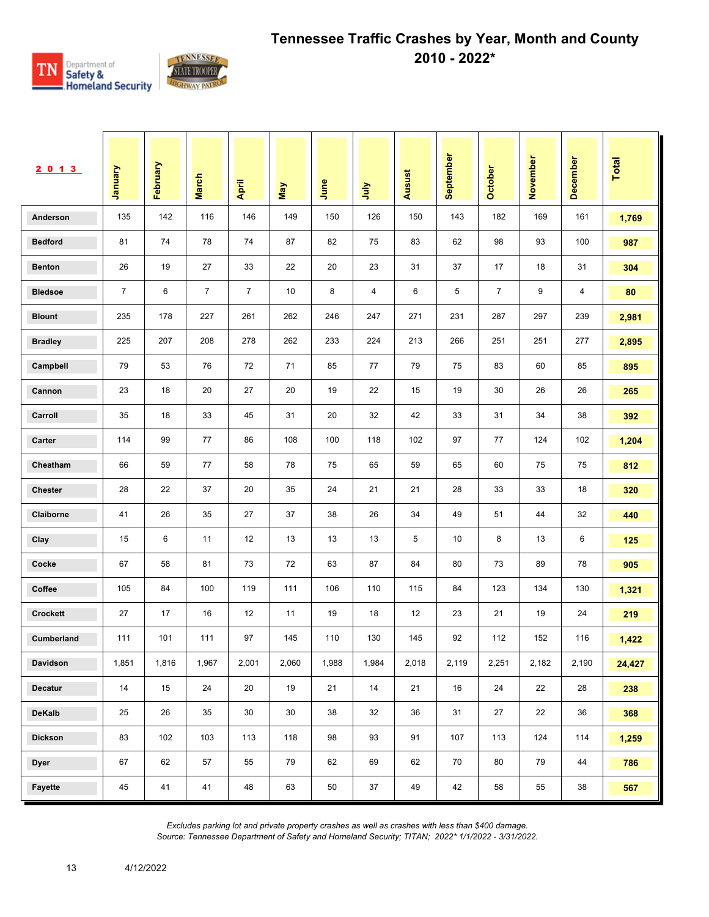

| 2013            | Vanuary        | February | <b>March</b>   | April          | May   | June  | <b>Surt</b> | <b>Ausust</b> | September | October        | November | December | <b>Total</b> |
|-----------------|----------------|----------|----------------|----------------|-------|-------|-------------|---------------|-----------|----------------|----------|----------|--------------|
| Anderson        | 135            | 142      | 116            | 146            | 149   | 150   | 126         | 150           | 143       | 182            | 169      | 161      | 1,769        |
| <b>Bedford</b>  | 81             | 74       | 78             | 74             | 87    | 82    | 75          | 83            | 62        | 98             | 93       | 100      | 987          |
| <b>Benton</b>   | 26             | 19       | 27             | 33             | 22    | 20    | 23          | 31            | 37        | 17             | 18       | 31       | 304          |
| <b>Bledsoe</b>  | $\overline{7}$ | 6        | $\overline{7}$ | $\overline{7}$ | 10    | 8     | 4           | 6             | 5         | $\overline{7}$ | 9        | 4        | 80           |
| <b>Blount</b>   | 235            | 178      | 227            | 261            | 262   | 246   | 247         | 271           | 231       | 287            | 297      | 239      | 2,981        |
| <b>Bradley</b>  | 225            | 207      | 208            | 278            | 262   | 233   | 224         | 213           | 266       | 251            | 251      | 277      | 2,895        |
| Campbell        | 79             | 53       | 76             | 72             | 71    | 85    | 77          | 79            | 75        | 83             | 60       | 85       | 895          |
| Cannon          | 23             | 18       | 20             | 27             | 20    | 19    | 22          | 15            | 19        | 30             | 26       | 26       | 265          |
| Carroll         | 35             | 18       | 33             | 45             | 31    | 20    | 32          | 42            | 33        | 31             | 34       | 38       | 392          |
| Carter          | 114            | 99       | 77             | 86             | 108   | 100   | 118         | 102           | 97        | 77             | 124      | 102      | 1,204        |
| Cheatham        | 66             | 59       | 77             | 58             | 78    | 75    | 65          | 59            | 65        | 60             | 75       | 75       | 812          |
| <b>Chester</b>  | 28             | 22       | 37             | 20             | 35    | 24    | 21          | 21            | 28        | 33             | 33       | 18       | 320          |
| Claiborne       | 41             | 26       | 35             | 27             | 37    | 38    | 26          | 34            | 49        | 51             | 44       | 32       | 440          |
| Clay            | 15             | 6        | 11             | 12             | 13    | 13    | 13          | 5             | 10        | 8              | 13       | 6        | 125          |
| Cocke           | 67             | 58       | 81             | 73             | 72    | 63    | 87          | 84            | 80        | 73             | 89       | 78       | 905          |
| Coffee          | 105            | 84       | 100            | 119            | 111   | 106   | 110         | 115           | 84        | 123            | 134      | 130      | 1,321        |
| <b>Crockett</b> | 27             | 17       | 16             | 12             | 11    | 19    | 18          | 12            | 23        | 21             | 19       | 24       | 219          |
| Cumberland      | 111            | 101      | 111            | 97             | 145   | 110   | 130         | 145           | 92        | 112            | 152      | 116      | 1,422        |
| Davidson        | 1,851          | 1,816    | 1,967          | 2,001          | 2,060 | 1,988 | 1,984       | 2,018         | 2,119     | 2,251          | 2,182    | 2,190    | 24,427       |
| Decatur         | 14             | 15       | 24             | 20             | 19    | 21    | 14          | 21            | 16        | 24             | 22       | 28       | 238          |
| DeKalb          | 25             | 26       | 35             | 30             | 30    | 38    | 32          | 36            | 31        | 27             | 22       | 36       | 368          |
| <b>Dickson</b>  | 83             | 102      | 103            | 113            | 118   | 98    | 93          | 91            | 107       | 113            | 124      | 114      | 1,259        |
| <b>Dyer</b>     | 67             | 62       | 57             | 55             | 79    | 62    | 69          | 62            | 70        | 80             | 79       | 44       | 786          |
| Fayette         | 45             | 41       | 41             | 48             | 63    | 50    | 37          | 49            | 42        | 58             | 55       | 38       | 567          |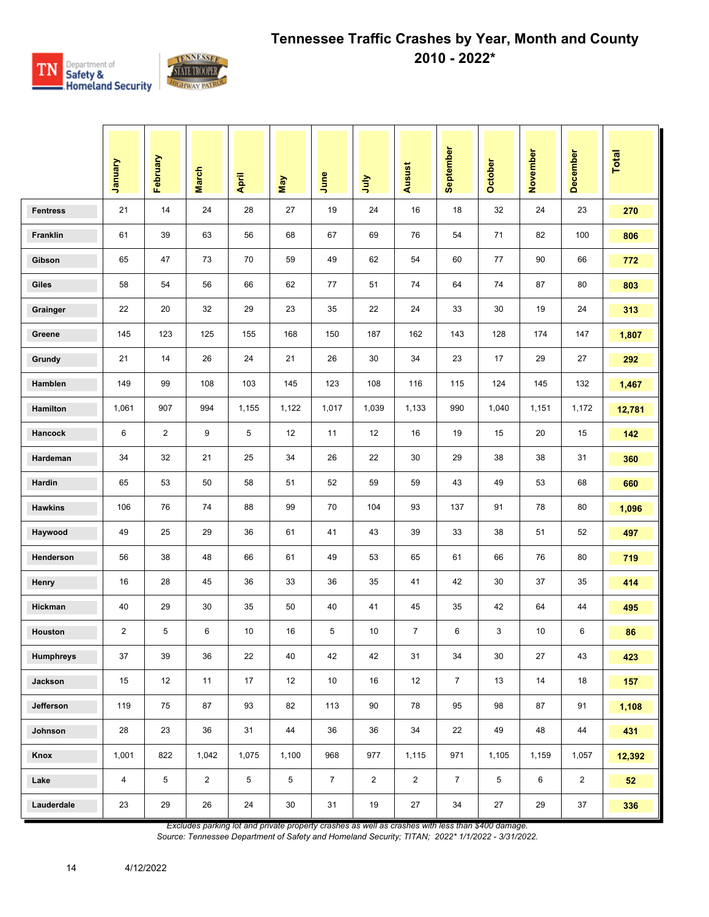

|                  | January                 | February       | <b>March</b>   | April | <b>May</b>     | June           | 言              | Ausust         | September      | <b>October</b> | November | <b>December</b> | Total  |
|------------------|-------------------------|----------------|----------------|-------|----------------|----------------|----------------|----------------|----------------|----------------|----------|-----------------|--------|
| <b>Fentress</b>  | 21                      | 14             | 24             | 28    | 27             | 19             | 24             | 16             | 18             | 32             | 24       | 23              | 270    |
| Franklin         | 61                      | 39             | 63             | 56    | 68             | 67             | 69             | 76             | 54             | 71             | 82       | 100             | 806    |
| Gibson           | 65                      | 47             | 73             | 70    | 59             | 49             | 62             | 54             | 60             | 77             | 90       | 66              | 772    |
| Giles            | 58                      | 54             | 56             | 66    | 62             | 77             | 51             | 74             | 64             | 74             | 87       | 80              | 803    |
| Grainger         | 22                      | 20             | 32             | 29    | 23             | 35             | 22             | 24             | 33             | 30             | 19       | 24              | 313    |
| Greene           | 145                     | 123            | 125            | 155   | 168            | 150            | 187            | 162            | 143            | 128            | 174      | 147             | 1,807  |
| Grundy           | 21                      | 14             | 26             | 24    | 21             | 26             | 30             | 34             | 23             | 17             | 29       | 27              | 292    |
| Hamblen          | 149                     | 99             | 108            | 103   | 145            | 123            | 108            | 116            | 115            | 124            | 145      | 132             | 1,467  |
| Hamilton         | 1,061                   | 907            | 994            | 1,155 | 1,122          | 1,017          | 1,039          | 1,133          | 990            | 1,040          | 1,151    | 1,172           | 12,781 |
| Hancock          | 6                       | $\overline{2}$ | 9              | 5     | 12             | 11             | 12             | 16             | 19             | 15             | 20       | 15              | 142    |
| Hardeman         | 34                      | 32             | 21             | 25    | 34             | 26             | 22             | 30             | 29             | 38             | 38       | 31              | 360    |
| Hardin           | 65                      | 53             | 50             | 58    | 51             | 52             | 59             | 59             | 43             | 49             | 53       | 68              | 660    |
| <b>Hawkins</b>   | 106                     | 76             | 74             | 88    | 99             | 70             | 104            | 93             | 137            | 91             | 78       | 80              | 1,096  |
| Haywood          | 49                      | 25             | 29             | 36    | 61             | 41             | 43             | 39             | 33             | 38             | 51       | 52              | 497    |
| Henderson        | 56                      | 38             | 48             | 66    | 61             | 49             | 53             | 65             | 61             | 66             | 76       | 80              | 719    |
| Henry            | 16                      | 28             | 45             | 36    | 33             | 36             | 35             | 41             | 42             | 30             | 37       | 35              | 414    |
| Hickman          | 40                      | 29             | 30             | 35    | 50             | 40             | 41             | 45             | 35             | 42             | 64       | 44              | 495    |
| Houston          | $\overline{\mathbf{c}}$ | 5              | 6              | 10    | 16             | 5              | 10             | $\overline{7}$ | 6              | 3              | 10       | 6               | 86     |
| <b>Humphreys</b> | 37                      | 39             | 36             | 22    | 40             | 42             | 42             | 31             | 34             | 30             | 27       | 43              | 423    |
| Jackson          | 15                      | 12             | 11             | 17    | 12             | 10             | 16             | 12             | $7^{\circ}$    | 13             | 14       | 18              | 157    |
| Jefferson        | 119                     | 75             | 87             | 93    | 82             | 113            | 90             | 78             | 95             | 98             | 87       | 91              | 1,108  |
| Johnson          | 28                      | 23             | 36             | 31    | 44             | 36             | 36             | 34             | 22             | 49             | 48       | 44              | 431    |
| Knox             | 1,001                   | 822            | 1,042          | 1,075 | 1,100          | 968            | 977            | 1,115          | 971            | 1,105          | 1,159    | 1,057           | 12,392 |
| Lake             | 4                       | 5              | $\overline{2}$ | 5     | $\overline{5}$ | $\overline{7}$ | $\overline{2}$ | $\overline{c}$ | $\overline{7}$ | 5              | 6        | $\overline{2}$  | 52     |
| Lauderdale       | 23                      | 29             | 26             | 24    | $30\,$         | 31             | 19             | 27             | 34             | 27             | 29       | 37              | 336    |

*Excludes parking lot and private property crashes as well as crashes with less than \$400 damage.*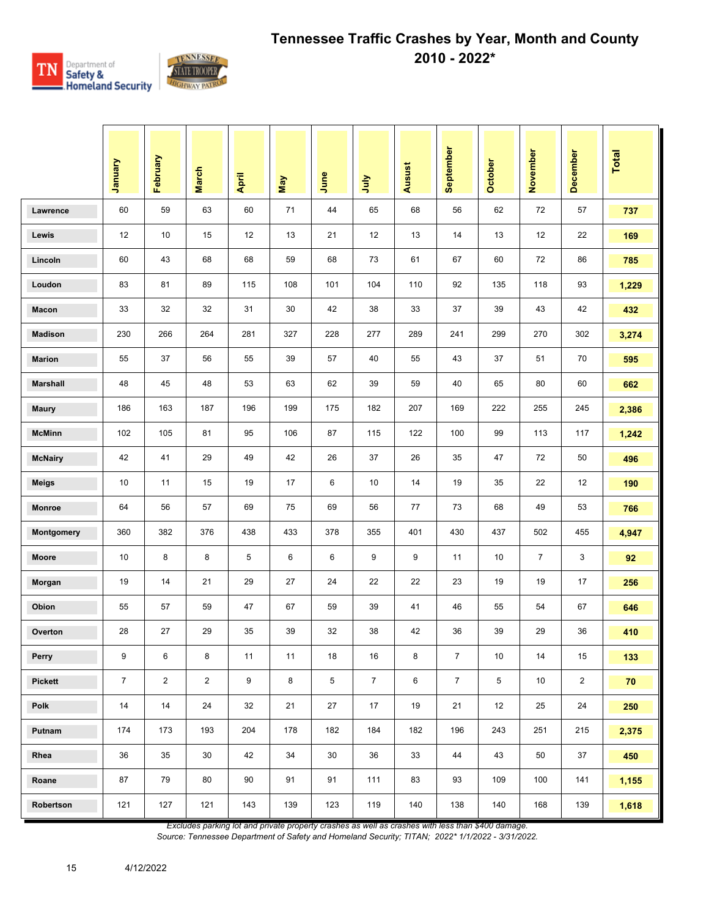

|                 | Vienuary       | February       | <b>March</b>   | April  | May    | June | July           | <b>Ausust</b> | September      | <b>October</b> | November       | December       | Total |
|-----------------|----------------|----------------|----------------|--------|--------|------|----------------|---------------|----------------|----------------|----------------|----------------|-------|
| Lawrence        | 60             | 59             | 63             | 60     | 71     | 44   | 65             | 68            | 56             | 62             | 72             | 57             | 737   |
| Lewis           | 12             | 10             | 15             | 12     | 13     | 21   | 12             | 13            | 14             | 13             | 12             | 22             | 169   |
| Lincoln         | 60             | 43             | 68             | 68     | 59     | 68   | 73             | 61            | 67             | 60             | 72             | 86             | 785   |
| Loudon          | 83             | 81             | 89             | 115    | 108    | 101  | 104            | 110           | 92             | 135            | 118            | 93             | 1,229 |
| Macon           | 33             | 32             | 32             | 31     | 30     | 42   | 38             | 33            | 37             | 39             | 43             | 42             | 432   |
| <b>Madison</b>  | 230            | 266            | 264            | 281    | 327    | 228  | 277            | 289           | 241            | 299            | 270            | 302            | 3,274 |
| <b>Marion</b>   | 55             | 37             | 56             | 55     | 39     | 57   | 40             | 55            | 43             | 37             | 51             | 70             | 595   |
| <b>Marshall</b> | 48             | 45             | 48             | 53     | 63     | 62   | 39             | 59            | 40             | 65             | 80             | 60             | 662   |
| <b>Maury</b>    | 186            | 163            | 187            | 196    | 199    | 175  | 182            | 207           | 169            | 222            | 255            | 245            | 2,386 |
| <b>McMinn</b>   | 102            | 105            | 81             | 95     | 106    | 87   | 115            | 122           | 100            | 99             | 113            | 117            | 1,242 |
| <b>McNairy</b>  | 42             | 41             | 29             | 49     | 42     | 26   | 37             | 26            | 35             | 47             | 72             | 50             | 496   |
| <b>Meigs</b>    | 10             | 11             | 15             | 19     | 17     | 6    | 10             | 14            | 19             | 35             | 22             | 12             | 190   |
| <b>Monroe</b>   | 64             | 56             | 57             | 69     | 75     | 69   | 56             | 77            | 73             | 68             | 49             | 53             | 766   |
| Montgomery      | 360            | 382            | 376            | 438    | 433    | 378  | 355            | 401           | 430            | 437            | 502            | 455            | 4,947 |
| <b>Moore</b>    | 10             | 8              | 8              | 5      | 6      | 6    | 9              | 9             | 11             | 10             | $\overline{7}$ | 3              | 92    |
| Morgan          | 19             | 14             | 21             | 29     | 27     | 24   | 22             | 22            | 23             | 19             | 19             | 17             | 256   |
| Obion           | 55             | 57             | 59             | 47     | 67     | 59   | 39             | 41            | 46             | 55             | 54             | 67             | 646   |
| Overton         | 28             | 27             | 29             | 35     | 39     | 32   | 38             | 42            | 36             | 39             | 29             | 36             | 410   |
| Perry           | 9              | 6              | 8              | 11     | 11     | 18   | 16             | 8             | $\overline{7}$ | $10$           | 14             | 15             | 133   |
| Pickett         | $\overline{7}$ | $\overline{2}$ | $\overline{2}$ | 9      | $\bf8$ | 5    | $\overline{7}$ | 6             | $\overline{7}$ | 5              | 10             | $\overline{2}$ | 70    |
| Polk            | 14             | 14             | 24             | 32     | 21     | 27   | 17             | 19            | 21             | 12             | 25             | 24             | 250   |
| Putnam          | 174            | 173            | 193            | 204    | 178    | 182  | 184            | 182           | 196            | 243            | 251            | 215            | 2,375 |
| Rhea            | 36             | 35             | 30             | 42     | 34     | 30   | 36             | 33            | 44             | 43             | 50             | 37             | 450   |
| Roane           | 87             | 79             | 80             | $90\,$ | 91     | 91   | 111            | 83            | 93             | 109            | 100            | 141            | 1,155 |
| Robertson       | 121            | 127            | 121            | 143    | 139    | 123  | 119            | 140           | 138            | 140            | 168            | 139            | 1,618 |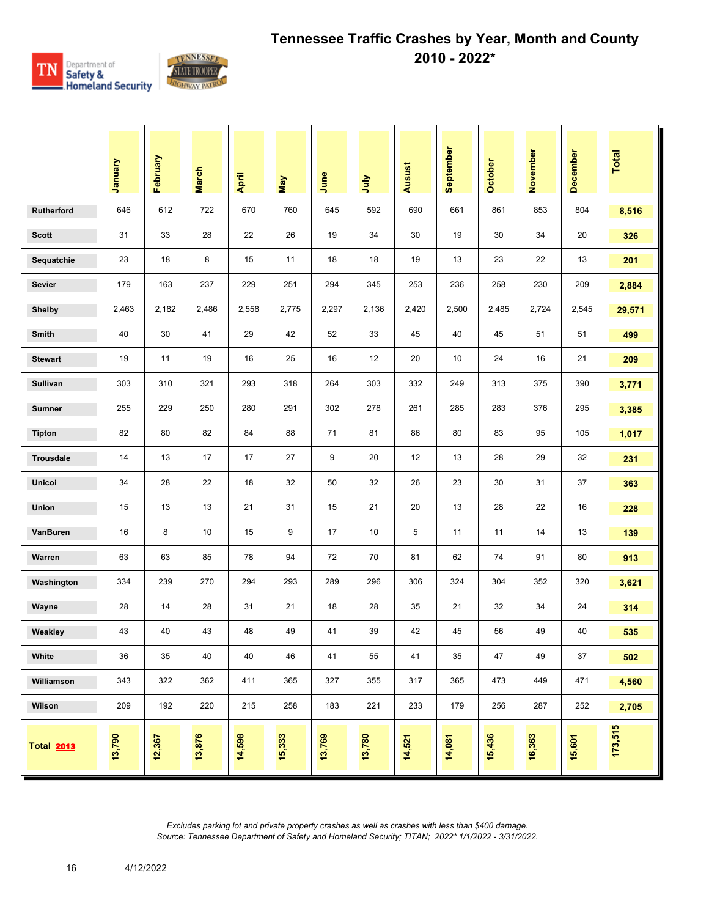

|                   | January | February | <b>March</b> | April  | May    | June   | ήnη    | <b>Ausust</b> | September | October | November | December | <b>Total</b> |
|-------------------|---------|----------|--------------|--------|--------|--------|--------|---------------|-----------|---------|----------|----------|--------------|
| Rutherford        | 646     | 612      | 722          | 670    | 760    | 645    | 592    | 690           | 661       | 861     | 853      | 804      | 8,516        |
| <b>Scott</b>      | 31      | 33       | 28           | 22     | 26     | 19     | 34     | 30            | 19        | 30      | 34       | 20       | 326          |
| Sequatchie        | 23      | 18       | 8            | 15     | 11     | 18     | 18     | 19            | 13        | 23      | 22       | 13       | 201          |
| <b>Sevier</b>     | 179     | 163      | 237          | 229    | 251    | 294    | 345    | 253           | 236       | 258     | 230      | 209      | 2,884        |
| <b>Shelby</b>     | 2,463   | 2,182    | 2,486        | 2,558  | 2,775  | 2,297  | 2,136  | 2,420         | 2,500     | 2,485   | 2,724    | 2,545    | 29,571       |
| Smith             | 40      | 30       | 41           | 29     | 42     | 52     | 33     | 45            | 40        | 45      | 51       | 51       | 499          |
| <b>Stewart</b>    | 19      | 11       | 19           | 16     | 25     | 16     | 12     | 20            | 10        | 24      | 16       | 21       | 209          |
| Sullivan          | 303     | 310      | 321          | 293    | 318    | 264    | 303    | 332           | 249       | 313     | 375      | 390      | 3,771        |
| <b>Sumner</b>     | 255     | 229      | 250          | 280    | 291    | 302    | 278    | 261           | 285       | 283     | 376      | 295      | 3,385        |
| <b>Tipton</b>     | 82      | 80       | 82           | 84     | 88     | 71     | 81     | 86            | 80        | 83      | 95       | 105      | 1,017        |
| Trousdale         | 14      | 13       | 17           | 17     | 27     | 9      | 20     | 12            | 13        | 28      | 29       | 32       | 231          |
| Unicoi            | 34      | 28       | 22           | 18     | 32     | 50     | 32     | 26            | 23        | 30      | 31       | 37       | 363          |
| Union             | 15      | 13       | 13           | 21     | 31     | 15     | 21     | 20            | 13        | 28      | 22       | 16       | 228          |
| VanBuren          | 16      | 8        | 10           | 15     | 9      | 17     | 10     | 5             | 11        | 11      | 14       | 13       | 139          |
| Warren            | 63      | 63       | 85           | 78     | 94     | 72     | 70     | 81            | 62        | 74      | 91       | 80       | 913          |
| Washington        | 334     | 239      | 270          | 294    | 293    | 289    | 296    | 306           | 324       | 304     | 352      | 320      | 3,621        |
| Wayne             | 28      | 14       | 28           | 31     | 21     | 18     | 28     | 35            | 21        | 32      | 34       | 24       | 314          |
| Weakley           | 43      | 40       | 43           | 48     | 49     | 41     | 39     | 42            | 45        | 56      | 49       | 40       | 535          |
| White             | 36      | 35       | 40           | 40     | 46     | 41     | 55     | 41            | 35        | 47      | 49       | 37       | 502          |
| Williamson        | 343     | 322      | 362          | 411    | 365    | 327    | 355    | 317           | 365       | 473     | 449      | 471      | 4,560        |
| Wilson            | 209     | 192      | 220          | 215    | 258    | 183    | 221    | 233           | 179       | 256     | 287      | 252      | 2,705        |
| <b>Total 2013</b> | 13,790  | 12,367   | 13,876       | 14,598 | 15,333 | 13,769 | 13,780 | 14,521        | 14,081    | 15,436  | 16,363   | 15,601   | 173,515      |

16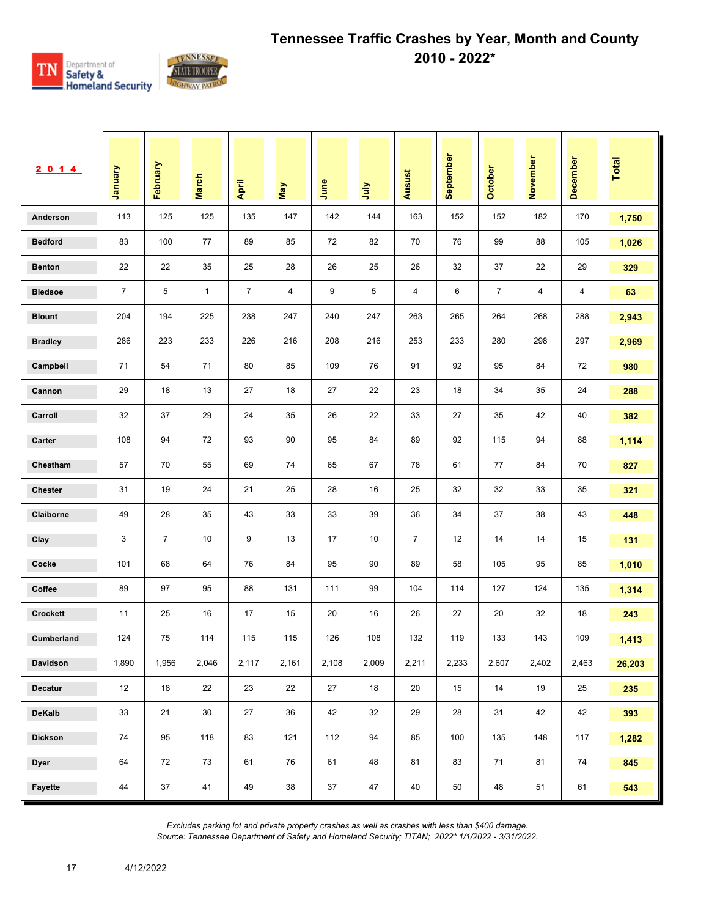

| 2 0 1 4         | <b>January</b> | February       | <b>March</b> | April          | Vay   | June  | <b>Surt</b> | <b>Ausust</b>  | September | <b>October</b> | November | <b>December</b> | <b>Total</b> |
|-----------------|----------------|----------------|--------------|----------------|-------|-------|-------------|----------------|-----------|----------------|----------|-----------------|--------------|
| Anderson        | 113            | 125            | 125          | 135            | 147   | 142   | 144         | 163            | 152       | 152            | 182      | 170             | 1,750        |
| <b>Bedford</b>  | 83             | 100            | 77           | 89             | 85    | 72    | 82          | 70             | 76        | 99             | 88       | 105             | 1,026        |
| <b>Benton</b>   | 22             | 22             | 35           | 25             | 28    | 26    | 25          | 26             | 32        | 37             | 22       | 29              | 329          |
| <b>Bledsoe</b>  | $\overline{7}$ | 5              | $\mathbf{1}$ | $\overline{7}$ | 4     | 9     | 5           | 4              | 6         | $\overline{7}$ | 4        | 4               | 63           |
| <b>Blount</b>   | 204            | 194            | 225          | 238            | 247   | 240   | 247         | 263            | 265       | 264            | 268      | 288             | 2,943        |
| <b>Bradley</b>  | 286            | 223            | 233          | 226            | 216   | 208   | 216         | 253            | 233       | 280            | 298      | 297             | 2,969        |
| Campbell        | 71             | 54             | 71           | 80             | 85    | 109   | 76          | 91             | 92        | 95             | 84       | 72              | 980          |
| Cannon          | 29             | 18             | 13           | 27             | 18    | 27    | 22          | 23             | 18        | 34             | 35       | 24              | 288          |
| Carroll         | 32             | 37             | 29           | 24             | 35    | 26    | 22          | 33             | 27        | 35             | 42       | 40              | 382          |
| Carter          | 108            | 94             | 72           | 93             | 90    | 95    | 84          | 89             | 92        | 115            | 94       | 88              | 1,114        |
| Cheatham        | 57             | 70             | 55           | 69             | 74    | 65    | 67          | 78             | 61        | 77             | 84       | 70              | 827          |
| <b>Chester</b>  | 31             | 19             | 24           | 21             | 25    | 28    | 16          | 25             | 32        | 32             | 33       | 35              | 321          |
| Claiborne       | 49             | 28             | 35           | 43             | 33    | 33    | 39          | 36             | 34        | 37             | 38       | 43              | 448          |
| Clay            | 3              | $\overline{7}$ | 10           | 9              | 13    | 17    | 10          | $\overline{7}$ | 12        | 14             | 14       | 15              | 131          |
| Cocke           | 101            | 68             | 64           | 76             | 84    | 95    | 90          | 89             | 58        | 105            | 95       | 85              | 1,010        |
| Coffee          | 89             | 97             | 95           | 88             | 131   | 111   | 99          | 104            | 114       | 127            | 124      | 135             | 1,314        |
| <b>Crockett</b> | 11             | 25             | 16           | 17             | 15    | 20    | 16          | 26             | 27        | 20             | 32       | 18              | 243          |
| Cumberland      | 124            | 75             | 114          | 115            | 115   | 126   | 108         | 132            | 119       | 133            | 143      | 109             | 1,413        |
| Davidson        | 1,890          | 1,956          | 2,046        | 2,117          | 2,161 | 2,108 | 2,009       | 2,211          | 2,233     | 2,607          | 2,402    | 2,463           | 26,203       |
| <b>Decatur</b>  | 12             | 18             | 22           | 23             | 22    | 27    | 18          | 20             | 15        | 14             | 19       | 25              | 235          |
| DeKalb          | 33             | 21             | 30           | 27             | 36    | 42    | 32          | 29             | 28        | 31             | 42       | 42              | 393          |
| <b>Dickson</b>  | 74             | 95             | 118          | 83             | 121   | 112   | 94          | 85             | 100       | 135            | 148      | 117             | 1,282        |
| <b>Dyer</b>     | 64             | 72             | 73           | 61             | 76    | 61    | 48          | 81             | 83        | 71             | 81       | 74              | 845          |
| Fayette         | 44             | 37             | 41           | 49             | 38    | 37    | 47          | 40             | 50        | 48             | 51       | 61              | 543          |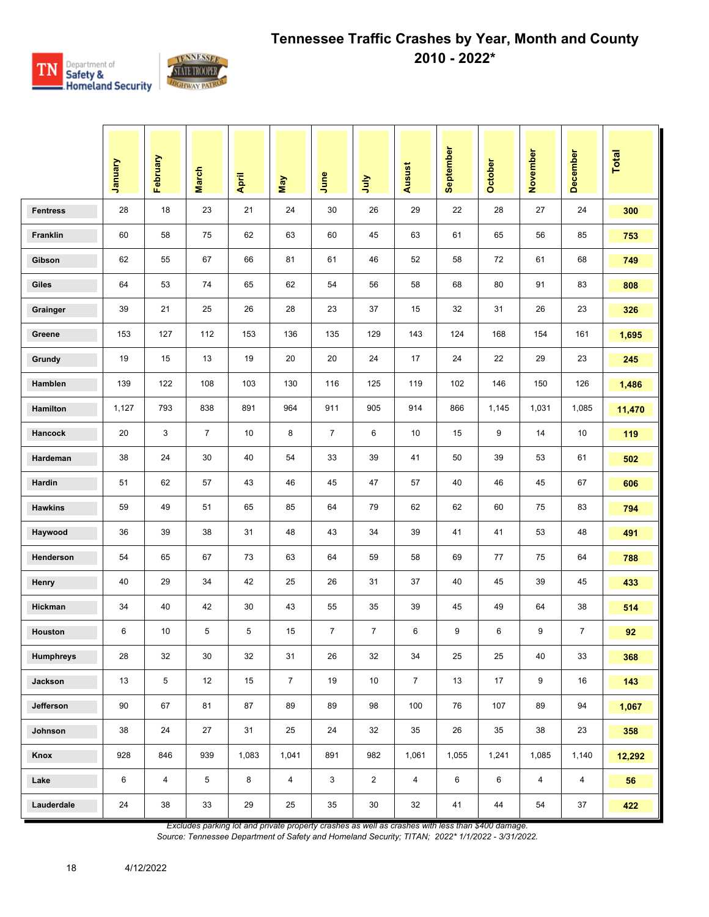

|                  | January | February       | <b>March</b>   | April | <b>May</b>     | June           | 言              | Ausust         | September | <b>October</b> | November       | <b>December</b> | Total  |
|------------------|---------|----------------|----------------|-------|----------------|----------------|----------------|----------------|-----------|----------------|----------------|-----------------|--------|
| <b>Fentress</b>  | 28      | 18             | 23             | 21    | 24             | 30             | 26             | 29             | 22        | 28             | 27             | 24              | 300    |
| Franklin         | 60      | 58             | 75             | 62    | 63             | 60             | 45             | 63             | 61        | 65             | 56             | 85              | 753    |
| Gibson           | 62      | 55             | 67             | 66    | 81             | 61             | 46             | 52             | 58        | 72             | 61             | 68              | 749    |
| Giles            | 64      | 53             | 74             | 65    | 62             | 54             | 56             | 58             | 68        | 80             | 91             | 83              | 808    |
| Grainger         | 39      | 21             | 25             | 26    | 28             | 23             | 37             | 15             | 32        | 31             | 26             | 23              | 326    |
| Greene           | 153     | 127            | 112            | 153   | 136            | 135            | 129            | 143            | 124       | 168            | 154            | 161             | 1,695  |
| Grundy           | 19      | 15             | 13             | 19    | 20             | 20             | 24             | 17             | 24        | 22             | 29             | 23              | 245    |
| Hamblen          | 139     | 122            | 108            | 103   | 130            | 116            | 125            | 119            | 102       | 146            | 150            | 126             | 1,486  |
| Hamilton         | 1,127   | 793            | 838            | 891   | 964            | 911            | 905            | 914            | 866       | 1,145          | 1,031          | 1,085           | 11,470 |
| Hancock          | 20      | 3              | $\overline{7}$ | 10    | 8              | $\overline{7}$ | 6              | 10             | 15        | 9              | 14             | 10              | 119    |
| Hardeman         | 38      | 24             | 30             | 40    | 54             | 33             | 39             | 41             | 50        | 39             | 53             | 61              | 502    |
| Hardin           | 51      | 62             | 57             | 43    | 46             | 45             | 47             | 57             | 40        | 46             | 45             | 67              | 606    |
| <b>Hawkins</b>   | 59      | 49             | 51             | 65    | 85             | 64             | 79             | 62             | 62        | 60             | 75             | 83              | 794    |
| Haywood          | 36      | 39             | 38             | 31    | 48             | 43             | 34             | 39             | 41        | 41             | 53             | 48              | 491    |
| Henderson        | 54      | 65             | 67             | 73    | 63             | 64             | 59             | 58             | 69        | 77             | 75             | 64              | 788    |
| Henry            | 40      | 29             | 34             | 42    | 25             | 26             | 31             | 37             | 40        | 45             | 39             | 45              | 433    |
| Hickman          | 34      | 40             | 42             | 30    | 43             | 55             | 35             | 39             | 45        | 49             | 64             | 38              | 514    |
| Houston          | 6       | 10             | 5              | 5     | 15             | $\overline{7}$ | $\overline{7}$ | 6              | 9         | 6              | 9              | $\overline{7}$  | 92     |
| <b>Humphreys</b> | 28      | 32             | 30             | 32    | 31             | 26             | 32             | 34             | 25        | 25             | 40             | 33              | 368    |
| Jackson          | 13      | 5              | 12             | 15    | $\overline{7}$ | 19             | 10             | $\overline{7}$ | 13        | 17             | 9              | 16              | 143    |
| Jefferson        | 90      | 67             | 81             | 87    | 89             | 89             | 98             | 100            | 76        | 107            | 89             | 94              | 1,067  |
| Johnson          | 38      | 24             | 27             | 31    | 25             | 24             | 32             | 35             | 26        | 35             | 38             | 23              | 358    |
| Knox             | 928     | 846            | 939            | 1,083 | 1,041          | 891            | 982            | 1,061          | 1,055     | 1,241          | 1,085          | 1,140           | 12,292 |
| Lake             | 6       | $\overline{4}$ | 5              | 8     | $\overline{4}$ | 3              | $\overline{2}$ | $\overline{4}$ | 6         | 6              | $\overline{4}$ | $\overline{4}$  | 56     |
| Lauderdale       | 24      | 38             | 33             | 29    | 25             | 35             | $30\,$         | 32             | 41        | 44             | 54             | 37              | 422    |

*Excludes parking lot and private property crashes as well as crashes with less than \$400 damage.*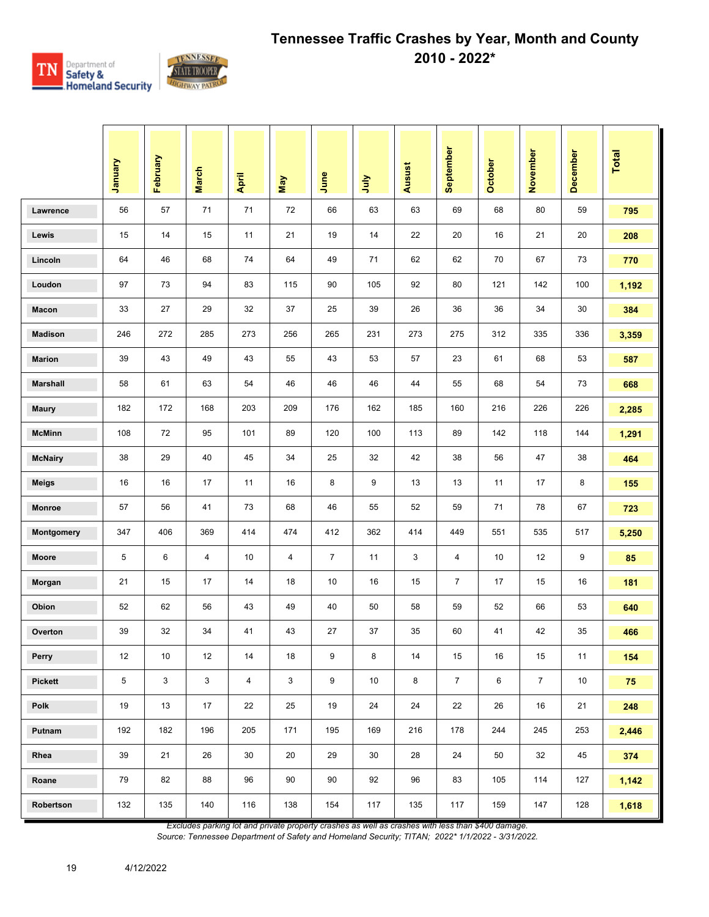

|                 | Vienuary | February | <b>March</b> | April                   | May          | June           | July | <b>Ausust</b> | September      | October | November       | December | <b>Total</b> |
|-----------------|----------|----------|--------------|-------------------------|--------------|----------------|------|---------------|----------------|---------|----------------|----------|--------------|
| Lawrence        | 56       | 57       | 71           | 71                      | 72           | 66             | 63   | 63            | 69             | 68      | 80             | 59       | 795          |
| Lewis           | 15       | 14       | 15           | 11                      | 21           | 19             | 14   | 22            | 20             | 16      | 21             | 20       | 208          |
| Lincoln         | 64       | 46       | 68           | 74                      | 64           | 49             | 71   | 62            | 62             | 70      | 67             | 73       | 770          |
| Loudon          | 97       | 73       | 94           | 83                      | 115          | 90             | 105  | 92            | 80             | 121     | 142            | 100      | 1,192        |
| Macon           | 33       | 27       | 29           | 32                      | 37           | 25             | 39   | 26            | 36             | 36      | 34             | 30       | 384          |
| <b>Madison</b>  | 246      | 272      | 285          | 273                     | 256          | 265            | 231  | 273           | 275            | 312     | 335            | 336      | 3,359        |
| <b>Marion</b>   | 39       | 43       | 49           | 43                      | 55           | 43             | 53   | 57            | 23             | 61      | 68             | 53       | 587          |
| <b>Marshall</b> | 58       | 61       | 63           | 54                      | 46           | 46             | 46   | 44            | 55             | 68      | 54             | 73       | 668          |
| <b>Maury</b>    | 182      | 172      | 168          | 203                     | 209          | 176            | 162  | 185           | 160            | 216     | 226            | 226      | 2,285        |
| <b>McMinn</b>   | 108      | 72       | 95           | 101                     | 89           | 120            | 100  | 113           | 89             | 142     | 118            | 144      | 1,291        |
| <b>McNairy</b>  | 38       | 29       | 40           | 45                      | 34           | 25             | 32   | 42            | 38             | 56      | 47             | 38       | 464          |
| <b>Meigs</b>    | 16       | 16       | 17           | 11                      | 16           | 8              | 9    | 13            | 13             | 11      | 17             | 8        | 155          |
| Monroe          | 57       | 56       | 41           | 73                      | 68           | 46             | 55   | 52            | 59             | 71      | 78             | 67       | 723          |
| Montgomery      | 347      | 406      | 369          | 414                     | 474          | 412            | 362  | 414           | 449            | 551     | 535            | 517      | 5,250        |
| Moore           | 5        | 6        | 4            | 10                      | 4            | $\overline{7}$ | 11   | 3             | 4              | 10      | 12             | 9        | 85           |
| Morgan          | 21       | 15       | 17           | 14                      | 18           | 10             | 16   | 15            | $\overline{7}$ | 17      | 15             | 16       | 181          |
| Obion           | 52       | 62       | 56           | 43                      | 49           | 40             | 50   | 58            | 59             | 52      | 66             | 53       | 640          |
| Overton         | 39       | 32       | 34           | 41                      | 43           | 27             | 37   | 35            | 60             | 41      | 42             | 35       | 466          |
| Perry           | 12       | 10       | 12           | 14                      | 18           | 9              | 8    | 14            | 15             | 16      | 15             | 11       | 154          |
| <b>Pickett</b>  | 5        | 3        | 3            | $\overline{\mathbf{4}}$ | $\mathbf{3}$ | 9              | 10   | 8             | $\overline{7}$ | 6       | $\overline{7}$ | 10       | 75           |
| Polk            | 19       | 13       | 17           | 22                      | 25           | 19             | 24   | 24            | 22             | 26      | 16             | 21       | 248          |
| Putnam          | 192      | 182      | 196          | 205                     | 171          | 195            | 169  | 216           | 178            | 244     | 245            | 253      | 2,446        |
| Rhea            | 39       | 21       | 26           | 30                      | 20           | 29             | 30   | 28            | 24             | 50      | 32             | 45       | 374          |
| Roane           | 79       | 82       | 88           | 96                      | 90           | 90             | 92   | 96            | 83             | 105     | 114            | 127      | 1,142        |
| Robertson       | 132      | 135      | 140          | 116                     | 138          | 154            | 117  | 135           | 117            | 159     | 147            | 128      | 1,618        |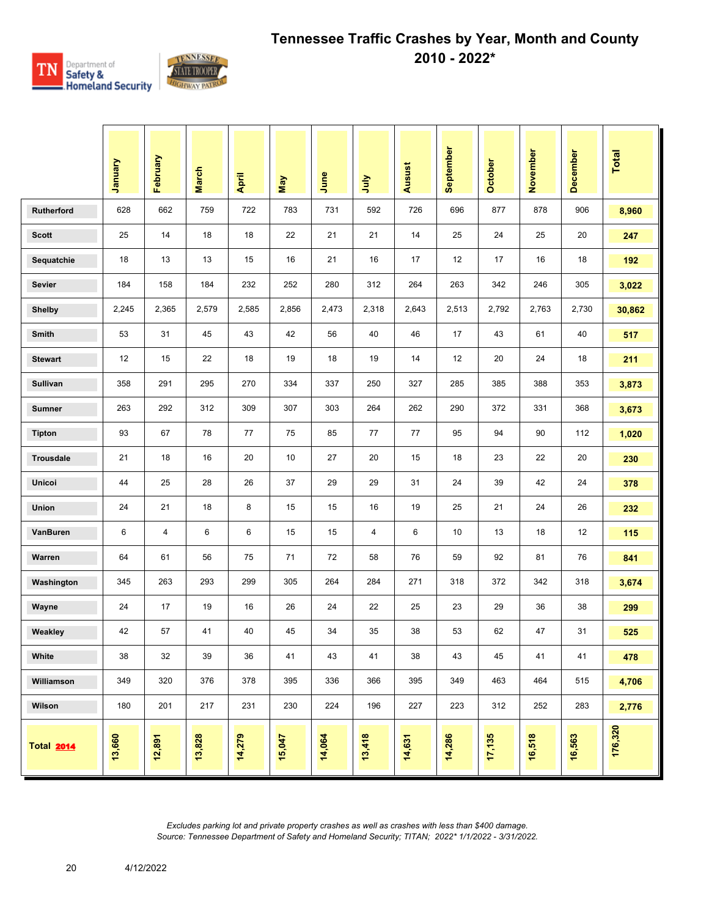

|                   | Vanuary | February | <b>March</b> | April  | May    | June   | <b>S</b> | Ausust | September | October | November | <b>December</b> | Total   |
|-------------------|---------|----------|--------------|--------|--------|--------|----------|--------|-----------|---------|----------|-----------------|---------|
| Rutherford        | 628     | 662      | 759          | 722    | 783    | 731    | 592      | 726    | 696       | 877     | 878      | 906             | 8,960   |
| <b>Scott</b>      | 25      | 14       | 18           | 18     | 22     | 21     | 21       | 14     | 25        | 24      | 25       | 20              | 247     |
| Sequatchie        | 18      | 13       | 13           | 15     | 16     | 21     | 16       | 17     | 12        | 17      | 16       | 18              | 192     |
| <b>Sevier</b>     | 184     | 158      | 184          | 232    | 252    | 280    | 312      | 264    | 263       | 342     | 246      | 305             | 3,022   |
| <b>Shelby</b>     | 2,245   | 2,365    | 2,579        | 2,585  | 2,856  | 2,473  | 2,318    | 2,643  | 2,513     | 2,792   | 2,763    | 2,730           | 30,862  |
| <b>Smith</b>      | 53      | 31       | 45           | 43     | 42     | 56     | 40       | 46     | 17        | 43      | 61       | 40              | 517     |
| <b>Stewart</b>    | 12      | 15       | 22           | 18     | 19     | 18     | 19       | 14     | 12        | 20      | 24       | 18              | 211     |
| <b>Sullivan</b>   | 358     | 291      | 295          | 270    | 334    | 337    | 250      | 327    | 285       | 385     | 388      | 353             | 3,873   |
| <b>Sumner</b>     | 263     | 292      | 312          | 309    | 307    | 303    | 264      | 262    | 290       | 372     | 331      | 368             | 3,673   |
| <b>Tipton</b>     | 93      | 67       | 78           | 77     | 75     | 85     | 77       | 77     | 95        | 94      | 90       | 112             | 1,020   |
| <b>Trousdale</b>  | 21      | 18       | 16           | 20     | 10     | 27     | 20       | 15     | 18        | 23      | 22       | 20              | 230     |
| Unicoi            | 44      | 25       | 28           | 26     | 37     | 29     | 29       | 31     | 24        | 39      | 42       | 24              | 378     |
| <b>Union</b>      | 24      | 21       | 18           | 8      | 15     | 15     | 16       | 19     | 25        | 21      | 24       | 26              | 232     |
| VanBuren          | 6       | 4        | 6            | 6      | 15     | 15     | 4        | 6      | 10        | 13      | 18       | 12              | 115     |
| Warren            | 64      | 61       | 56           | 75     | 71     | 72     | 58       | 76     | 59        | 92      | 81       | 76              | 841     |
| Washington        | 345     | 263      | 293          | 299    | 305    | 264    | 284      | 271    | 318       | 372     | 342      | 318             | 3,674   |
| Wayne             | 24      | 17       | 19           | 16     | 26     | 24     | 22       | 25     | 23        | 29      | 36       | 38              | 299     |
| Weakley           | 42      | 57       | 41           | 40     | 45     | 34     | 35       | 38     | 53        | 62      | 47       | 31              | 525     |
| White             | 38      | 32       | 39           | 36     | 41     | 43     | 41       | 38     | 43        | 45      | 41       | 41              | 478     |
| Williamson        | 349     | 320      | 376          | 378    | 395    | 336    | 366      | 395    | 349       | 463     | 464      | 515             | 4,706   |
| Wilson            | 180     | 201      | 217          | 231    | 230    | 224    | 196      | 227    | 223       | 312     | 252      | 283             | 2,776   |
| <b>Total 2014</b> | 13,660  | 12,891   | 13,828       | 14,279 | 15,047 | 14,064 | 13,418   | 14,631 | 14,286    | 17,135  | 16,518   | 16,563          | 176,320 |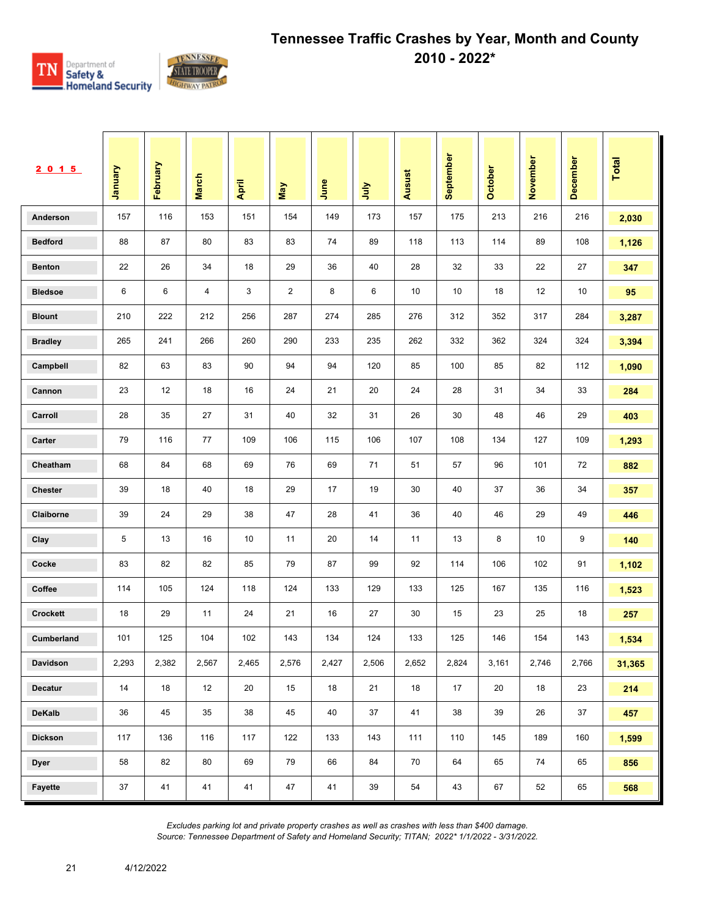

| 2015            | Vanuary | February | <b>March</b> | April | May   | June  | <b>Surt</b> | Ausust | September | October | November | December | <b>Total</b> |
|-----------------|---------|----------|--------------|-------|-------|-------|-------------|--------|-----------|---------|----------|----------|--------------|
| Anderson        | 157     | 116      | 153          | 151   | 154   | 149   | 173         | 157    | 175       | 213     | 216      | 216      | 2,030        |
| <b>Bedford</b>  | 88      | 87       | 80           | 83    | 83    | 74    | 89          | 118    | 113       | 114     | 89       | 108      | 1,126        |
| <b>Benton</b>   | 22      | 26       | 34           | 18    | 29    | 36    | 40          | 28     | 32        | 33      | 22       | 27       | 347          |
| <b>Bledsoe</b>  | 6       | 6        | 4            | 3     | 2     | 8     | 6           | 10     | 10        | 18      | 12       | 10       | 95           |
| <b>Blount</b>   | 210     | 222      | 212          | 256   | 287   | 274   | 285         | 276    | 312       | 352     | 317      | 284      | 3,287        |
| <b>Bradley</b>  | 265     | 241      | 266          | 260   | 290   | 233   | 235         | 262    | 332       | 362     | 324      | 324      | 3,394        |
| Campbell        | 82      | 63       | 83           | 90    | 94    | 94    | 120         | 85     | 100       | 85      | 82       | 112      | 1,090        |
| Cannon          | 23      | 12       | 18           | 16    | 24    | 21    | 20          | 24     | 28        | 31      | 34       | 33       | 284          |
| Carroll         | 28      | 35       | 27           | 31    | 40    | 32    | 31          | 26     | 30        | 48      | 46       | 29       | 403          |
| Carter          | 79      | 116      | 77           | 109   | 106   | 115   | 106         | 107    | 108       | 134     | 127      | 109      | 1,293        |
| Cheatham        | 68      | 84       | 68           | 69    | 76    | 69    | 71          | 51     | 57        | 96      | 101      | 72       | 882          |
| <b>Chester</b>  | 39      | 18       | 40           | 18    | 29    | 17    | 19          | 30     | 40        | 37      | 36       | 34       | 357          |
| Claiborne       | 39      | 24       | 29           | 38    | 47    | 28    | 41          | 36     | 40        | 46      | 29       | 49       | 446          |
| Clay            | 5       | 13       | 16           | 10    | 11    | 20    | 14          | 11     | 13        | 8       | 10       | 9        | 140          |
| Cocke           | 83      | 82       | 82           | 85    | 79    | 87    | 99          | 92     | 114       | 106     | 102      | 91       | 1,102        |
| Coffee          | 114     | 105      | 124          | 118   | 124   | 133   | 129         | 133    | 125       | 167     | 135      | 116      | 1,523        |
| <b>Crockett</b> | 18      | 29       | 11           | 24    | 21    | 16    | 27          | 30     | 15        | 23      | 25       | 18       | 257          |
| Cumberland      | 101     | 125      | 104          | 102   | 143   | 134   | 124         | 133    | 125       | 146     | 154      | 143      | 1,534        |
| Davidson        | 2,293   | 2,382    | 2,567        | 2,465 | 2,576 | 2,427 | 2,506       | 2,652  | 2,824     | 3,161   | 2,746    | 2,766    | 31,365       |
| Decatur         | 14      | 18       | 12           | 20    | 15    | 18    | 21          | 18     | 17        | 20      | 18       | 23       | 214          |
| DeKalb          | 36      | 45       | 35           | 38    | 45    | 40    | 37          | 41     | 38        | 39      | 26       | 37       | 457          |
| <b>Dickson</b>  | 117     | 136      | 116          | 117   | 122   | 133   | 143         | 111    | 110       | 145     | 189      | 160      | 1,599        |
| <b>Dyer</b>     | 58      | 82       | 80           | 69    | 79    | 66    | 84          | 70     | 64        | 65      | 74       | 65       | 856          |
| Fayette         | 37      | 41       | 41           | 41    | 47    | 41    | 39          | 54     | 43        | 67      | 52       | 65       | 568          |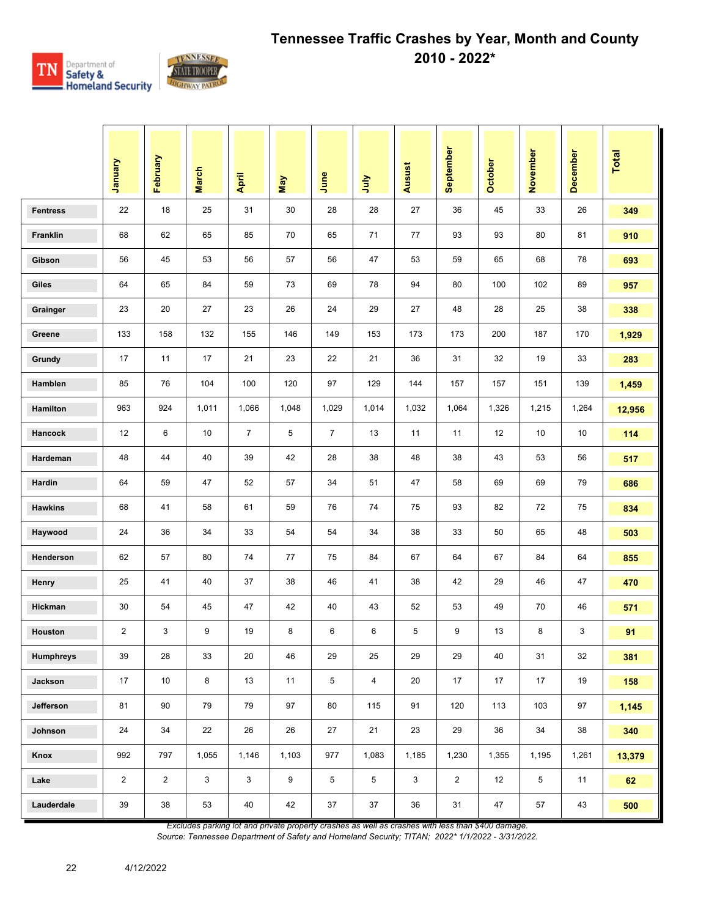

|                  | January                 | February       | <b>March</b> | April          | <b>May</b>       | June           | 言     | Ausust | September      | October | November | <b>December</b> | Total  |
|------------------|-------------------------|----------------|--------------|----------------|------------------|----------------|-------|--------|----------------|---------|----------|-----------------|--------|
| <b>Fentress</b>  | 22                      | 18             | 25           | 31             | 30               | 28             | 28    | 27     | 36             | 45      | 33       | 26              | 349    |
| Franklin         | 68                      | 62             | 65           | 85             | 70               | 65             | 71    | 77     | 93             | 93      | 80       | 81              | 910    |
| Gibson           | 56                      | 45             | 53           | 56             | 57               | 56             | 47    | 53     | 59             | 65      | 68       | 78              | 693    |
| Giles            | 64                      | 65             | 84           | 59             | 73               | 69             | 78    | 94     | 80             | 100     | 102      | 89              | 957    |
| Grainger         | 23                      | 20             | 27           | 23             | 26               | 24             | 29    | 27     | 48             | 28      | 25       | 38              | 338    |
| Greene           | 133                     | 158            | 132          | 155            | 146              | 149            | 153   | 173    | 173            | 200     | 187      | 170             | 1,929  |
| Grundy           | 17                      | 11             | 17           | 21             | 23               | 22             | 21    | 36     | 31             | 32      | 19       | 33              | 283    |
| Hamblen          | 85                      | 76             | 104          | 100            | 120              | 97             | 129   | 144    | 157            | 157     | 151      | 139             | 1,459  |
| Hamilton         | 963                     | 924            | 1,011        | 1,066          | 1,048            | 1,029          | 1,014 | 1,032  | 1,064          | 1,326   | 1,215    | 1,264           | 12,956 |
| Hancock          | 12                      | 6              | 10           | $\overline{7}$ | 5                | $\overline{7}$ | 13    | 11     | 11             | 12      | 10       | 10              | 114    |
| Hardeman         | 48                      | 44             | 40           | 39             | 42               | 28             | 38    | 48     | 38             | 43      | 53       | 56              | 517    |
| Hardin           | 64                      | 59             | 47           | 52             | 57               | 34             | 51    | 47     | 58             | 69      | 69       | 79              | 686    |
| <b>Hawkins</b>   | 68                      | 41             | 58           | 61             | 59               | 76             | 74    | 75     | 93             | 82      | 72       | 75              | 834    |
| Haywood          | 24                      | 36             | 34           | 33             | 54               | 54             | 34    | 38     | 33             | 50      | 65       | 48              | 503    |
| Henderson        | 62                      | 57             | 80           | 74             | 77               | 75             | 84    | 67     | 64             | 67      | 84       | 64              | 855    |
| Henry            | 25                      | 41             | 40           | 37             | 38               | 46             | 41    | 38     | 42             | 29      | 46       | 47              | 470    |
| Hickman          | 30                      | 54             | 45           | 47             | 42               | 40             | 43    | 52     | 53             | 49      | 70       | 46              | 571    |
| Houston          | $\overline{\mathbf{c}}$ | 3              | 9            | 19             | 8                | 6              | 6     | 5      | 9              | 13      | 8        | 3               | 91     |
| <b>Humphreys</b> | 39                      | 28             | 33           | 20             | 46               | 29             | 25    | 29     | 29             | 40      | 31       | 32              | 381    |
| Jackson          | 17                      | 10             | 8            | 13             | 11               | 5              | 4     | 20     | 17             | 17      | 17       | 19              | 158    |
| Jefferson        | 81                      | 90             | 79           | 79             | 97               | 80             | 115   | 91     | 120            | 113     | 103      | 97              | 1,145  |
| Johnson          | 24                      | 34             | 22           | 26             | 26               | 27             | 21    | 23     | 29             | 36      | 34       | 38              | 340    |
| Knox             | 992                     | 797            | 1,055        | 1,146          | 1,103            | 977            | 1,083 | 1,185  | 1,230          | 1,355   | 1,195    | 1,261           | 13,379 |
| Lake             | $\overline{2}$          | $\overline{2}$ | 3            | 3              | $\boldsymbol{9}$ | 5              | 5     | 3      | $\overline{2}$ | 12      | 5        | 11              | 62     |
| Lauderdale       | 39                      | 38             | 53           | 40             | 42               | $37\,$         | 37    | 36     | 31             | 47      | 57       | 43              | 500    |

*Excludes parking lot and private property crashes as well as crashes with less than \$400 damage.*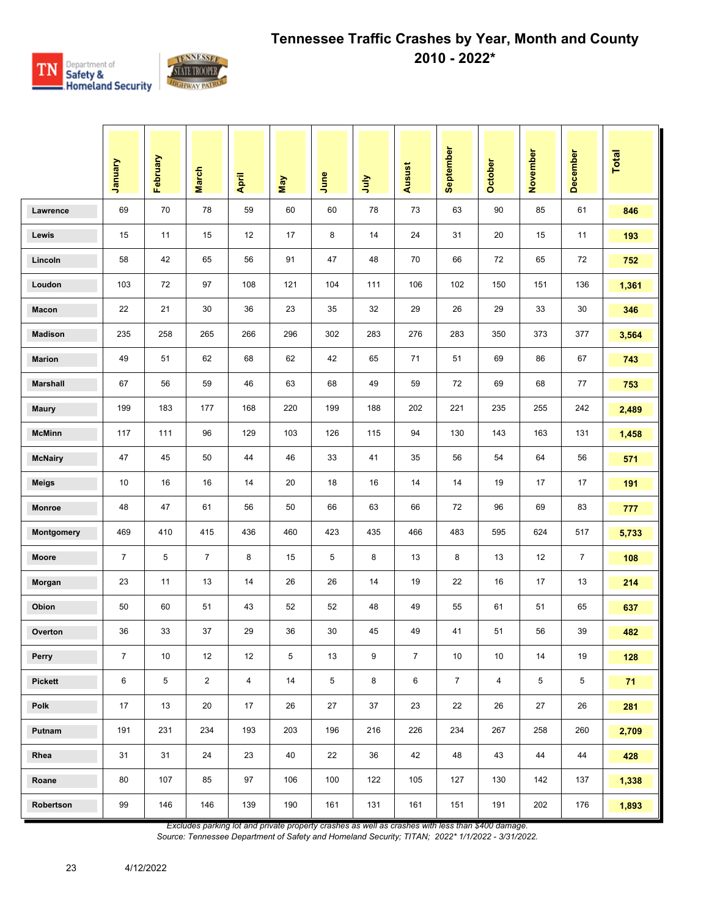

|                 | Vienuel          | February | <b>March</b>   | April                   | May | June | July | <b>Ausust</b>  | September      | October        | November | <b>December</b> | Total |
|-----------------|------------------|----------|----------------|-------------------------|-----|------|------|----------------|----------------|----------------|----------|-----------------|-------|
| Lawrence        | 69               | 70       | 78             | 59                      | 60  | 60   | 78   | 73             | 63             | 90             | 85       | 61              | 846   |
| Lewis           | 15               | 11       | 15             | 12                      | 17  | 8    | 14   | 24             | 31             | 20             | 15       | 11              | 193   |
| Lincoln         | 58               | 42       | 65             | 56                      | 91  | 47   | 48   | 70             | 66             | 72             | 65       | 72              | 752   |
| Loudon          | 103              | 72       | 97             | 108                     | 121 | 104  | 111  | 106            | 102            | 150            | 151      | 136             | 1,361 |
| Macon           | 22               | 21       | 30             | 36                      | 23  | 35   | 32   | 29             | 26             | 29             | 33       | 30              | 346   |
| <b>Madison</b>  | 235              | 258      | 265            | 266                     | 296 | 302  | 283  | 276            | 283            | 350            | 373      | 377             | 3,564 |
| <b>Marion</b>   | 49               | 51       | 62             | 68                      | 62  | 42   | 65   | 71             | 51             | 69             | 86       | 67              | 743   |
| <b>Marshall</b> | 67               | 56       | 59             | 46                      | 63  | 68   | 49   | 59             | 72             | 69             | 68       | 77              | 753   |
| <b>Maury</b>    | 199              | 183      | 177            | 168                     | 220 | 199  | 188  | 202            | 221            | 235            | 255      | 242             | 2,489 |
| <b>McMinn</b>   | 117              | 111      | 96             | 129                     | 103 | 126  | 115  | 94             | 130            | 143            | 163      | 131             | 1,458 |
| <b>McNairy</b>  | 47               | 45       | 50             | 44                      | 46  | 33   | 41   | 35             | 56             | 54             | 64       | 56              | 571   |
| <b>Meigs</b>    | 10               | 16       | 16             | 14                      | 20  | 18   | 16   | 14             | 14             | 19             | 17       | 17              | 191   |
| Monroe          | 48               | 47       | 61             | 56                      | 50  | 66   | 63   | 66             | 72             | 96             | 69       | 83              | 777   |
| Montgomery      | 469              | 410      | 415            | 436                     | 460 | 423  | 435  | 466            | 483            | 595            | 624      | 517             | 5,733 |
| Moore           | $\overline{7}$   | 5        | $\overline{7}$ | 8                       | 15  | 5    | 8    | 13             | 8              | 13             | 12       | $\overline{7}$  | 108   |
| Morgan          | 23               | 11       | 13             | 14                      | 26  | 26   | 14   | 19             | 22             | 16             | 17       | 13              | 214   |
| Obion           | 50               | 60       | 51             | 43                      | 52  | 52   | 48   | 49             | 55             | 61             | 51       | 65              | 637   |
| Overton         | 36               | 33       | 37             | 29                      | 36  | 30   | 45   | 49             | 41             | 51             | 56       | 39              | 482   |
| Perry           | $\boldsymbol{7}$ | 10       | 12             | 12                      | 5   | 13   | 9    | $\overline{7}$ | 10             | $10$           | 14       | 19              | 128   |
| <b>Pickett</b>  | 6                | 5        | $\overline{a}$ | $\overline{\mathbf{4}}$ | 14  | 5    | 8    | 6              | $\overline{7}$ | $\overline{4}$ | 5        | $\overline{5}$  | 71    |
| Polk            | 17               | 13       | 20             | 17                      | 26  | 27   | 37   | 23             | 22             | 26             | 27       | 26              | 281   |
| Putnam          | 191              | 231      | 234            | 193                     | 203 | 196  | 216  | 226            | 234            | 267            | 258      | 260             | 2,709 |
| Rhea            | 31               | 31       | 24             | 23                      | 40  | 22   | 36   | 42             | 48             | 43             | 44       | 44              | 428   |
| Roane           | 80               | 107      | 85             | 97                      | 106 | 100  | 122  | 105            | 127            | 130            | 142      | 137             | 1,338 |
| Robertson       | 99               | 146      | 146            | 139                     | 190 | 161  | 131  | 161            | 151            | 191            | 202      | 176             | 1,893 |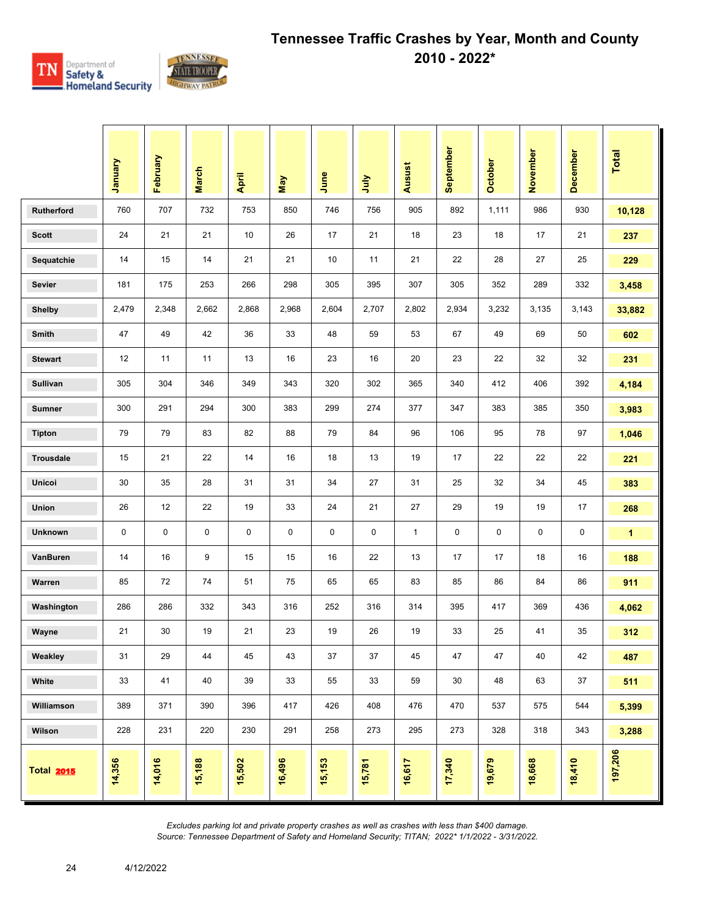

|                   | January | February | <b>March</b> | April       | May         | June      | 言         | <b>Ausust</b> | September | <b>October</b> | November    | <b>December</b> | Total        |
|-------------------|---------|----------|--------------|-------------|-------------|-----------|-----------|---------------|-----------|----------------|-------------|-----------------|--------------|
| Rutherford        | 760     | 707      | 732          | 753         | 850         | 746       | 756       | 905           | 892       | 1,111          | 986         | 930             | 10,128       |
| <b>Scott</b>      | 24      | 21       | 21           | 10          | 26          | 17        | 21        | 18            | 23        | 18             | 17          | 21              | 237          |
| Sequatchie        | 14      | 15       | 14           | 21          | 21          | 10        | 11        | 21            | 22        | 28             | 27          | 25              | 229          |
| <b>Sevier</b>     | 181     | 175      | 253          | 266         | 298         | 305       | 395       | 307           | 305       | 352            | 289         | 332             | 3,458        |
| <b>Shelby</b>     | 2,479   | 2,348    | 2,662        | 2,868       | 2,968       | 2,604     | 2,707     | 2,802         | 2,934     | 3,232          | 3,135       | 3,143           | 33,882       |
| Smith             | 47      | 49       | 42           | 36          | 33          | 48        | 59        | 53            | 67        | 49             | 69          | 50              | 602          |
| <b>Stewart</b>    | 12      | 11       | 11           | 13          | 16          | 23        | 16        | 20            | 23        | 22             | 32          | 32              | 231          |
| <b>Sullivan</b>   | 305     | 304      | 346          | 349         | 343         | 320       | 302       | 365           | 340       | 412            | 406         | 392             | 4,184        |
| <b>Sumner</b>     | 300     | 291      | 294          | 300         | 383         | 299       | 274       | 377           | 347       | 383            | 385         | 350             | 3,983        |
| <b>Tipton</b>     | 79      | 79       | 83           | 82          | 88          | 79        | 84        | 96            | 106       | 95             | 78          | 97              | 1,046        |
| Trousdale         | 15      | 21       | 22           | 14          | 16          | 18        | 13        | 19            | 17        | 22             | 22          | 22              | 221          |
| Unicoi            | 30      | 35       | 28           | 31          | 31          | 34        | 27        | 31            | 25        | 32             | 34          | 45              | 383          |
| Union             | 26      | 12       | 22           | 19          | 33          | 24        | 21        | 27            | 29        | 19             | 19          | 17              | 268          |
| <b>Unknown</b>    | 0       | 0        | 0            | $\mathbf 0$ | $\mathbf 0$ | $\pmb{0}$ | $\pmb{0}$ | $\mathbf{1}$  | 0         | 0              | $\mathbf 0$ | 0               | $\mathbf{1}$ |
| VanBuren          | 14      | 16       | 9            | 15          | 15          | 16        | 22        | 13            | 17        | 17             | 18          | 16              | 188          |
| Warren            | 85      | 72       | 74           | 51          | 75          | 65        | 65        | 83            | 85        | 86             | 84          | 86              | 911          |
| Washington        | 286     | 286      | 332          | 343         | 316         | 252       | 316       | 314           | 395       | 417            | 369         | 436             | 4,062        |
| Wayne             | 21      | 30       | 19           | 21          | 23          | 19        | 26        | 19            | 33        | 25             | 41          | 35              | 312          |
| Weakley           | 31      | 29       | 44           | 45          | 43          | 37        | 37        | 45            | 47        | 47             | 40          | 42              | 487          |
| White             | 33      | 41       | 40           | 39          | 33          | 55        | 33        | 59            | 30        | 48             | 63          | 37              | 511          |
| Williamson        | 389     | 371      | 390          | 396         | 417         | 426       | 408       | 476           | 470       | 537            | 575         | 544             | 5,399        |
| Wilson            | 228     | 231      | 220          | 230         | 291         | 258       | 273       | 295           | 273       | 328            | 318         | 343             | 3,288        |
| <b>Total 2015</b> | 14,356  | 14,016   | 15,188       | 15,502      | 16,496      | 15,153    | 15,781    | 16,617        | 17,340    | 19,679         | 18,668      | 18,410          | 197,206      |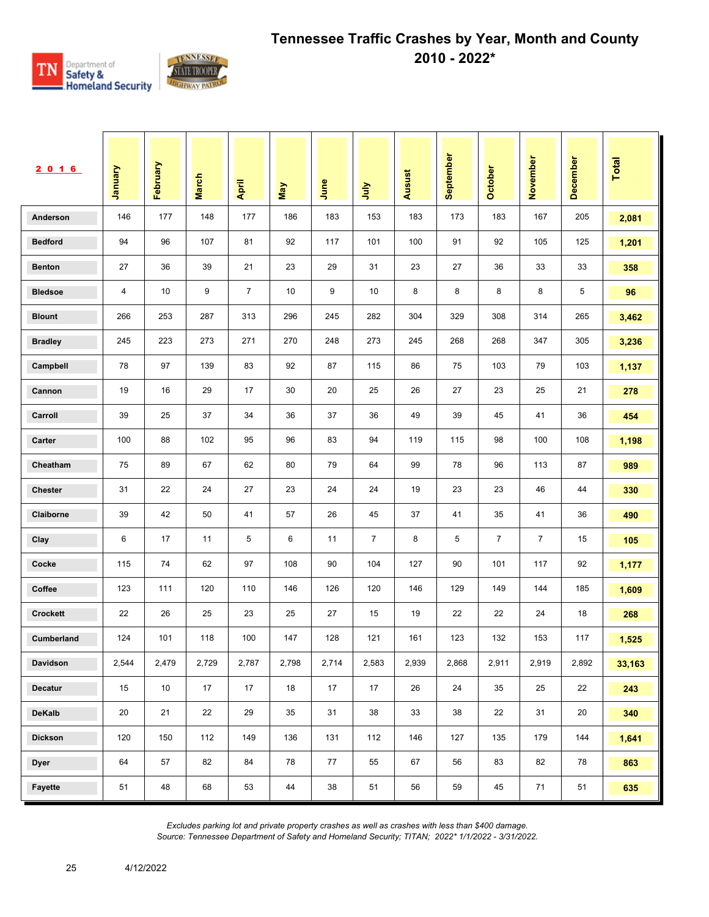

| <u>2016</u>     | <b>January</b> | February | <b>March</b> | April          | Vay   | June  | <b>Surt</b>    | <b>Ausust</b> | September | <b>October</b> | November       | December | <b>Total</b> |
|-----------------|----------------|----------|--------------|----------------|-------|-------|----------------|---------------|-----------|----------------|----------------|----------|--------------|
| Anderson        | 146            | 177      | 148          | 177            | 186   | 183   | 153            | 183           | 173       | 183            | 167            | 205      | 2,081        |
| <b>Bedford</b>  | 94             | 96       | 107          | 81             | 92    | 117   | 101            | 100           | 91        | 92             | 105            | 125      | 1,201        |
| <b>Benton</b>   | 27             | 36       | 39           | 21             | 23    | 29    | 31             | 23            | 27        | 36             | 33             | 33       | 358          |
| <b>Bledsoe</b>  | 4              | 10       | 9            | $\overline{7}$ | 10    | 9     | 10             | 8             | 8         | 8              | 8              | 5        | 96           |
| <b>Blount</b>   | 266            | 253      | 287          | 313            | 296   | 245   | 282            | 304           | 329       | 308            | 314            | 265      | 3,462        |
| <b>Bradley</b>  | 245            | 223      | 273          | 271            | 270   | 248   | 273            | 245           | 268       | 268            | 347            | 305      | 3,236        |
| Campbell        | 78             | 97       | 139          | 83             | 92    | 87    | 115            | 86            | 75        | 103            | 79             | 103      | 1,137        |
| Cannon          | 19             | 16       | 29           | 17             | 30    | 20    | 25             | 26            | 27        | 23             | 25             | 21       | 278          |
| Carroll         | 39             | 25       | 37           | 34             | 36    | 37    | 36             | 49            | 39        | 45             | 41             | 36       | 454          |
| Carter          | 100            | 88       | 102          | 95             | 96    | 83    | 94             | 119           | 115       | 98             | 100            | 108      | 1,198        |
| Cheatham        | 75             | 89       | 67           | 62             | 80    | 79    | 64             | 99            | 78        | 96             | 113            | 87       | 989          |
| <b>Chester</b>  | 31             | 22       | 24           | 27             | 23    | 24    | 24             | 19            | 23        | 23             | 46             | 44       | 330          |
| Claiborne       | 39             | 42       | 50           | 41             | 57    | 26    | 45             | 37            | 41        | 35             | 41             | 36       | 490          |
| Clay            | 6              | 17       | 11           | 5              | 6     | 11    | $\overline{7}$ | 8             | 5         | $\overline{7}$ | $\overline{7}$ | 15       | 105          |
| Cocke           | 115            | 74       | 62           | 97             | 108   | 90    | 104            | 127           | 90        | 101            | 117            | 92       | 1,177        |
| Coffee          | 123            | 111      | 120          | 110            | 146   | 126   | 120            | 146           | 129       | 149            | 144            | 185      | 1,609        |
| <b>Crockett</b> | 22             | 26       | 25           | 23             | 25    | 27    | 15             | 19            | 22        | 22             | 24             | 18       | 268          |
| Cumberland      | 124            | 101      | 118          | 100            | 147   | 128   | 121            | 161           | 123       | 132            | 153            | 117      | 1,525        |
| Davidson        | 2,544          | 2,479    | 2,729        | 2,787          | 2,798 | 2,714 | 2,583          | 2,939         | 2,868     | 2,911          | 2,919          | 2,892    | 33,163       |
| <b>Decatur</b>  | 15             | 10       | 17           | 17             | 18    | 17    | 17             | 26            | 24        | 35             | 25             | 22       | 243          |
| DeKalb          | 20             | 21       | 22           | 29             | 35    | 31    | 38             | 33            | 38        | 22             | 31             | 20       | 340          |
| <b>Dickson</b>  | 120            | 150      | 112          | 149            | 136   | 131   | 112            | 146           | 127       | 135            | 179            | 144      | 1,641        |
| <b>Dyer</b>     | 64             | 57       | 82           | 84             | 78    | 77    | 55             | 67            | 56        | 83             | 82             | 78       | 863          |
| Fayette         | 51             | 48       | 68           | 53             | 44    | 38    | 51             | 56            | 59        | 45             | 71             | 51       | 635          |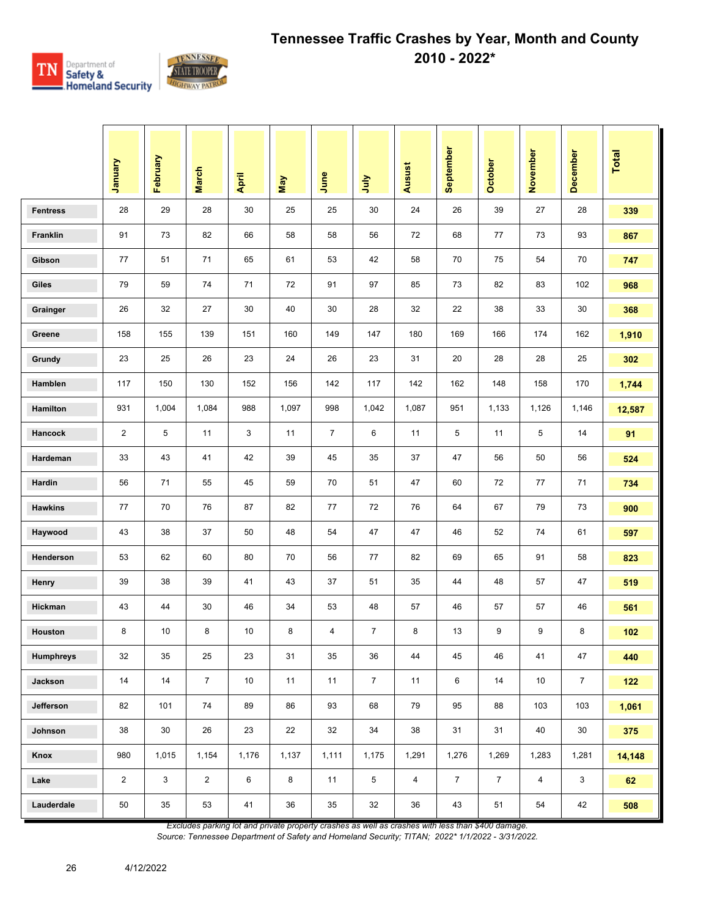

|                  | January        | February     | <b>March</b>    | April | <b>May</b> | June           | 言              | Ausust         | September      | October        | November        | <b>December</b> | Total  |
|------------------|----------------|--------------|-----------------|-------|------------|----------------|----------------|----------------|----------------|----------------|-----------------|-----------------|--------|
| <b>Fentress</b>  | 28             | 29           | 28              | 30    | 25         | 25             | 30             | 24             | 26             | 39             | 27              | 28              | 339    |
| Franklin         | 91             | 73           | 82              | 66    | 58         | 58             | 56             | 72             | 68             | 77             | 73              | 93              | 867    |
| Gibson           | 77             | 51           | 71              | 65    | 61         | 53             | 42             | 58             | 70             | 75             | 54              | 70              | 747    |
| Giles            | 79             | 59           | 74              | 71    | 72         | 91             | 97             | 85             | 73             | 82             | 83              | 102             | 968    |
| Grainger         | 26             | 32           | 27              | 30    | 40         | 30             | 28             | 32             | 22             | 38             | 33              | 30              | 368    |
| Greene           | 158            | 155          | 139             | 151   | 160        | 149            | 147            | 180            | 169            | 166            | 174             | 162             | 1,910  |
| Grundy           | 23             | 25           | 26              | 23    | 24         | 26             | 23             | 31             | 20             | 28             | 28              | 25              | 302    |
| Hamblen          | 117            | 150          | 130             | 152   | 156        | 142            | 117            | 142            | 162            | 148            | 158             | 170             | 1,744  |
| <b>Hamilton</b>  | 931            | 1,004        | 1,084           | 988   | 1,097      | 998            | 1,042          | 1,087          | 951            | 1,133          | 1,126           | 1,146           | 12,587 |
| Hancock          | $\overline{c}$ | 5            | 11              | 3     | 11         | $\overline{7}$ | 6              | 11             | 5              | 11             | 5               | 14              | 91     |
| Hardeman         | 33             | 43           | 41              | 42    | 39         | 45             | 35             | 37             | 47             | 56             | 50              | 56              | 524    |
| Hardin           | 56             | 71           | 55              | 45    | 59         | 70             | 51             | 47             | 60             | 72             | 77              | 71              | 734    |
| <b>Hawkins</b>   | 77             | 70           | 76              | 87    | 82         | 77             | 72             | 76             | 64             | 67             | 79              | 73              | 900    |
| Haywood          | 43             | 38           | 37              | 50    | 48         | 54             | 47             | 47             | 46             | 52             | 74              | 61              | 597    |
| Henderson        | 53             | 62           | 60              | 80    | 70         | 56             | 77             | 82             | 69             | 65             | 91              | 58              | 823    |
| Henry            | 39             | 38           | 39              | 41    | 43         | 37             | 51             | 35             | 44             | 48             | 57              | 47              | 519    |
| Hickman          | 43             | 44           | 30              | 46    | 34         | 53             | 48             | 57             | 46             | 57             | 57              | 46              | 561    |
| Houston          | 8              | 10           | 8               | 10    | 8          | 4              | $\overline{7}$ | 8              | 13             | 9              | 9               | 8               | 102    |
| <b>Humphreys</b> | 32             | 35           | 25              | 23    | 31         | 35             | 36             | 44             | 45             | 46             | 41              | $47\,$          | 440    |
| Jackson          | 14             | 14           | $7\overline{ }$ | 10    | 11         | 11             | $\overline{7}$ | 11             | 6              | 14             | 10 <sup>°</sup> | $\overline{7}$  | $122$  |
| Jefferson        | 82             | 101          | 74              | 89    | 86         | 93             | 68             | 79             | 95             | 88             | 103             | 103             | 1,061  |
| Johnson          | 38             | 30           | 26              | 23    | 22         | 32             | 34             | 38             | 31             | 31             | 40              | $30\,$          | 375    |
| Knox             | 980            | 1,015        | 1,154           | 1,176 | 1,137      | 1,111          | 1,175          | 1,291          | 1,276          | 1,269          | 1,283           | 1,281           | 14,148 |
| Lake             | $\overline{2}$ | $\mathbf{3}$ | $\overline{2}$  | 6     | $\bf8$     | 11             | 5              | $\overline{4}$ | $\overline{7}$ | $\overline{7}$ | $\overline{4}$  | 3               | 62     |
| Lauderdale       | 50             | $35\,$       | 53              | 41    | 36         | $35\,$         | 32             | 36             | 43             | 51             | 54              | 42              | 508    |

*Excludes parking lot and private property crashes as well as crashes with less than \$400 damage.*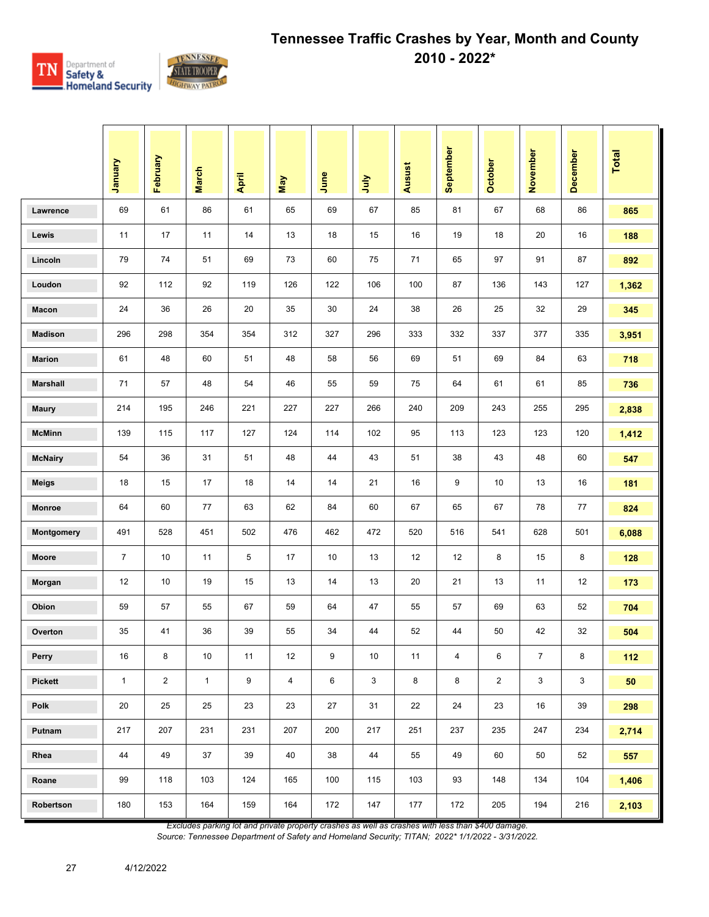

|                 | January        | February       | <b>March</b> | April | May            | June | <b>Surt</b> | <b>Ausust</b> | September               | October        | November       | December     | <b>Total</b> |
|-----------------|----------------|----------------|--------------|-------|----------------|------|-------------|---------------|-------------------------|----------------|----------------|--------------|--------------|
| Lawrence        | 69             | 61             | 86           | 61    | 65             | 69   | 67          | 85            | 81                      | 67             | 68             | 86           | 865          |
| Lewis           | 11             | 17             | 11           | 14    | 13             | 18   | 15          | 16            | 19                      | 18             | 20             | 16           | 188          |
| Lincoln         | 79             | 74             | 51           | 69    | 73             | 60   | 75          | 71            | 65                      | 97             | 91             | 87           | 892          |
| Loudon          | 92             | 112            | 92           | 119   | 126            | 122  | 106         | 100           | 87                      | 136            | 143            | 127          | 1,362        |
| Macon           | 24             | 36             | 26           | 20    | 35             | 30   | 24          | 38            | 26                      | 25             | 32             | 29           | 345          |
| <b>Madison</b>  | 296            | 298            | 354          | 354   | 312            | 327  | 296         | 333           | 332                     | 337            | 377            | 335          | 3,951        |
| <b>Marion</b>   | 61             | 48             | 60           | 51    | 48             | 58   | 56          | 69            | 51                      | 69             | 84             | 63           | 718          |
| <b>Marshall</b> | 71             | 57             | 48           | 54    | 46             | 55   | 59          | 75            | 64                      | 61             | 61             | 85           | 736          |
| <b>Maury</b>    | 214            | 195            | 246          | 221   | 227            | 227  | 266         | 240           | 209                     | 243            | 255            | 295          | 2,838        |
| <b>McMinn</b>   | 139            | 115            | 117          | 127   | 124            | 114  | 102         | 95            | 113                     | 123            | 123            | 120          | 1,412        |
| <b>McNairy</b>  | 54             | 36             | 31           | 51    | 48             | 44   | 43          | 51            | 38                      | 43             | 48             | 60           | 547          |
| <b>Meigs</b>    | 18             | 15             | 17           | 18    | 14             | 14   | 21          | 16            | 9                       | 10             | 13             | 16           | 181          |
| Monroe          | 64             | 60             | 77           | 63    | 62             | 84   | 60          | 67            | 65                      | 67             | 78             | 77           | 824          |
| Montgomery      | 491            | 528            | 451          | 502   | 476            | 462  | 472         | 520           | 516                     | 541            | 628            | 501          | 6,088        |
| Moore           | $\overline{7}$ | 10             | 11           | 5     | 17             | 10   | 13          | 12            | 12                      | 8              | 15             | 8            | 128          |
| Morgan          | 12             | 10             | 19           | 15    | 13             | 14   | 13          | 20            | 21                      | 13             | 11             | 12           | 173          |
| Obion           | 59             | 57             | 55           | 67    | 59             | 64   | 47          | 55            | 57                      | 69             | 63             | 52           | 704          |
| Overton         | 35             | 41             | 36           | 39    | 55             | 34   | 44          | 52            | 44                      | 50             | 42             | 32           | 504          |
| Perry           | 16             | 8              | $10\,$       | 11    | 12             | 9    | 10          | 11            | $\overline{\mathbf{4}}$ | 6              | $\overline{7}$ | 8            | 112          |
| <b>Pickett</b>  | $\mathbf{1}$   | $\overline{2}$ | $\mathbf{1}$ | 9     | $\overline{4}$ | 6    | 3           | 8             | 8                       | $\overline{2}$ | 3              | $\mathbf{3}$ | 50           |
| Polk            | 20             | 25             | 25           | 23    | 23             | 27   | 31          | 22            | 24                      | 23             | 16             | 39           | 298          |
| Putnam          | 217            | 207            | 231          | 231   | 207            | 200  | 217         | 251           | 237                     | 235            | 247            | 234          | 2,714        |
| Rhea            | 44             | 49             | 37           | 39    | 40             | 38   | 44          | 55            | 49                      | 60             | 50             | 52           | 557          |
| Roane           | 99             | 118            | 103          | 124   | 165            | 100  | 115         | 103           | 93                      | 148            | 134            | 104          | 1,406        |
| Robertson       | 180            | 153            | 164          | 159   | 164            | 172  | 147         | 177           | 172                     | 205            | 194            | 216          | 2,103        |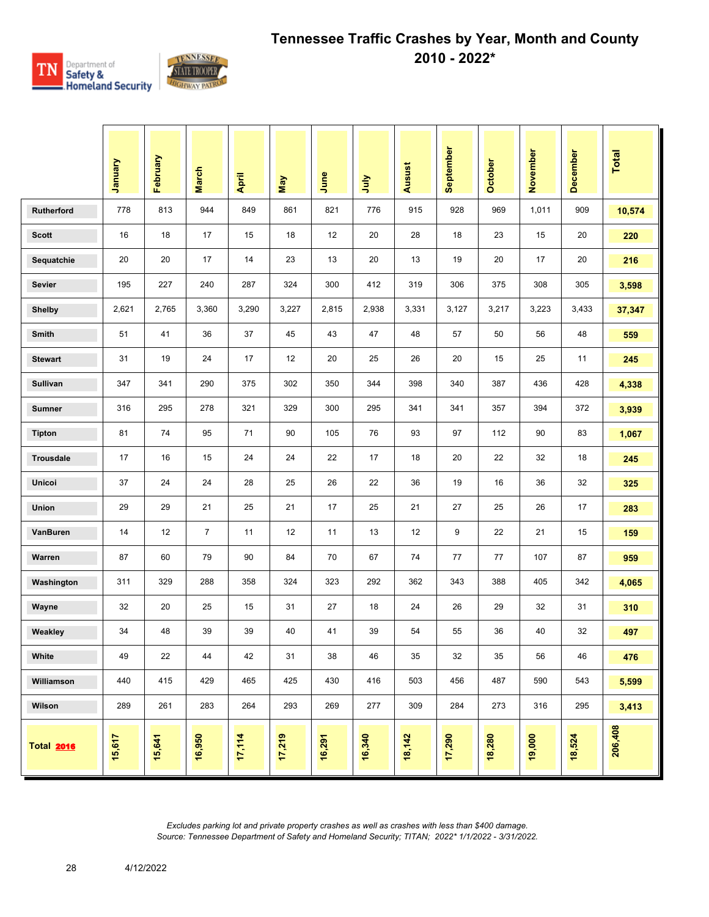

|                   | Vienuel | February | <b>March</b>   | April  | Nay    | June   | July   | Ausust | September | October | November | <b>December</b> | <b>Total</b> |
|-------------------|---------|----------|----------------|--------|--------|--------|--------|--------|-----------|---------|----------|-----------------|--------------|
| <b>Rutherford</b> | 778     | 813      | 944            | 849    | 861    | 821    | 776    | 915    | 928       | 969     | 1,011    | 909             | 10,574       |
| <b>Scott</b>      | 16      | 18       | 17             | 15     | 18     | 12     | 20     | 28     | 18        | 23      | 15       | 20              | 220          |
| Sequatchie        | 20      | 20       | 17             | 14     | 23     | 13     | 20     | 13     | 19        | 20      | 17       | 20              | 216          |
| <b>Sevier</b>     | 195     | 227      | 240            | 287    | 324    | 300    | 412    | 319    | 306       | 375     | 308      | 305             | 3,598        |
| <b>Shelby</b>     | 2,621   | 2,765    | 3,360          | 3,290  | 3,227  | 2,815  | 2,938  | 3,331  | 3,127     | 3,217   | 3,223    | 3,433           | 37,347       |
| Smith             | 51      | 41       | 36             | 37     | 45     | 43     | 47     | 48     | 57        | 50      | 56       | 48              | 559          |
| <b>Stewart</b>    | 31      | 19       | 24             | 17     | 12     | 20     | 25     | 26     | 20        | 15      | 25       | 11              | 245          |
| Sullivan          | 347     | 341      | 290            | 375    | 302    | 350    | 344    | 398    | 340       | 387     | 436      | 428             | 4,338        |
| <b>Sumner</b>     | 316     | 295      | 278            | 321    | 329    | 300    | 295    | 341    | 341       | 357     | 394      | 372             | 3,939        |
| <b>Tipton</b>     | 81      | 74       | 95             | 71     | 90     | 105    | 76     | 93     | 97        | 112     | 90       | 83              | 1,067        |
| <b>Trousdale</b>  | 17      | 16       | 15             | 24     | 24     | 22     | 17     | 18     | 20        | 22      | 32       | 18              | 245          |
| Unicoi            | 37      | 24       | 24             | 28     | 25     | 26     | 22     | 36     | 19        | 16      | 36       | 32              | 325          |
| Union             | 29      | 29       | 21             | 25     | 21     | 17     | 25     | 21     | 27        | 25      | 26       | 17              | 283          |
| VanBuren          | 14      | 12       | $\overline{7}$ | 11     | 12     | 11     | 13     | 12     | 9         | 22      | 21       | 15              | 159          |
| Warren            | 87      | 60       | 79             | 90     | 84     | 70     | 67     | 74     | 77        | 77      | 107      | 87              | 959          |
| Washington        | 311     | 329      | 288            | 358    | 324    | 323    | 292    | 362    | 343       | 388     | 405      | 342             | 4,065        |
| Wayne             | 32      | 20       | 25             | 15     | 31     | 27     | 18     | 24     | 26        | 29      | 32       | 31              | 310          |
| Weakley           | 34      | 48       | 39             | 39     | 40     | 41     | 39     | 54     | 55        | 36      | 40       | 32              | 497          |
| White             | 49      | 22       | 44             | 42     | 31     | 38     | 46     | 35     | 32        | 35      | 56       | 46              | 476          |
| Williamson        | 440     | 415      | 429            | 465    | 425    | 430    | 416    | 503    | 456       | 487     | 590      | 543             | 5,599        |
| Wilson            | 289     | 261      | 283            | 264    | 293    | 269    | 277    | 309    | 284       | 273     | 316      | 295             | 3,413        |
| <b>Total 2016</b> | 15,617  | 15,641   | 16,950         | 17,114 | 17,219 | 16,291 | 16,340 | 18,142 | 17,290    | 18,280  | 19,000   | 18,524          | 206,408      |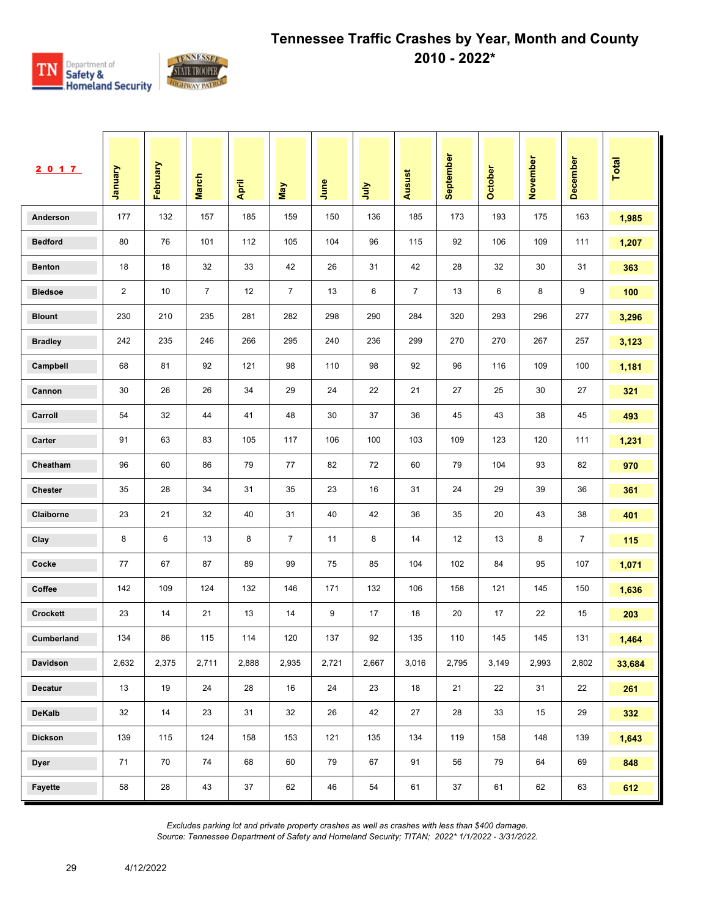

| 2017            | <b>January</b> | February | <b>March</b>   | April | May            | June  | ήη    | Ausust         | September | <b>October</b> | November | December       | Total  |
|-----------------|----------------|----------|----------------|-------|----------------|-------|-------|----------------|-----------|----------------|----------|----------------|--------|
| Anderson        | 177            | 132      | 157            | 185   | 159            | 150   | 136   | 185            | 173       | 193            | 175      | 163            | 1,985  |
| <b>Bedford</b>  | 80             | 76       | 101            | 112   | 105            | 104   | 96    | 115            | 92        | 106            | 109      | 111            | 1,207  |
| <b>Benton</b>   | 18             | 18       | 32             | 33    | 42             | 26    | 31    | 42             | 28        | 32             | 30       | 31             | 363    |
| <b>Bledsoe</b>  | $\overline{2}$ | 10       | $\overline{7}$ | 12    | $\overline{7}$ | 13    | 6     | $\overline{7}$ | 13        | 6              | 8        | 9              | 100    |
| <b>Blount</b>   | 230            | 210      | 235            | 281   | 282            | 298   | 290   | 284            | 320       | 293            | 296      | 277            | 3,296  |
| <b>Bradley</b>  | 242            | 235      | 246            | 266   | 295            | 240   | 236   | 299            | 270       | 270            | 267      | 257            | 3,123  |
| Campbell        | 68             | 81       | 92             | 121   | 98             | 110   | 98    | 92             | 96        | 116            | 109      | 100            | 1,181  |
| Cannon          | 30             | 26       | 26             | 34    | 29             | 24    | 22    | 21             | 27        | 25             | 30       | 27             | 321    |
| Carroll         | 54             | 32       | 44             | 41    | 48             | 30    | 37    | 36             | 45        | 43             | 38       | 45             | 493    |
| Carter          | 91             | 63       | 83             | 105   | 117            | 106   | 100   | 103            | 109       | 123            | 120      | 111            | 1,231  |
| Cheatham        | 96             | 60       | 86             | 79    | 77             | 82    | 72    | 60             | 79        | 104            | 93       | 82             | 970    |
| <b>Chester</b>  | 35             | 28       | 34             | 31    | 35             | 23    | 16    | 31             | 24        | 29             | 39       | 36             | 361    |
| Claiborne       | 23             | 21       | 32             | 40    | 31             | 40    | 42    | 36             | 35        | 20             | 43       | 38             | 401    |
| Clay            | 8              | 6        | 13             | 8     | $\overline{7}$ | 11    | 8     | 14             | 12        | 13             | 8        | $\overline{7}$ | 115    |
| Cocke           | 77             | 67       | 87             | 89    | 99             | 75    | 85    | 104            | 102       | 84             | 95       | 107            | 1,071  |
| Coffee          | 142            | 109      | 124            | 132   | 146            | 171   | 132   | 106            | 158       | 121            | 145      | 150            | 1,636  |
| <b>Crockett</b> | 23             | 14       | 21             | 13    | 14             | 9     | 17    | 18             | 20        | 17             | 22       | 15             | 203    |
| Cumberland      | 134            | 86       | 115            | 114   | 120            | 137   | 92    | 135            | 110       | 145            | 145      | 131            | 1,464  |
| Davidson        | 2,632          | 2,375    | 2,711          | 2,888 | 2,935          | 2,721 | 2,667 | 3,016          | 2,795     | 3,149          | 2,993    | 2,802          | 33,684 |
| <b>Decatur</b>  | 13             | 19       | 24             | 28    | 16             | 24    | 23    | 18             | 21        | 22             | 31       | 22             | 261    |
| <b>DeKalb</b>   | 32             | 14       | 23             | 31    | 32             | 26    | 42    | 27             | 28        | 33             | 15       | 29             | 332    |
| <b>Dickson</b>  | 139            | 115      | 124            | 158   | 153            | 121   | 135   | 134            | 119       | 158            | 148      | 139            | 1,643  |
| <b>Dyer</b>     | 71             | 70       | 74             | 68    | 60             | 79    | 67    | 91             | 56        | 79             | 64       | 69             | 848    |
| Fayette         | 58             | 28       | 43             | 37    | 62             | 46    | 54    | 61             | 37        | 61             | 62       | 63             | 612    |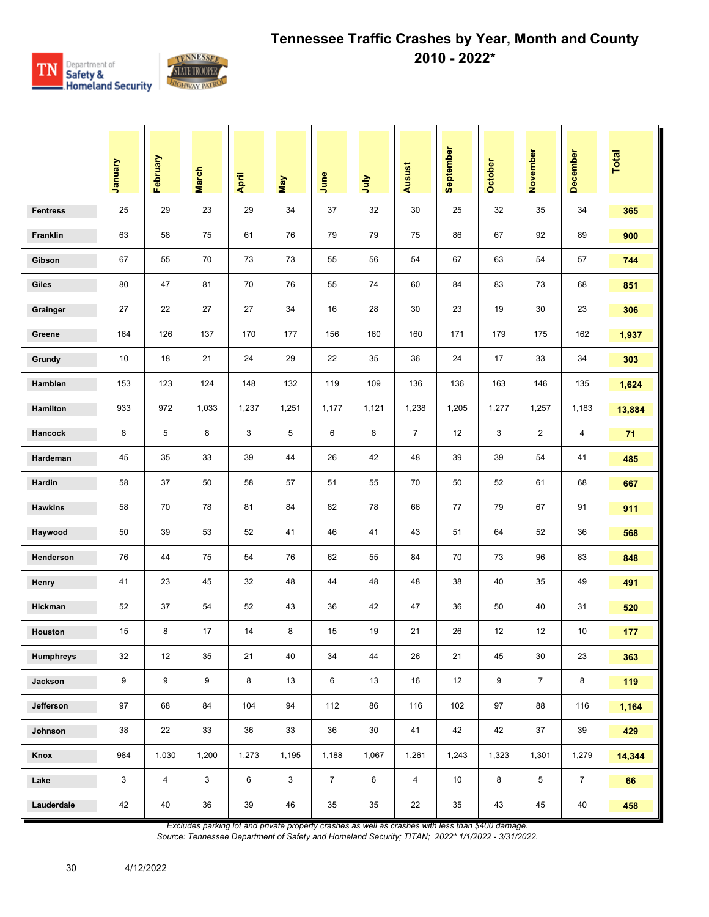

|                  | January | February       | <b>March</b> | April | <b>May</b>   | June           | 言     | Ausust         | September | October | November       | <b>December</b> | Total  |
|------------------|---------|----------------|--------------|-------|--------------|----------------|-------|----------------|-----------|---------|----------------|-----------------|--------|
| <b>Fentress</b>  | 25      | 29             | 23           | 29    | 34           | 37             | 32    | 30             | 25        | 32      | 35             | 34              | 365    |
| Franklin         | 63      | 58             | 75           | 61    | 76           | 79             | 79    | 75             | 86        | 67      | 92             | 89              | 900    |
| Gibson           | 67      | 55             | 70           | 73    | 73           | 55             | 56    | 54             | 67        | 63      | 54             | 57              | 744    |
| Giles            | 80      | 47             | 81           | 70    | 76           | 55             | 74    | 60             | 84        | 83      | 73             | 68              | 851    |
| Grainger         | 27      | 22             | 27           | 27    | 34           | 16             | 28    | 30             | 23        | 19      | 30             | 23              | 306    |
| Greene           | 164     | 126            | 137          | 170   | 177          | 156            | 160   | 160            | 171       | 179     | 175            | 162             | 1,937  |
| Grundy           | 10      | 18             | 21           | 24    | 29           | 22             | 35    | 36             | 24        | 17      | 33             | 34              | 303    |
| Hamblen          | 153     | 123            | 124          | 148   | 132          | 119            | 109   | 136            | 136       | 163     | 146            | 135             | 1,624  |
| Hamilton         | 933     | 972            | 1,033        | 1,237 | 1,251        | 1,177          | 1,121 | 1,238          | 1,205     | 1,277   | 1,257          | 1,183           | 13,884 |
| Hancock          | 8       | 5              | 8            | 3     | 5            | 6              | 8     | $\overline{7}$ | 12        | 3       | $\mathbf{2}$   | 4               | 71     |
| Hardeman         | 45      | 35             | 33           | 39    | 44           | 26             | 42    | 48             | 39        | 39      | 54             | 41              | 485    |
| Hardin           | 58      | 37             | 50           | 58    | 57           | 51             | 55    | 70             | 50        | 52      | 61             | 68              | 667    |
| <b>Hawkins</b>   | 58      | 70             | 78           | 81    | 84           | 82             | 78    | 66             | 77        | 79      | 67             | 91              | 911    |
| Haywood          | 50      | 39             | 53           | 52    | 41           | 46             | 41    | 43             | 51        | 64      | 52             | 36              | 568    |
| Henderson        | 76      | 44             | 75           | 54    | 76           | 62             | 55    | 84             | 70        | 73      | 96             | 83              | 848    |
| Henry            | 41      | 23             | 45           | 32    | 48           | 44             | 48    | 48             | 38        | 40      | 35             | 49              | 491    |
| Hickman          | 52      | 37             | 54           | 52    | 43           | 36             | 42    | 47             | 36        | 50      | 40             | 31              | 520    |
| Houston          | 15      | 8              | 17           | 14    | 8            | 15             | 19    | 21             | 26        | 12      | 12             | 10              | 177    |
| <b>Humphreys</b> | 32      | 12             | 35           | 21    | 40           | 34             | 44    | 26             | 21        | 45      | 30             | 23              | 363    |
| Jackson          | 9       | 9              | 9            | 8     | 13           | 6              | 13    | 16             | 12        | 9       | $\overline{7}$ | 8               | 119    |
| Jefferson        | 97      | 68             | 84           | 104   | 94           | 112            | 86    | 116            | 102       | 97      | 88             | 116             | 1,164  |
| Johnson          | 38      | 22             | 33           | 36    | 33           | 36             | 30    | 41             | 42        | 42      | 37             | 39              | 429    |
| Knox             | 984     | 1,030          | 1,200        | 1,273 | 1,195        | 1,188          | 1,067 | 1,261          | 1,243     | 1,323   | 1,301          | 1,279           | 14,344 |
| Lake             | 3       | $\overline{4}$ | 3            | 6     | $\mathbf{3}$ | $\overline{7}$ | 6     | $\overline{4}$ | 10        | 8       | 5              | $\overline{7}$  | 66     |
| Lauderdale       | 42      | 40             | 36           | 39    | 46           | $35\,$         | 35    | 22             | 35        | 43      | 45             | 40              | 458    |

*Excludes parking lot and private property crashes as well as crashes with less than \$400 damage.*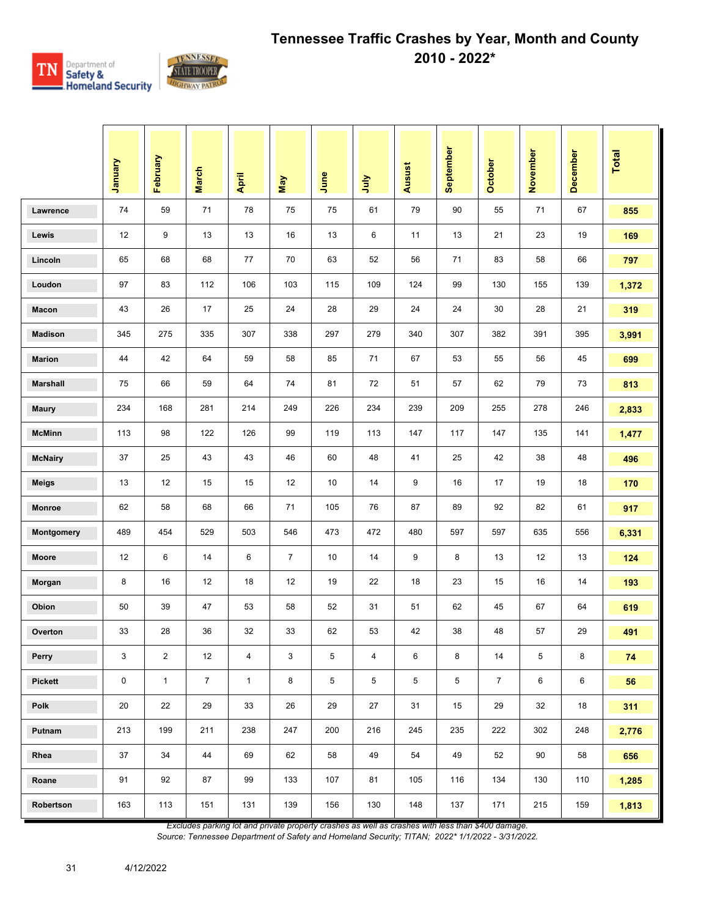

|                 | Vienuary | February       | <b>March</b>   | April        | May            | June | July | <b>Ausust</b> | September | <b>October</b> | November | December | <b>Total</b> |
|-----------------|----------|----------------|----------------|--------------|----------------|------|------|---------------|-----------|----------------|----------|----------|--------------|
| Lawrence        | 74       | 59             | 71             | 78           | 75             | 75   | 61   | 79            | 90        | 55             | 71       | 67       | 855          |
| Lewis           | 12       | 9              | 13             | 13           | 16             | 13   | 6    | 11            | 13        | 21             | 23       | 19       | 169          |
| Lincoln         | 65       | 68             | 68             | 77           | 70             | 63   | 52   | 56            | 71        | 83             | 58       | 66       | 797          |
| Loudon          | 97       | 83             | 112            | 106          | 103            | 115  | 109  | 124           | 99        | 130            | 155      | 139      | 1,372        |
| Macon           | 43       | 26             | 17             | 25           | 24             | 28   | 29   | 24            | 24        | 30             | 28       | 21       | 319          |
| <b>Madison</b>  | 345      | 275            | 335            | 307          | 338            | 297  | 279  | 340           | 307       | 382            | 391      | 395      | 3,991        |
| <b>Marion</b>   | 44       | 42             | 64             | 59           | 58             | 85   | 71   | 67            | 53        | 55             | 56       | 45       | 699          |
| <b>Marshall</b> | 75       | 66             | 59             | 64           | 74             | 81   | 72   | 51            | 57        | 62             | 79       | 73       | 813          |
| <b>Maury</b>    | 234      | 168            | 281            | 214          | 249            | 226  | 234  | 239           | 209       | 255            | 278      | 246      | 2,833        |
| <b>McMinn</b>   | 113      | 98             | 122            | 126          | 99             | 119  | 113  | 147           | 117       | 147            | 135      | 141      | 1,477        |
| <b>McNairy</b>  | 37       | 25             | 43             | 43           | 46             | 60   | 48   | 41            | 25        | 42             | 38       | 48       | 496          |
| <b>Meigs</b>    | 13       | 12             | 15             | 15           | 12             | 10   | 14   | 9             | 16        | 17             | 19       | 18       | 170          |
| <b>Monroe</b>   | 62       | 58             | 68             | 66           | 71             | 105  | 76   | 87            | 89        | 92             | 82       | 61       | 917          |
| Montgomery      | 489      | 454            | 529            | 503          | 546            | 473  | 472  | 480           | 597       | 597            | 635      | 556      | 6,331        |
| Moore           | 12       | 6              | 14             | 6            | $\overline{7}$ | 10   | 14   | 9             | 8         | 13             | 12       | 13       | 124          |
| Morgan          | 8        | 16             | 12             | 18           | 12             | 19   | 22   | 18            | 23        | 15             | 16       | 14       | 193          |
| Obion           | 50       | 39             | 47             | 53           | 58             | 52   | 31   | 51            | 62        | 45             | 67       | 64       | 619          |
| Overton         | 33       | 28             | 36             | 32           | 33             | 62   | 53   | 42            | 38        | 48             | 57       | 29       | 491          |
| Perry           | 3        | $\overline{2}$ | 12             | 4            | 3              | 5    | 4    | 6             | 8         | 14             | 5        | 8        | 74           |
| Pickett         | 0        | $\mathbf{1}$   | $\overline{7}$ | $\mathbf{1}$ | 8              | 5    | 5    | 5             | 5         | $\overline{7}$ | 6        | 6        | 56           |
| Polk            | 20       | 22             | 29             | 33           | 26             | 29   | 27   | 31            | 15        | 29             | 32       | 18       | 311          |
| Putnam          | 213      | 199            | 211            | 238          | 247            | 200  | 216  | 245           | 235       | 222            | 302      | 248      | 2,776        |
| Rhea            | 37       | 34             | 44             | 69           | 62             | 58   | 49   | 54            | 49        | 52             | 90       | 58       | 656          |
| Roane           | 91       | 92             | 87             | 99           | 133            | 107  | 81   | 105           | 116       | 134            | 130      | 110      | 1,285        |
| Robertson       | 163      | 113            | 151            | 131          | 139            | 156  | 130  | 148           | 137       | 171            | 215      | 159      | 1,813        |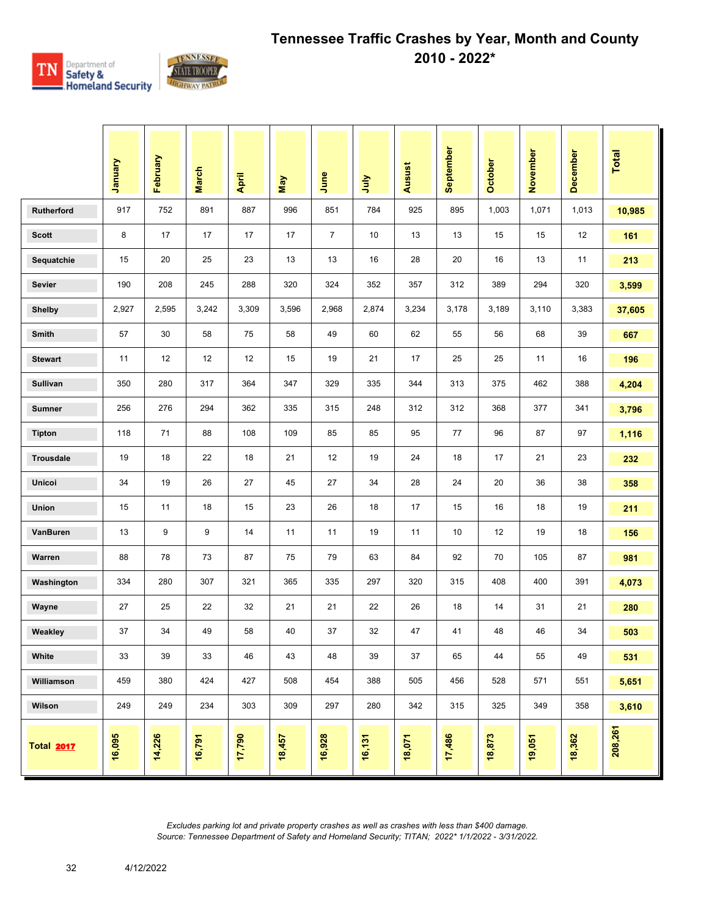

|                | January | February | <b>March</b> | April  | May    | June           | ήnη    | Ausust | September | <b>October</b> | November | December | Total   |
|----------------|---------|----------|--------------|--------|--------|----------------|--------|--------|-----------|----------------|----------|----------|---------|
| Rutherford     | 917     | 752      | 891          | 887    | 996    | 851            | 784    | 925    | 895       | 1,003          | 1,071    | 1,013    | 10,985  |
| <b>Scott</b>   | 8       | 17       | 17           | 17     | 17     | $\overline{7}$ | 10     | 13     | 13        | 15             | 15       | 12       | 161     |
| Sequatchie     | 15      | 20       | 25           | 23     | 13     | 13             | 16     | 28     | 20        | 16             | 13       | 11       | 213     |
| <b>Sevier</b>  | 190     | 208      | 245          | 288    | 320    | 324            | 352    | 357    | 312       | 389            | 294      | 320      | 3,599   |
| <b>Shelby</b>  | 2,927   | 2,595    | 3,242        | 3,309  | 3,596  | 2,968          | 2,874  | 3,234  | 3,178     | 3,189          | 3,110    | 3,383    | 37,605  |
| Smith          | 57      | 30       | 58           | 75     | 58     | 49             | 60     | 62     | 55        | 56             | 68       | 39       | 667     |
| <b>Stewart</b> | 11      | 12       | 12           | 12     | 15     | 19             | 21     | 17     | 25        | 25             | 11       | 16       | 196     |
| Sullivan       | 350     | 280      | 317          | 364    | 347    | 329            | 335    | 344    | 313       | 375            | 462      | 388      | 4,204   |
| <b>Sumner</b>  | 256     | 276      | 294          | 362    | 335    | 315            | 248    | 312    | 312       | 368            | 377      | 341      | 3,796   |
| <b>Tipton</b>  | 118     | 71       | 88           | 108    | 109    | 85             | 85     | 95     | 77        | 96             | 87       | 97       | 1,116   |
| Trousdale      | 19      | 18       | 22           | 18     | 21     | 12             | 19     | 24     | 18        | 17             | 21       | 23       | 232     |
| Unicoi         | 34      | 19       | 26           | 27     | 45     | 27             | 34     | 28     | 24        | 20             | 36       | 38       | 358     |
| Union          | 15      | 11       | 18           | 15     | 23     | 26             | 18     | 17     | 15        | 16             | 18       | 19       | 211     |
| VanBuren       | 13      | 9        | 9            | 14     | 11     | 11             | 19     | 11     | 10        | 12             | 19       | 18       | 156     |
| Warren         | 88      | 78       | 73           | 87     | 75     | 79             | 63     | 84     | 92        | 70             | 105      | 87       | 981     |
| Washington     | 334     | 280      | 307          | 321    | 365    | 335            | 297    | 320    | 315       | 408            | 400      | 391      | 4,073   |
| Wayne          | 27      | 25       | 22           | 32     | 21     | 21             | 22     | 26     | 18        | 14             | 31       | 21       | 280     |
| Weakley        | 37      | 34       | 49           | 58     | 40     | 37             | 32     | 47     | 41        | 48             | 46       | 34       | 503     |
| White          | 33      | 39       | 33           | 46     | 43     | 48             | 39     | $37\,$ | 65        | 44             | 55       | 49       | 531     |
| Williamson     | 459     | 380      | 424          | 427    | 508    | 454            | 388    | 505    | 456       | 528            | 571      | 551      | 5,651   |
| Wilson         | 249     | 249      | 234          | 303    | 309    | 297            | 280    | 342    | 315       | 325            | 349      | 358      | 3,610   |
| Total 2017     | 16,095  | 14,226   | 16,791       | 17,790 | 18,457 | 16,928         | 16,131 | 18,071 | 17,486    | 18,873         | 19,051   | 18,362   | 208,261 |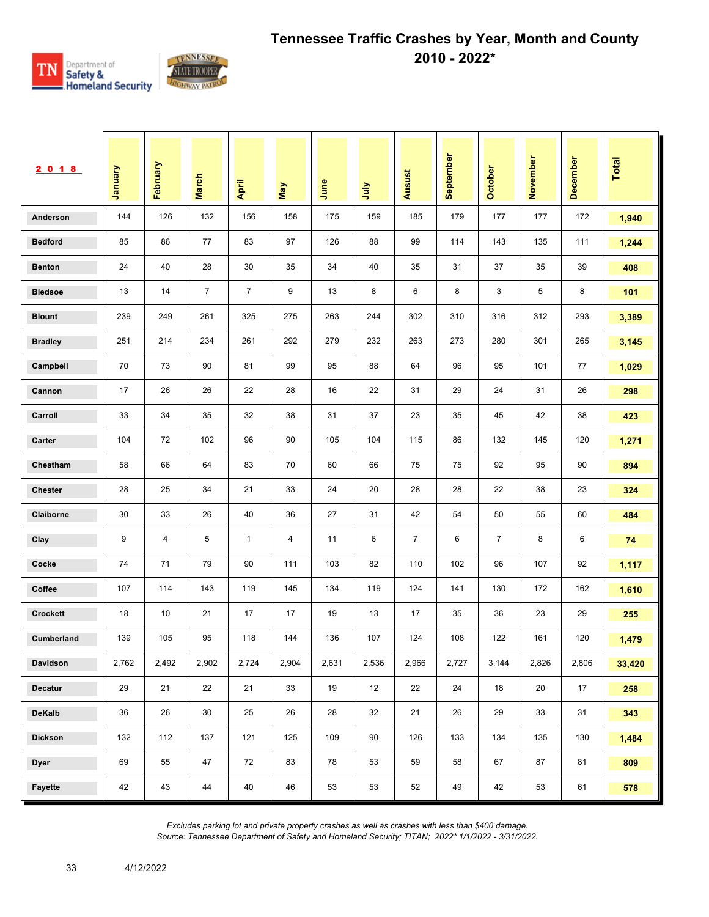

| 2018            | Vanuary | February | <b>March</b>   | April          | May   | June  | ήη    | Ausust         | September | October        | November | December | <b>Total</b> |
|-----------------|---------|----------|----------------|----------------|-------|-------|-------|----------------|-----------|----------------|----------|----------|--------------|
| Anderson        | 144     | 126      | 132            | 156            | 158   | 175   | 159   | 185            | 179       | 177            | 177      | 172      | 1,940        |
| <b>Bedford</b>  | 85      | 86       | 77             | 83             | 97    | 126   | 88    | 99             | 114       | 143            | 135      | 111      | 1,244        |
| <b>Benton</b>   | 24      | 40       | 28             | 30             | 35    | 34    | 40    | 35             | 31        | 37             | 35       | 39       | 408          |
| <b>Bledsoe</b>  | 13      | 14       | $\overline{7}$ | $\overline{7}$ | 9     | 13    | 8     | 6              | 8         | 3              | 5        | 8        | 101          |
| <b>Blount</b>   | 239     | 249      | 261            | 325            | 275   | 263   | 244   | 302            | 310       | 316            | 312      | 293      | 3,389        |
| <b>Bradley</b>  | 251     | 214      | 234            | 261            | 292   | 279   | 232   | 263            | 273       | 280            | 301      | 265      | 3,145        |
| Campbell        | 70      | 73       | 90             | 81             | 99    | 95    | 88    | 64             | 96        | 95             | 101      | 77       | 1,029        |
| Cannon          | 17      | 26       | 26             | 22             | 28    | 16    | 22    | 31             | 29        | 24             | 31       | 26       | 298          |
| Carroll         | 33      | 34       | 35             | 32             | 38    | 31    | 37    | 23             | 35        | 45             | 42       | 38       | 423          |
| Carter          | 104     | 72       | 102            | 96             | 90    | 105   | 104   | 115            | 86        | 132            | 145      | 120      | 1,271        |
| Cheatham        | 58      | 66       | 64             | 83             | 70    | 60    | 66    | 75             | 75        | 92             | 95       | 90       | 894          |
| <b>Chester</b>  | 28      | 25       | 34             | 21             | 33    | 24    | 20    | 28             | 28        | 22             | 38       | 23       | 324          |
| Claiborne       | 30      | 33       | 26             | 40             | 36    | 27    | 31    | 42             | 54        | 50             | 55       | 60       | 484          |
| Clay            | 9       | 4        | 5              | $\mathbf{1}$   | 4     | 11    | 6     | $\overline{7}$ | 6         | $\overline{7}$ | 8        | 6        | 74           |
| Cocke           | 74      | 71       | 79             | 90             | 111   | 103   | 82    | 110            | 102       | 96             | 107      | 92       | 1,117        |
| Coffee          | 107     | 114      | 143            | 119            | 145   | 134   | 119   | 124            | 141       | 130            | 172      | 162      | 1,610        |
| <b>Crockett</b> | 18      | 10       | 21             | 17             | 17    | 19    | 13    | 17             | 35        | 36             | 23       | 29       | 255          |
| Cumberland      | 139     | 105      | 95             | 118            | 144   | 136   | 107   | 124            | 108       | 122            | 161      | 120      | 1,479        |
| Davidson        | 2,762   | 2,492    | 2,902          | 2,724          | 2,904 | 2,631 | 2,536 | 2,966          | 2,727     | 3,144          | 2,826    | 2,806    | 33,420       |
| Decatur         | 29      | 21       | 22             | 21             | 33    | 19    | 12    | 22             | 24        | 18             | 20       | 17       | 258          |
| DeKalb          | 36      | 26       | 30             | 25             | 26    | 28    | 32    | 21             | 26        | 29             | 33       | 31       | 343          |
| <b>Dickson</b>  | 132     | 112      | 137            | 121            | 125   | 109   | 90    | 126            | 133       | 134            | 135      | 130      | 1,484        |
| <b>Dyer</b>     | 69      | 55       | 47             | 72             | 83    | 78    | 53    | 59             | 58        | 67             | 87       | 81       | 809          |
| Fayette         | 42      | 43       | 44             | 40             | 46    | 53    | 53    | 52             | 49        | 42             | 53       | 61       | 578          |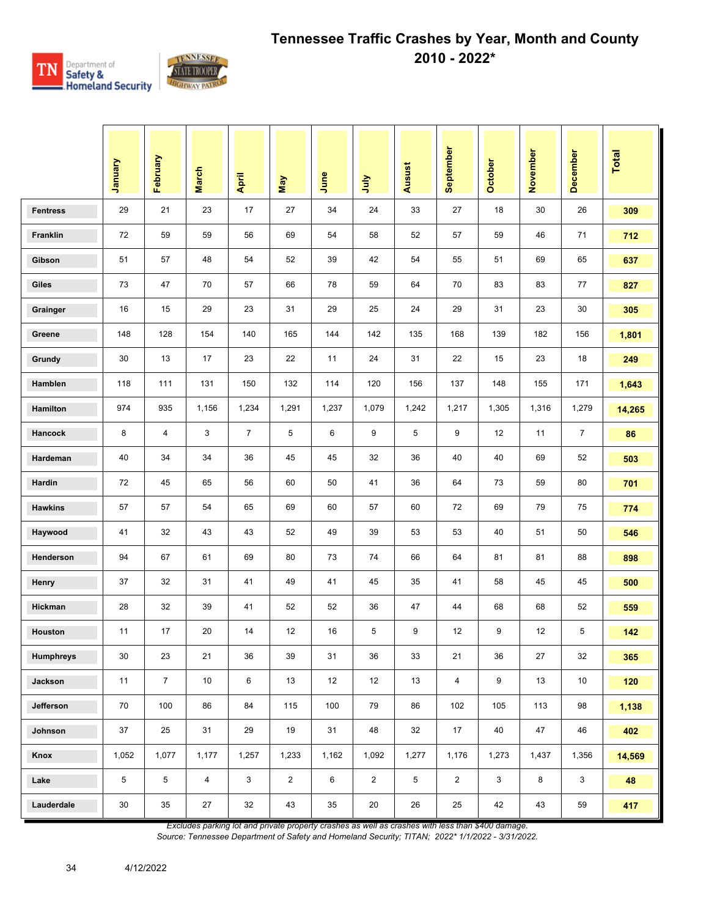

|                  | January | February       | <b>March</b>   | April          | May            | June  | July           | Ausust          | September      | <b>October</b> | November | December       | <b>Total</b> |
|------------------|---------|----------------|----------------|----------------|----------------|-------|----------------|-----------------|----------------|----------------|----------|----------------|--------------|
| <b>Fentress</b>  | 29      | 21             | 23             | 17             | 27             | 34    | 24             | 33              | 27             | 18             | 30       | 26             | 309          |
| Franklin         | 72      | 59             | 59             | 56             | 69             | 54    | 58             | 52              | 57             | 59             | 46       | 71             | 712          |
| Gibson           | 51      | 57             | 48             | 54             | 52             | 39    | 42             | 54              | 55             | 51             | 69       | 65             | 637          |
| Giles            | 73      | 47             | 70             | 57             | 66             | 78    | 59             | 64              | 70             | 83             | 83       | 77             | 827          |
| Grainger         | 16      | 15             | 29             | 23             | 31             | 29    | 25             | 24              | 29             | 31             | 23       | 30             | 305          |
| Greene           | 148     | 128            | 154            | 140            | 165            | 144   | 142            | 135             | 168            | 139            | 182      | 156            | 1,801        |
| Grundy           | 30      | 13             | 17             | 23             | 22             | 11    | 24             | 31              | 22             | 15             | 23       | 18             | 249          |
| Hamblen          | 118     | 111            | 131            | 150            | 132            | 114   | 120            | 156             | 137            | 148            | 155      | 171            | 1,643        |
| Hamilton         | 974     | 935            | 1,156          | 1,234          | 1,291          | 1,237 | 1,079          | 1,242           | 1,217          | 1,305          | 1,316    | 1,279          | 14,265       |
| <b>Hancock</b>   | 8       | 4              | 3              | $\overline{7}$ | 5              | 6     | 9              | 5               | 9              | 12             | 11       | $\overline{7}$ | 86           |
| Hardeman         | 40      | 34             | 34             | 36             | 45             | 45    | 32             | 36              | 40             | 40             | 69       | 52             | 503          |
| Hardin           | 72      | 45             | 65             | 56             | 60             | 50    | 41             | 36              | 64             | 73             | 59       | 80             | 701          |
| <b>Hawkins</b>   | 57      | 57             | 54             | 65             | 69             | 60    | 57             | 60              | 72             | 69             | 79       | 75             | 774          |
| Haywood          | 41      | 32             | 43             | 43             | 52             | 49    | 39             | 53              | 53             | 40             | 51       | 50             | 546          |
| Henderson        | 94      | 67             | 61             | 69             | 80             | 73    | 74             | 66              | 64             | 81             | 81       | 88             | 898          |
| Henry            | 37      | 32             | 31             | 41             | 49             | 41    | 45             | 35              | 41             | 58             | 45       | 45             | 500          |
| Hickman          | 28      | 32             | 39             | 41             | 52             | 52    | 36             | 47              | 44             | 68             | 68       | 52             | 559          |
| Houston          | 11      | 17             | 20             | 14             | 12             | 16    | 5              | 9               | 12             | 9              | 12       | 5              | 142          |
| <b>Humphreys</b> | $30\,$  | 23             | 21             | 36             | 39             | 31    | 36             | 33              | 21             | 36             | 27       | 32             | 365          |
| Jackson          | 11      | $\overline{7}$ | 10             | 6              | 13             | 12    | 12             | 13              | $\overline{4}$ | $9\,$          | 13       | $10$           | 120          |
| Jefferson        | 70      | 100            | 86             | 84             | 115            | 100   | 79             | 86              | 102            | 105            | 113      | 98             | 1,138        |
| Johnson          | 37      | 25             | 31             | 29             | 19             | 31    | 48             | 32              | 17             | 40             | 47       | 46             | 402          |
| Knox             | 1,052   | 1,077          | 1,177          | 1,257          | 1,233          | 1,162 | 1,092          | 1,277           | 1,176          | 1,273          | 1,437    | 1,356          | 14,569       |
| Lake             | 5       | 5              | $\overline{4}$ | 3              | $\overline{2}$ | 6     | $\overline{2}$ | $5\phantom{.0}$ | $\overline{2}$ | 3              | 8        | $\mathbf{3}$   | 48           |
| Lauderdale       | 30      | 35             | 27             | 32             | 43             | 35    | 20             | 26              | 25             | 42             | 43       | 59             | 417          |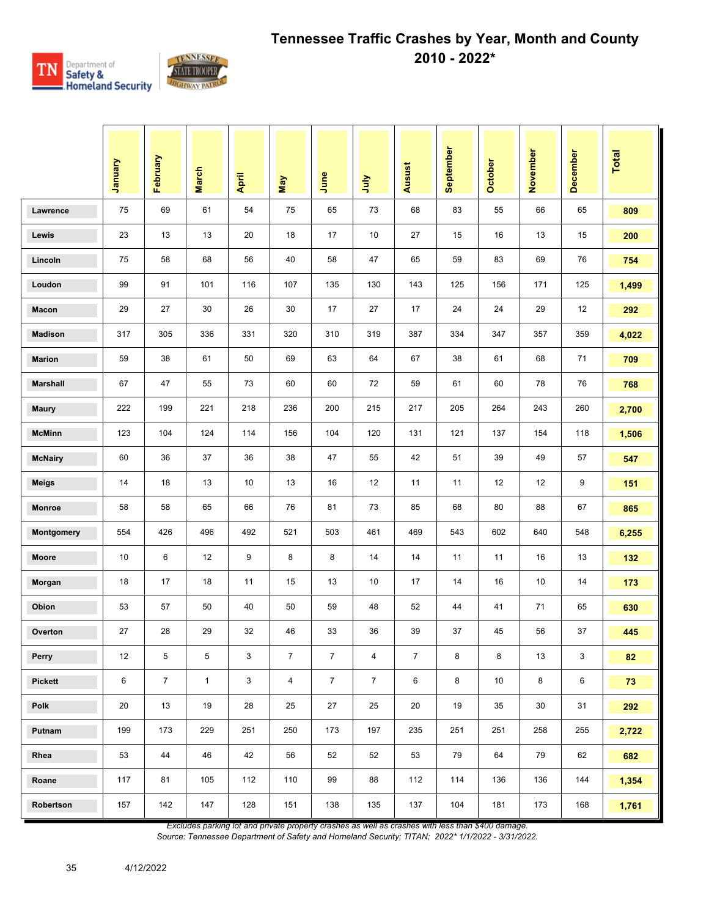

|                 | January | February       | <b>March</b> | April       | May            | June           | <b>Surt</b>             | <b>Ausust</b>  | September | <b>October</b> | November | December                  | <b>Total</b> |
|-----------------|---------|----------------|--------------|-------------|----------------|----------------|-------------------------|----------------|-----------|----------------|----------|---------------------------|--------------|
| Lawrence        | 75      | 69             | 61           | 54          | 75             | 65             | 73                      | 68             | 83        | 55             | 66       | 65                        | 809          |
| Lewis           | 23      | 13             | 13           | 20          | 18             | 17             | 10                      | 27             | 15        | 16             | 13       | 15                        | 200          |
| Lincoln         | 75      | 58             | 68           | 56          | 40             | 58             | 47                      | 65             | 59        | 83             | 69       | 76                        | 754          |
| Loudon          | 99      | 91             | 101          | 116         | 107            | 135            | 130                     | 143            | 125       | 156            | 171      | 125                       | 1,499        |
| Macon           | 29      | 27             | 30           | 26          | 30             | 17             | 27                      | 17             | 24        | 24             | 29       | 12                        | 292          |
| <b>Madison</b>  | 317     | 305            | 336          | 331         | 320            | 310            | 319                     | 387            | 334       | 347            | 357      | 359                       | 4,022        |
| <b>Marion</b>   | 59      | 38             | 61           | 50          | 69             | 63             | 64                      | 67             | 38        | 61             | 68       | 71                        | 709          |
| <b>Marshall</b> | 67      | 47             | 55           | 73          | 60             | 60             | 72                      | 59             | 61        | 60             | 78       | 76                        | 768          |
| <b>Maury</b>    | 222     | 199            | 221          | 218         | 236            | 200            | 215                     | 217            | 205       | 264            | 243      | 260                       | 2,700        |
| <b>McMinn</b>   | 123     | 104            | 124          | 114         | 156            | 104            | 120                     | 131            | 121       | 137            | 154      | 118                       | 1,506        |
| <b>McNairy</b>  | 60      | 36             | 37           | 36          | 38             | 47             | 55                      | 42             | 51        | 39             | 49       | 57                        | 547          |
| <b>Meigs</b>    | 14      | 18             | 13           | 10          | 13             | 16             | 12                      | 11             | 11        | 12             | 12       | 9                         | 151          |
| Monroe          | 58      | 58             | 65           | 66          | 76             | 81             | 73                      | 85             | 68        | 80             | 88       | 67                        | 865          |
| Montgomery      | 554     | 426            | 496          | 492         | 521            | 503            | 461                     | 469            | 543       | 602            | 640      | 548                       | 6,255        |
| Moore           | 10      | 6              | 12           | 9           | 8              | 8              | 14                      | 14             | 11        | 11             | 16       | 13                        | 132          |
| Morgan          | 18      | 17             | 18           | 11          | 15             | 13             | 10                      | 17             | 14        | 16             | 10       | 14                        | 173          |
| Obion           | 53      | 57             | 50           | 40          | 50             | 59             | 48                      | 52             | 44        | 41             | 71       | 65                        | 630          |
| Overton         | 27      | 28             | 29           | 32          | 46             | 33             | 36                      | 39             | 37        | 45             | 56       | 37                        | 445          |
| Perry           | 12      | 5              | 5            | $\mathsf 3$ | $\bf 7$        | $\overline{7}$ | $\overline{\mathbf{4}}$ | $\overline{7}$ | 8         | 8              | 13       | $\ensuremath{\mathsf{3}}$ | 82           |
| <b>Pickett</b>  | 6       | $\overline{7}$ | $\mathbf{1}$ | 3           | $\overline{4}$ | $\overline{7}$ | $\overline{7}$          | 6              | 8         | 10             | 8        | 6                         | 73           |
| Polk            | 20      | 13             | 19           | 28          | 25             | 27             | 25                      | 20             | 19        | 35             | 30       | 31                        | 292          |
| Putnam          | 199     | 173            | 229          | 251         | 250            | 173            | 197                     | 235            | 251       | 251            | 258      | 255                       | 2,722        |
| Rhea            | 53      | 44             | 46           | 42          | 56             | 52             | 52                      | 53             | 79        | 64             | 79       | 62                        | 682          |
| Roane           | 117     | 81             | 105          | 112         | 110            | 99             | 88                      | 112            | 114       | 136            | 136      | 144                       | 1,354        |
| Robertson       | 157     | 142            | 147          | 128         | 151            | 138            | 135                     | 137            | 104       | 181            | 173      | 168                       | 1,761        |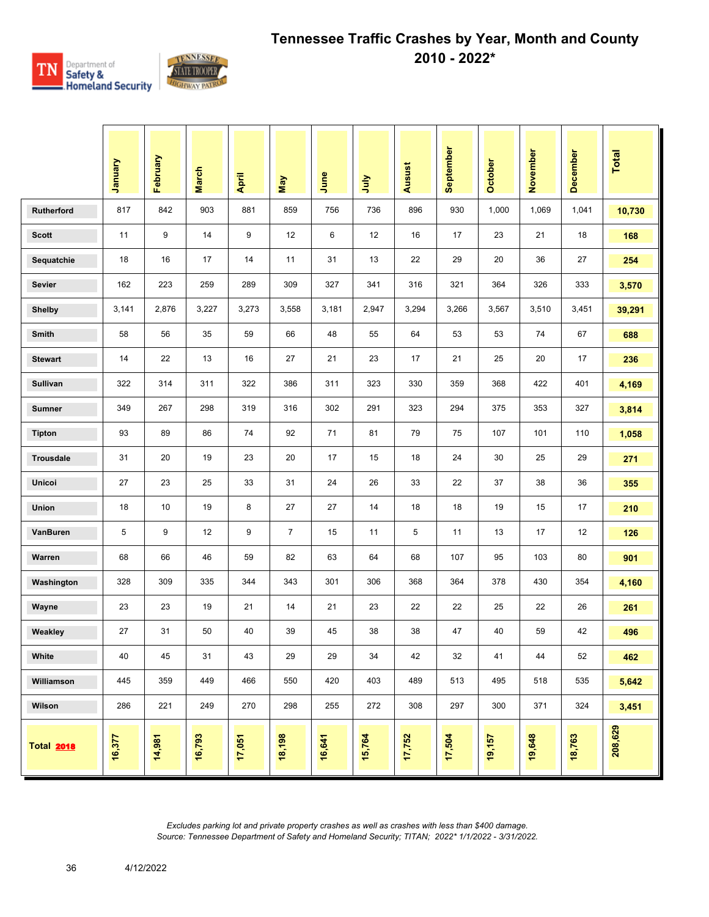

|                   | Vienuary | February | <b>March</b> | April  | Nay            | June   | <b>Surt</b> | Ausust | September | <b>October</b> | November | <b>December</b> | Total   |
|-------------------|----------|----------|--------------|--------|----------------|--------|-------------|--------|-----------|----------------|----------|-----------------|---------|
| <b>Rutherford</b> | 817      | 842      | 903          | 881    | 859            | 756    | 736         | 896    | 930       | 1,000          | 1,069    | 1,041           | 10,730  |
| <b>Scott</b>      | 11       | 9        | 14           | 9      | 12             | 6      | 12          | 16     | 17        | 23             | 21       | 18              | 168     |
| Sequatchie        | 18       | 16       | 17           | 14     | 11             | 31     | 13          | 22     | 29        | 20             | 36       | 27              | 254     |
| <b>Sevier</b>     | 162      | 223      | 259          | 289    | 309            | 327    | 341         | 316    | 321       | 364            | 326      | 333             | 3,570   |
| <b>Shelby</b>     | 3,141    | 2,876    | 3,227        | 3,273  | 3,558          | 3,181  | 2,947       | 3,294  | 3,266     | 3,567          | 3,510    | 3,451           | 39,291  |
| <b>Smith</b>      | 58       | 56       | 35           | 59     | 66             | 48     | 55          | 64     | 53        | 53             | 74       | 67              | 688     |
| <b>Stewart</b>    | 14       | 22       | 13           | 16     | 27             | 21     | 23          | 17     | 21        | 25             | 20       | 17              | 236     |
| <b>Sullivan</b>   | 322      | 314      | 311          | 322    | 386            | 311    | 323         | 330    | 359       | 368            | 422      | 401             | 4,169   |
| <b>Sumner</b>     | 349      | 267      | 298          | 319    | 316            | 302    | 291         | 323    | 294       | 375            | 353      | 327             | 3,814   |
| <b>Tipton</b>     | 93       | 89       | 86           | 74     | 92             | 71     | 81          | 79     | 75        | 107            | 101      | 110             | 1,058   |
| <b>Trousdale</b>  | 31       | 20       | 19           | 23     | 20             | 17     | 15          | 18     | 24        | 30             | 25       | 29              | 271     |
| <b>Unicoi</b>     | 27       | 23       | 25           | 33     | 31             | 24     | 26          | 33     | 22        | 37             | 38       | 36              | 355     |
| <b>Union</b>      | 18       | 10       | 19           | 8      | 27             | 27     | 14          | 18     | 18        | 19             | 15       | 17              | 210     |
| VanBuren          | 5        | 9        | 12           | 9      | $\overline{7}$ | 15     | 11          | 5      | 11        | 13             | 17       | 12              | 126     |
| Warren            | 68       | 66       | 46           | 59     | 82             | 63     | 64          | 68     | 107       | 95             | 103      | 80              | 901     |
| Washington        | 328      | 309      | 335          | 344    | 343            | 301    | 306         | 368    | 364       | 378            | 430      | 354             | 4,160   |
| Wayne             | 23       | 23       | 19           | 21     | 14             | 21     | 23          | 22     | 22        | 25             | 22       | 26              | 261     |
| Weakley           | 27       | 31       | 50           | 40     | 39             | 45     | 38          | 38     | 47        | 40             | 59       | 42              | 496     |
| White             | 40       | 45       | 31           | 43     | 29             | 29     | 34          | 42     | 32        | 41             | 44       | 52              | 462     |
| Williamson        | 445      | 359      | 449          | 466    | 550            | 420    | 403         | 489    | 513       | 495            | 518      | 535             | 5,642   |
| Wilson            | 286      | 221      | 249          | 270    | 298            | 255    | 272         | 308    | 297       | 300            | 371      | 324             | 3,451   |
| <b>Total 2018</b> | 16,377   | 14,981   | 16,793       | 17,051 | 18,198         | 16,641 | 15,764      | 17,752 | 17,504    | 19,157         | 19,648   | 18,763          | 208,629 |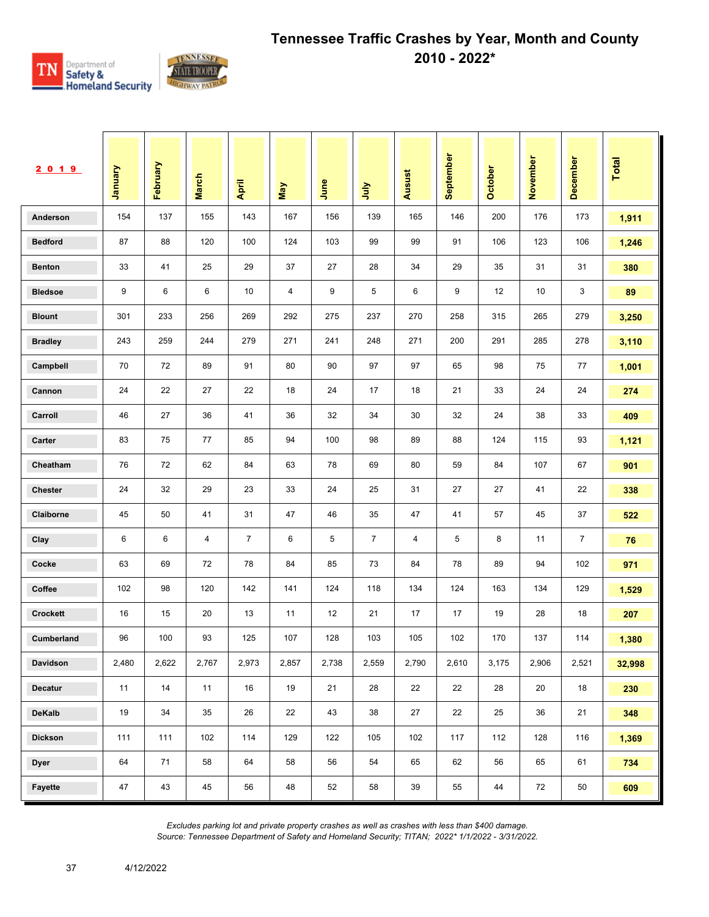

| 2019            | <b>January</b> | February | <b>March</b> | April          | May   | June  | <b>S</b>       | Ausust | September | October | November | December       | <b>Total</b> |
|-----------------|----------------|----------|--------------|----------------|-------|-------|----------------|--------|-----------|---------|----------|----------------|--------------|
| Anderson        | 154            | 137      | 155          | 143            | 167   | 156   | 139            | 165    | 146       | 200     | 176      | 173            | 1,911        |
| <b>Bedford</b>  | 87             | 88       | 120          | 100            | 124   | 103   | 99             | 99     | 91        | 106     | 123      | 106            | 1,246        |
| <b>Benton</b>   | 33             | 41       | 25           | 29             | 37    | 27    | 28             | 34     | 29        | 35      | 31       | 31             | 380          |
| <b>Bledsoe</b>  | 9              | 6        | 6            | 10             | 4     | 9     | 5              | 6      | 9         | 12      | 10       | 3              | 89           |
| <b>Blount</b>   | 301            | 233      | 256          | 269            | 292   | 275   | 237            | 270    | 258       | 315     | 265      | 279            | 3,250        |
| <b>Bradley</b>  | 243            | 259      | 244          | 279            | 271   | 241   | 248            | 271    | 200       | 291     | 285      | 278            | 3,110        |
| Campbell        | 70             | 72       | 89           | 91             | 80    | 90    | 97             | 97     | 65        | 98      | 75       | 77             | 1,001        |
| Cannon          | 24             | 22       | 27           | 22             | 18    | 24    | 17             | 18     | 21        | 33      | 24       | 24             | 274          |
| Carroll         | 46             | 27       | 36           | 41             | 36    | 32    | 34             | 30     | 32        | 24      | 38       | 33             | 409          |
| Carter          | 83             | 75       | 77           | 85             | 94    | 100   | 98             | 89     | 88        | 124     | 115      | 93             | 1,121        |
| Cheatham        | 76             | 72       | 62           | 84             | 63    | 78    | 69             | 80     | 59        | 84      | 107      | 67             | 901          |
| <b>Chester</b>  | 24             | 32       | 29           | 23             | 33    | 24    | 25             | 31     | 27        | 27      | 41       | 22             | 338          |
| Claiborne       | 45             | 50       | 41           | 31             | 47    | 46    | 35             | 47     | 41        | 57      | 45       | 37             | 522          |
| Clay            | 6              | 6        | 4            | $\overline{7}$ | 6     | 5     | $\overline{7}$ | 4      | 5         | 8       | 11       | $\overline{7}$ | 76           |
| Cocke           | 63             | 69       | 72           | 78             | 84    | 85    | 73             | 84     | 78        | 89      | 94       | 102            | 971          |
| Coffee          | 102            | 98       | 120          | 142            | 141   | 124   | 118            | 134    | 124       | 163     | 134      | 129            | 1,529        |
| <b>Crockett</b> | 16             | 15       | 20           | 13             | 11    | 12    | 21             | 17     | 17        | 19      | 28       | 18             | 207          |
| Cumberland      | 96             | 100      | 93           | 125            | 107   | 128   | 103            | 105    | 102       | 170     | 137      | 114            | 1,380        |
| Davidson        | 2,480          | 2,622    | 2,767        | 2,973          | 2,857 | 2,738 | 2,559          | 2,790  | 2,610     | 3,175   | 2,906    | 2,521          | 32,998       |
| Decatur         | 11             | 14       | 11           | 16             | 19    | 21    | 28             | 22     | 22        | 28      | 20       | 18             | 230          |
| DeKalb          | 19             | 34       | 35           | 26             | 22    | 43    | 38             | 27     | 22        | 25      | 36       | 21             | 348          |
| <b>Dickson</b>  | 111            | 111      | 102          | 114            | 129   | 122   | 105            | 102    | 117       | 112     | 128      | 116            | 1,369        |
| <b>Dyer</b>     | 64             | 71       | 58           | 64             | 58    | 56    | 54             | 65     | 62        | 56      | 65       | 61             | 734          |
| Fayette         | 47             | 43       | 45           | 56             | 48    | 52    | 58             | 39     | 55        | 44      | 72       | 50             | 609          |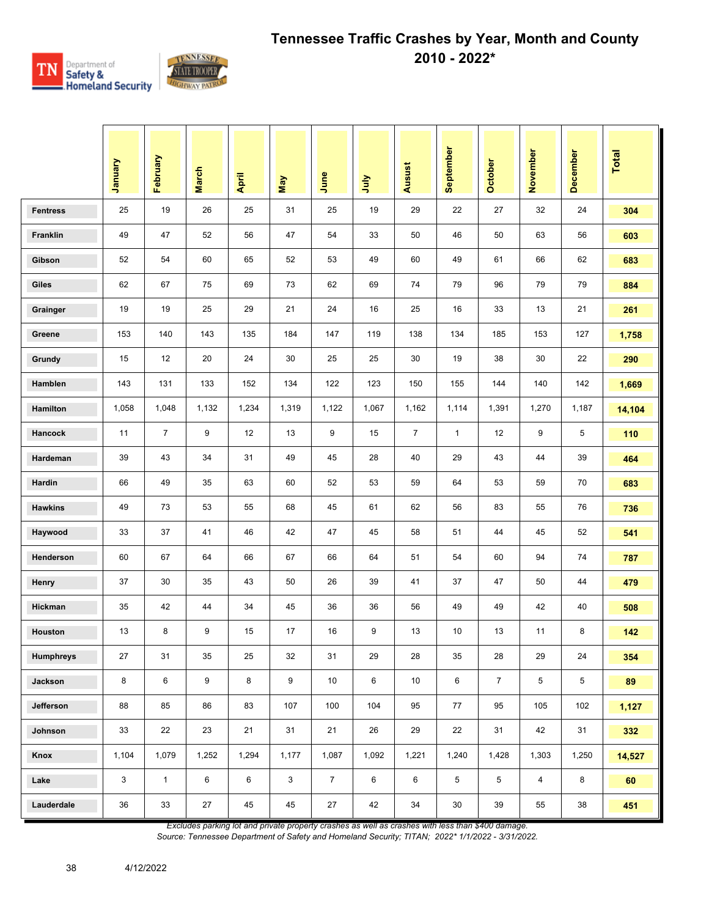

|                 | Vienuary | February       | <b>March</b> | April | May          | June           | July  | Ausust         | September    | <b>October</b> | November       | December       | Total  |
|-----------------|----------|----------------|--------------|-------|--------------|----------------|-------|----------------|--------------|----------------|----------------|----------------|--------|
| <b>Fentress</b> | 25       | 19             | 26           | 25    | 31           | 25             | 19    | 29             | 22           | 27             | 32             | 24             | 304    |
| Franklin        | 49       | 47             | 52           | 56    | 47           | 54             | 33    | 50             | 46           | 50             | 63             | 56             | 603    |
| Gibson          | 52       | 54             | 60           | 65    | 52           | 53             | 49    | 60             | 49           | 61             | 66             | 62             | 683    |
| Giles           | 62       | 67             | 75           | 69    | 73           | 62             | 69    | 74             | 79           | 96             | 79             | 79             | 884    |
| Grainger        | 19       | 19             | 25           | 29    | 21           | 24             | 16    | 25             | 16           | 33             | 13             | 21             | 261    |
| Greene          | 153      | 140            | 143          | 135   | 184          | 147            | 119   | 138            | 134          | 185            | 153            | 127            | 1,758  |
| Grundy          | 15       | 12             | 20           | 24    | 30           | 25             | 25    | 30             | 19           | 38             | 30             | 22             | 290    |
| Hamblen         | 143      | 131            | 133          | 152   | 134          | 122            | 123   | 150            | 155          | 144            | 140            | 142            | 1,669  |
| Hamilton        | 1,058    | 1,048          | 1,132        | 1,234 | 1,319        | 1,122          | 1,067 | 1,162          | 1,114        | 1,391          | 1,270          | 1,187          | 14,104 |
| Hancock         | 11       | $\overline{7}$ | 9            | 12    | 13           | 9              | 15    | $\overline{7}$ | $\mathbf{1}$ | 12             | 9              | 5              | 110    |
| Hardeman        | 39       | 43             | 34           | 31    | 49           | 45             | 28    | 40             | 29           | 43             | 44             | 39             | 464    |
| Hardin          | 66       | 49             | 35           | 63    | 60           | 52             | 53    | 59             | 64           | 53             | 59             | 70             | 683    |
| <b>Hawkins</b>  | 49       | 73             | 53           | 55    | 68           | 45             | 61    | 62             | 56           | 83             | 55             | 76             | 736    |
| Haywood         | 33       | 37             | 41           | 46    | 42           | 47             | 45    | 58             | 51           | 44             | 45             | 52             | 541    |
| Henderson       | 60       | 67             | 64           | 66    | 67           | 66             | 64    | 51             | 54           | 60             | 94             | 74             | 787    |
| Henry           | 37       | 30             | 35           | 43    | 50           | 26             | 39    | 41             | 37           | 47             | 50             | 44             | 479    |
| Hickman         | 35       | 42             | 44           | 34    | 45           | 36             | 36    | 56             | 49           | 49             | 42             | 40             | 508    |
| Houston         | 13       | 8              | 9            | 15    | 17           | 16             | 9     | 13             | 10           | 13             | 11             | 8              | 142    |
| Humphreys       | 27       | 31             | 35           | 25    | 32           | 31             | 29    | 28             | 35           | 28             | 29             | 24             | 354    |
| Jackson         | 8        | 6              | 9            | 8     | 9            | 10             | 6     | 10             | 6            | $7^{\circ}$    | 5              | $\overline{5}$ | 89     |
| Jefferson       | 88       | 85             | 86           | 83    | 107          | 100            | 104   | 95             | 77           | 95             | 105            | 102            | 1,127  |
| Johnson         | 33       | 22             | 23           | 21    | 31           | 21             | 26    | 29             | 22           | 31             | 42             | 31             | 332    |
| Knox            | 1,104    | 1,079          | 1,252        | 1,294 | 1,177        | 1,087          | 1,092 | 1,221          | 1,240        | 1,428          | 1,303          | 1,250          | 14,527 |
| Lake            | 3        | $\mathbf{1}$   | 6            | 6     | $\mathbf{3}$ | $\overline{7}$ | 6     | 6              | 5            | 5              | $\overline{4}$ | 8              | 60     |
| Lauderdale      | 36       | 33             | 27           | 45    | 45           | 27             | 42    | 34             | 30           | 39             | 55             | 38             | 451    |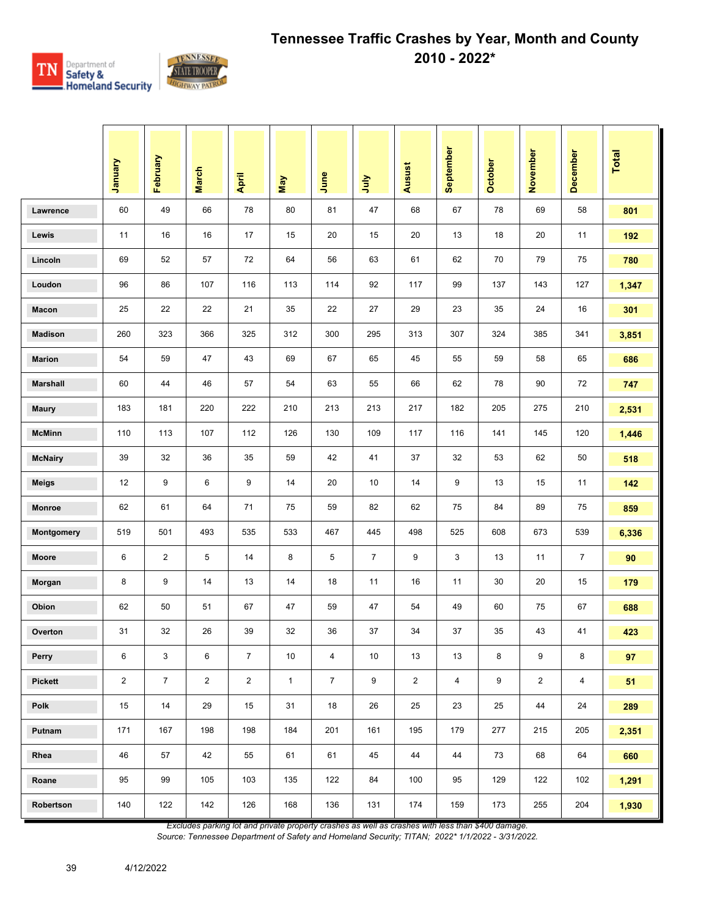

|                 | Vienuary       | February       | <b>March</b>   | April          | May          | June           | ήnη            | Ausust         | September      | October | November       | December       | <b>Total</b> |
|-----------------|----------------|----------------|----------------|----------------|--------------|----------------|----------------|----------------|----------------|---------|----------------|----------------|--------------|
| Lawrence        | 60             | 49             | 66             | 78             | 80           | 81             | 47             | 68             | 67             | 78      | 69             | 58             | 801          |
| Lewis           | 11             | 16             | 16             | 17             | 15           | 20             | 15             | 20             | 13             | 18      | 20             | 11             | 192          |
| Lincoln         | 69             | 52             | 57             | 72             | 64           | 56             | 63             | 61             | 62             | 70      | 79             | 75             | 780          |
| Loudon          | 96             | 86             | 107            | 116            | 113          | 114            | 92             | 117            | 99             | 137     | 143            | 127            | 1,347        |
| Macon           | 25             | 22             | 22             | 21             | 35           | 22             | 27             | 29             | 23             | 35      | 24             | 16             | 301          |
| <b>Madison</b>  | 260            | 323            | 366            | 325            | 312          | 300            | 295            | 313            | 307            | 324     | 385            | 341            | 3,851        |
| <b>Marion</b>   | 54             | 59             | 47             | 43             | 69           | 67             | 65             | 45             | 55             | 59      | 58             | 65             | 686          |
| <b>Marshall</b> | 60             | 44             | 46             | 57             | 54           | 63             | 55             | 66             | 62             | 78      | 90             | 72             | 747          |
| <b>Maury</b>    | 183            | 181            | 220            | 222            | 210          | 213            | 213            | 217            | 182            | 205     | 275            | 210            | 2,531        |
| <b>McMinn</b>   | 110            | 113            | 107            | 112            | 126          | 130            | 109            | 117            | 116            | 141     | 145            | 120            | 1,446        |
| <b>McNairy</b>  | 39             | 32             | 36             | 35             | 59           | 42             | 41             | 37             | 32             | 53      | 62             | 50             | 518          |
| <b>Meigs</b>    | 12             | 9              | 6              | 9              | 14           | 20             | 10             | 14             | 9              | 13      | 15             | 11             | 142          |
| Monroe          | 62             | 61             | 64             | 71             | 75           | 59             | 82             | 62             | 75             | 84      | 89             | 75             | 859          |
| Montgomery      | 519            | 501            | 493            | 535            | 533          | 467            | 445            | 498            | 525            | 608     | 673            | 539            | 6,336        |
| Moore           | 6              | $\overline{2}$ | 5              | 14             | 8            | 5              | $\overline{7}$ | 9              | 3              | 13      | 11             | $\overline{7}$ | 90           |
| Morgan          | 8              | 9              | 14             | 13             | 14           | 18             | 11             | 16             | 11             | 30      | 20             | 15             | 179          |
| Obion           | 62             | 50             | 51             | 67             | 47           | 59             | 47             | 54             | 49             | 60      | 75             | 67             | 688          |
| Overton         | 31             | 32             | 26             | 39             | 32           | 36             | 37             | 34             | 37             | 35      | 43             | 41             | 423          |
| Perry           | 6              | $\mathsf 3$    | 6              | $\overline{7}$ | 10           | 4              | 10             | 13             | 13             | 8       | 9              | 8              | 97           |
| <b>Pickett</b>  | $\overline{2}$ | $\overline{7}$ | $\overline{2}$ | $\overline{2}$ | $\mathbf{1}$ | $\overline{7}$ | 9              | $\overline{2}$ | $\overline{4}$ | 9       | $\overline{2}$ | $\overline{4}$ | 51           |
| Polk            | 15             | 14             | 29             | 15             | 31           | 18             | 26             | 25             | 23             | 25      | 44             | 24             | 289          |
| Putnam          | 171            | 167            | 198            | 198            | 184          | 201            | 161            | 195            | 179            | 277     | 215            | 205            | 2,351        |
| Rhea            | 46             | 57             | 42             | 55             | 61           | 61             | 45             | 44             | 44             | 73      | 68             | 64             | 660          |
| Roane           | 95             | 99             | 105            | 103            | 135          | 122            | 84             | 100            | 95             | 129     | 122            | 102            | 1,291        |
| Robertson       | 140            | 122            | 142            | 126            | 168          | 136            | 131            | 174            | 159            | 173     | 255            | 204            | 1,930        |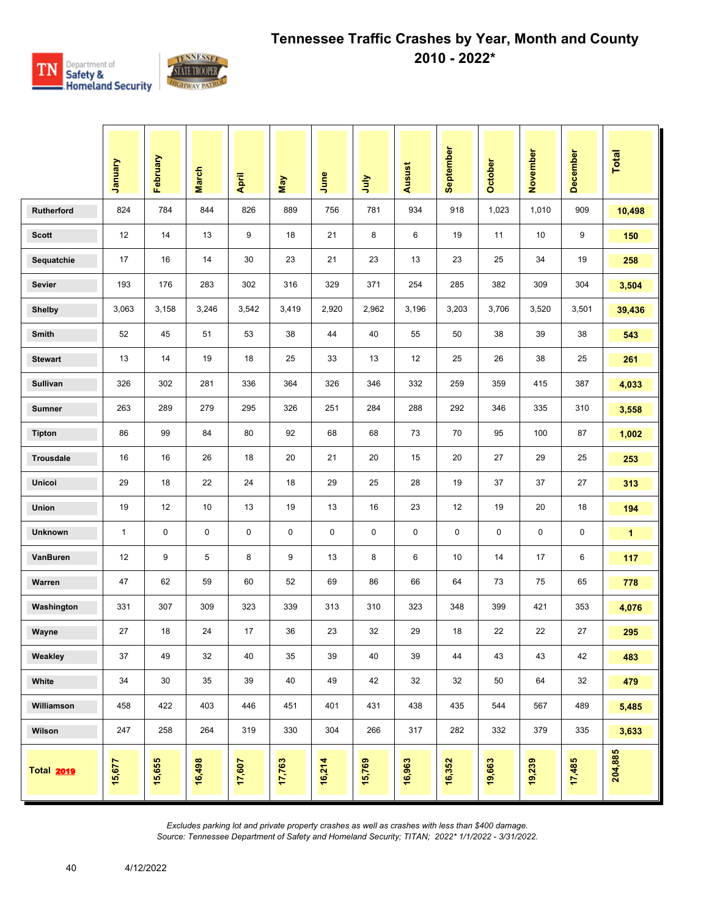

|                   | Vanuary      | February | <b>March</b> | April  | <b>May</b> | June   | <b>Surt</b> | Ausust | September | October | November | December | Total        |
|-------------------|--------------|----------|--------------|--------|------------|--------|-------------|--------|-----------|---------|----------|----------|--------------|
| Rutherford        | 824          | 784      | 844          | 826    | 889        | 756    | 781         | 934    | 918       | 1,023   | 1,010    | 909      | 10,498       |
| <b>Scott</b>      | 12           | 14       | 13           | 9      | 18         | 21     | 8           | 6      | 19        | 11      | 10       | 9        | 150          |
| Sequatchie        | 17           | 16       | 14           | 30     | 23         | 21     | 23          | 13     | 23        | 25      | 34       | 19       | 258          |
| <b>Sevier</b>     | 193          | 176      | 283          | 302    | 316        | 329    | 371         | 254    | 285       | 382     | 309      | 304      | 3,504        |
| <b>Shelby</b>     | 3,063        | 3,158    | 3,246        | 3,542  | 3,419      | 2,920  | 2,962       | 3,196  | 3,203     | 3,706   | 3,520    | 3,501    | 39,436       |
| Smith             | 52           | 45       | 51           | 53     | 38         | 44     | 40          | 55     | 50        | 38      | 39       | 38       | 543          |
| <b>Stewart</b>    | 13           | 14       | 19           | 18     | 25         | 33     | 13          | 12     | 25        | 26      | 38       | 25       | 261          |
| Sullivan          | 326          | 302      | 281          | 336    | 364        | 326    | 346         | 332    | 259       | 359     | 415      | 387      | 4,033        |
| <b>Sumner</b>     | 263          | 289      | 279          | 295    | 326        | 251    | 284         | 288    | 292       | 346     | 335      | 310      | 3,558        |
| <b>Tipton</b>     | 86           | 99       | 84           | 80     | 92         | 68     | 68          | 73     | 70        | 95      | 100      | 87       | 1,002        |
| <b>Trousdale</b>  | 16           | 16       | 26           | 18     | 20         | 21     | 20          | 15     | 20        | 27      | 29       | 25       | 253          |
| Unicoi            | 29           | 18       | 22           | 24     | 18         | 29     | 25          | 28     | 19        | 37      | 37       | 27       | 313          |
| <b>Union</b>      | 19           | 12       | 10           | 13     | 19         | 13     | 16          | 23     | 12        | 19      | 20       | 18       | 194          |
| <b>Unknown</b>    | $\mathbf{1}$ | 0        | 0            | 0      | 0          | 0      | 0           | 0      | 0         | 0       | 0        | 0        | $\mathbf{1}$ |
| VanBuren          | 12           | 9        | 5            | 8      | 9          | 13     | 8           | 6      | 10        | 14      | 17       | 6        | 117          |
| Warren            | 47           | 62       | 59           | 60     | 52         | 69     | 86          | 66     | 64        | 73      | 75       | 65       | 778          |
| Washington        | 331          | 307      | 309          | 323    | 339        | 313    | 310         | 323    | 348       | 399     | 421      | 353      | 4,076        |
| Wayne             | 27           | 18       | 24           | 17     | 36         | 23     | 32          | 29     | 18        | 22      | 22       | 27       | 295          |
| Weakley           | 37           | 49       | 32           | 40     | 35         | 39     | 40          | 39     | 44        | 43      | 43       | 42       | 483          |
| White             | 34           | 30       | 35           | 39     | 40         | 49     | 42          | 32     | 32        | 50      | 64       | 32       | 479          |
| Williamson        | 458          | 422      | 403          | 446    | 451        | 401    | 431         | 438    | 435       | 544     | 567      | 489      | 5,485        |
| Wilson            | 247          | 258      | 264          | 319    | 330        | 304    | 266         | 317    | 282       | 332     | 379      | 335      | 3,633        |
| <b>Total 2019</b> | 15,677       | 15,655   | 16,498       | 17,607 | 17,763     | 16,214 | 15,769      | 16,963 | 16,352    | 19,663  | 19,239   | 17,485   | 204,885      |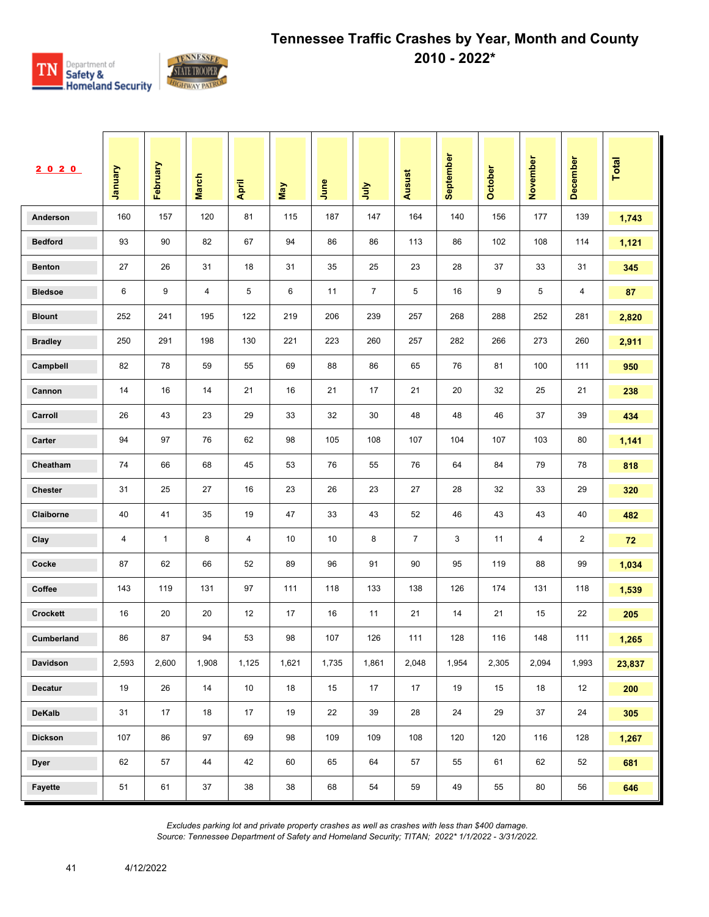

| 2020            | <b>January</b> | February     | <b>March</b> | April  | May   | June  | ήη             | Ausust         | September | October | November | December | Total  |
|-----------------|----------------|--------------|--------------|--------|-------|-------|----------------|----------------|-----------|---------|----------|----------|--------|
| Anderson        | 160            | 157          | 120          | 81     | 115   | 187   | 147            | 164            | 140       | 156     | 177      | 139      | 1,743  |
| <b>Bedford</b>  | 93             | 90           | 82           | 67     | 94    | 86    | 86             | 113            | 86        | 102     | 108      | 114      | 1,121  |
| <b>Benton</b>   | 27             | 26           | 31           | 18     | 31    | 35    | 25             | 23             | 28        | 37      | 33       | 31       | 345    |
| <b>Bledsoe</b>  | 6              | 9            | 4            | 5      | 6     | 11    | $\overline{7}$ | 5              | 16        | 9       | 5        | 4        | 87     |
| <b>Blount</b>   | 252            | 241          | 195          | 122    | 219   | 206   | 239            | 257            | 268       | 288     | 252      | 281      | 2,820  |
| <b>Bradley</b>  | 250            | 291          | 198          | 130    | 221   | 223   | 260            | 257            | 282       | 266     | 273      | 260      | 2,911  |
| Campbell        | 82             | 78           | 59           | 55     | 69    | 88    | 86             | 65             | 76        | 81      | 100      | 111      | 950    |
| Cannon          | 14             | 16           | 14           | 21     | 16    | 21    | 17             | 21             | 20        | 32      | 25       | 21       | 238    |
| Carroll         | 26             | 43           | 23           | 29     | 33    | 32    | 30             | 48             | 48        | 46      | 37       | 39       | 434    |
| Carter          | 94             | 97           | 76           | 62     | 98    | 105   | 108            | 107            | 104       | 107     | 103      | 80       | 1,141  |
| Cheatham        | 74             | 66           | 68           | 45     | 53    | 76    | 55             | 76             | 64        | 84      | 79       | 78       | 818    |
| <b>Chester</b>  | 31             | 25           | 27           | 16     | 23    | 26    | 23             | 27             | 28        | 32      | 33       | 29       | 320    |
| Claiborne       | 40             | 41           | 35           | 19     | 47    | 33    | 43             | 52             | 46        | 43      | 43       | 40       | 482    |
| Clay            | 4              | $\mathbf{1}$ | 8            | 4      | 10    | 10    | 8              | $\overline{7}$ | 3         | 11      | 4        | 2        | 72     |
| Cocke           | 87             | 62           | 66           | 52     | 89    | 96    | 91             | 90             | 95        | 119     | 88       | 99       | 1,034  |
| Coffee          | 143            | 119          | 131          | 97     | 111   | 118   | 133            | 138            | 126       | 174     | 131      | 118      | 1,539  |
| <b>Crockett</b> | 16             | 20           | 20           | 12     | 17    | 16    | 11             | 21             | 14        | 21      | 15       | 22       | 205    |
| Cumberland      | 86             | 87           | 94           | 53     | 98    | 107   | 126            | 111            | 128       | 116     | 148      | 111      | 1,265  |
| Davidson        | 2,593          | 2,600        | 1,908        | 1,125  | 1,621 | 1,735 | 1,861          | 2,048          | 1,954     | 2,305   | 2,094    | 1,993    | 23,837 |
| Decatur         | 19             | 26           | $14\,$       | $10\,$ | 18    | 15    | 17             | 17             | 19        | 15      | 18       | 12       | 200    |
| <b>DeKalb</b>   | 31             | 17           | 18           | 17     | 19    | 22    | 39             | 28             | 24        | 29      | 37       | 24       | 305    |
| <b>Dickson</b>  | 107            | 86           | 97           | 69     | 98    | 109   | 109            | 108            | 120       | 120     | 116      | 128      | 1,267  |
| <b>Dyer</b>     | 62             | 57           | 44           | 42     | 60    | 65    | 64             | 57             | 55        | 61      | 62       | 52       | 681    |
| Fayette         | 51             | 61           | 37           | 38     | 38    | 68    | 54             | 59             | 49        | 55      | 80       | 56       | 646    |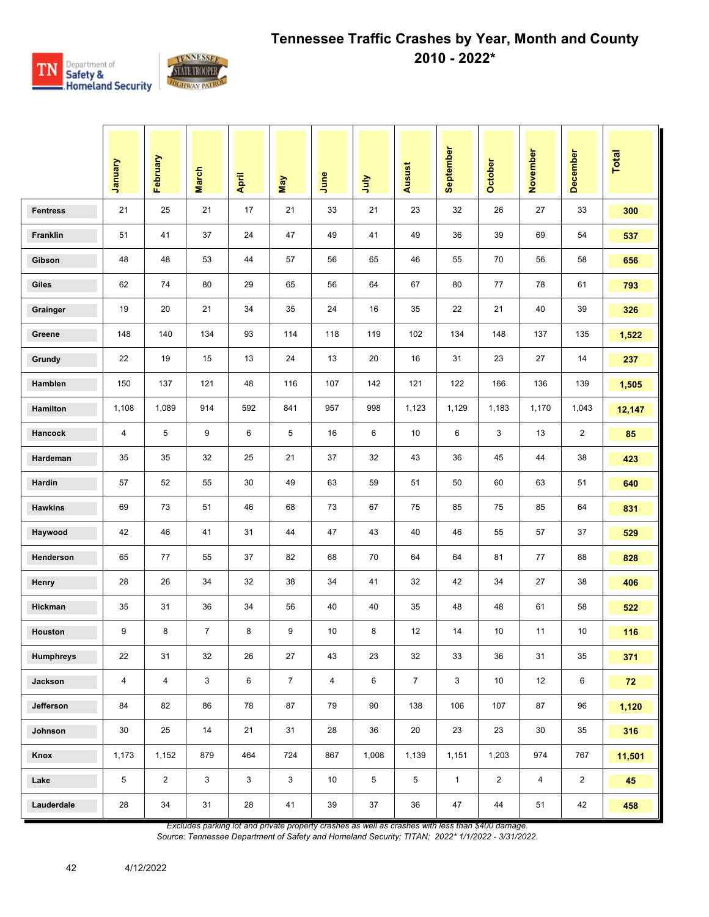

|                  | January        | February       | <b>March</b>   | April | May            | June           | <b>Surt</b>    | Ausust         | September    | October        | November       | December       | <b>Total</b> |
|------------------|----------------|----------------|----------------|-------|----------------|----------------|----------------|----------------|--------------|----------------|----------------|----------------|--------------|
| <b>Fentress</b>  | 21             | 25             | 21             | 17    | 21             | 33             | 21             | 23             | 32           | 26             | 27             | 33             | 300          |
| Franklin         | 51             | 41             | 37             | 24    | 47             | 49             | 41             | 49             | 36           | 39             | 69             | 54             | 537          |
| Gibson           | 48             | 48             | 53             | 44    | 57             | 56             | 65             | 46             | 55           | 70             | 56             | 58             | 656          |
| Giles            | 62             | 74             | 80             | 29    | 65             | 56             | 64             | 67             | 80           | 77             | 78             | 61             | 793          |
| Grainger         | 19             | 20             | 21             | 34    | 35             | 24             | 16             | 35             | 22           | 21             | 40             | 39             | 326          |
| Greene           | 148            | 140            | 134            | 93    | 114            | 118            | 119            | 102            | 134          | 148            | 137            | 135            | 1,522        |
| Grundy           | 22             | 19             | 15             | 13    | 24             | 13             | 20             | 16             | 31           | 23             | 27             | 14             | 237          |
| Hamblen          | 150            | 137            | 121            | 48    | 116            | 107            | 142            | 121            | 122          | 166            | 136            | 139            | 1,505        |
| Hamilton         | 1,108          | 1,089          | 914            | 592   | 841            | 957            | 998            | 1,123          | 1,129        | 1,183          | 1,170          | 1,043          | 12,147       |
| Hancock          | $\overline{4}$ | 5              | 9              | 6     | 5              | 16             | 6              | 10             | 6            | 3              | 13             | $\overline{2}$ | 85           |
| Hardeman         | 35             | 35             | 32             | 25    | 21             | 37             | 32             | 43             | 36           | 45             | 44             | 38             | 423          |
| Hardin           | 57             | 52             | 55             | 30    | 49             | 63             | 59             | 51             | 50           | 60             | 63             | 51             | 640          |
| <b>Hawkins</b>   | 69             | 73             | 51             | 46    | 68             | 73             | 67             | 75             | 85           | 75             | 85             | 64             | 831          |
| Haywood          | 42             | 46             | 41             | 31    | 44             | 47             | 43             | 40             | 46           | 55             | 57             | 37             | 529          |
| Henderson        | 65             | 77             | 55             | 37    | 82             | 68             | 70             | 64             | 64           | 81             | 77             | 88             | 828          |
| Henry            | 28             | 26             | 34             | 32    | 38             | 34             | 41             | 32             | 42           | 34             | 27             | 38             | 406          |
| <b>Hickman</b>   | 35             | 31             | 36             | 34    | 56             | 40             | 40             | 35             | 48           | 48             | 61             | 58             | 522          |
| Houston          | 9              | 8              | $\overline{7}$ | 8     | 9              | 10             | 8              | 12             | 14           | 10             | 11             | 10             | 116          |
| <b>Humphreys</b> | 22             | 31             | 32             | 26    | 27             | 43             | 23             | 32             | 33           | 36             | 31             | 35             | 371          |
| Jackson          | $\overline{4}$ | $\overline{4}$ | 3              | 6     | $\overline{7}$ | $\overline{4}$ | 6              | $\overline{7}$ | 3            | 10             | 12             | 6              | 72           |
| Jefferson        | 84             | 82             | 86             | 78    | 87             | 79             | 90             | 138            | 106          | 107            | 87             | 96             | 1,120        |
| Johnson          | 30             | 25             | 14             | 21    | 31             | 28             | 36             | 20             | 23           | 23             | 30             | 35             | 316          |
| Knox             | 1,173          | 1,152          | 879            | 464   | 724            | 867            | 1,008          | 1,139          | 1,151        | 1,203          | 974            | 767            | 11,501       |
| Lake             | 5              | $\overline{2}$ | $\mathbf{3}$   | 3     | $\mathbf{3}$   | 10             | $\overline{5}$ | 5              | $\mathbf{1}$ | $\overline{2}$ | $\overline{4}$ | $\overline{2}$ | 45           |
| Lauderdale       | 28             | 34             | 31             | 28    | 41             | 39             | 37             | 36             | 47           | 44             | 51             | 42             | 458          |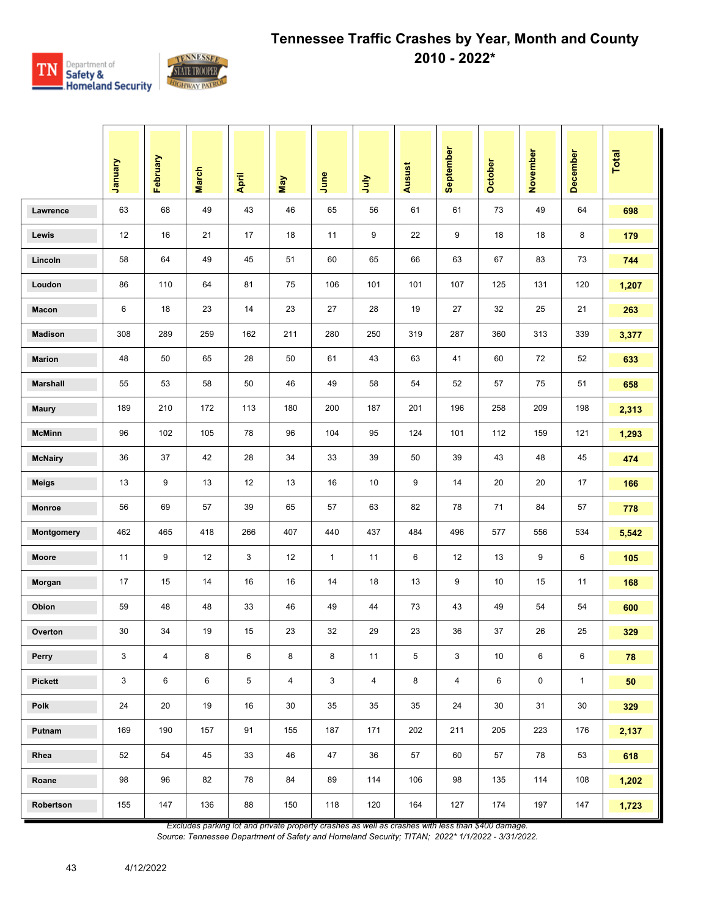

|                 | January | February                | <b>March</b> | April | May            | June         | <b>Surt</b>    | <b>Ausust</b> | September      | <b>October</b> | November | December     | <b>Total</b> |
|-----------------|---------|-------------------------|--------------|-------|----------------|--------------|----------------|---------------|----------------|----------------|----------|--------------|--------------|
| Lawrence        | 63      | 68                      | 49           | 43    | 46             | 65           | 56             | 61            | 61             | 73             | 49       | 64           | 698          |
| Lewis           | 12      | 16                      | 21           | 17    | 18             | 11           | 9              | 22            | 9              | 18             | 18       | 8            | 179          |
| Lincoln         | 58      | 64                      | 49           | 45    | 51             | 60           | 65             | 66            | 63             | 67             | 83       | 73           | 744          |
| Loudon          | 86      | 110                     | 64           | 81    | 75             | 106          | 101            | 101           | 107            | 125            | 131      | 120          | 1,207        |
| Macon           | 6       | 18                      | 23           | 14    | 23             | 27           | 28             | 19            | 27             | 32             | 25       | 21           | 263          |
| <b>Madison</b>  | 308     | 289                     | 259          | 162   | 211            | 280          | 250            | 319           | 287            | 360            | 313      | 339          | 3,377        |
| <b>Marion</b>   | 48      | 50                      | 65           | 28    | 50             | 61           | 43             | 63            | 41             | 60             | 72       | 52           | 633          |
| <b>Marshall</b> | 55      | 53                      | 58           | 50    | 46             | 49           | 58             | 54            | 52             | 57             | 75       | 51           | 658          |
| <b>Maury</b>    | 189     | 210                     | 172          | 113   | 180            | 200          | 187            | 201           | 196            | 258            | 209      | 198          | 2,313        |
| <b>McMinn</b>   | 96      | 102                     | 105          | 78    | 96             | 104          | 95             | 124           | 101            | 112            | 159      | 121          | 1,293        |
| <b>McNairy</b>  | 36      | 37                      | 42           | 28    | 34             | 33           | 39             | 50            | 39             | 43             | 48       | 45           | 474          |
| <b>Meigs</b>    | 13      | 9                       | 13           | 12    | 13             | 16           | 10             | 9             | 14             | 20             | 20       | 17           | 166          |
| Monroe          | 56      | 69                      | 57           | 39    | 65             | 57           | 63             | 82            | 78             | 71             | 84       | 57           | 778          |
| Montgomery      | 462     | 465                     | 418          | 266   | 407            | 440          | 437            | 484           | 496            | 577            | 556      | 534          | 5,542        |
| Moore           | 11      | 9                       | 12           | 3     | 12             | $\mathbf{1}$ | 11             | 6             | 12             | 13             | 9        | 6            | 105          |
| Morgan          | 17      | 15                      | 14           | 16    | 16             | 14           | 18             | 13            | 9              | 10             | 15       | 11           | 168          |
| Obion           | 59      | 48                      | 48           | 33    | 46             | 49           | 44             | 73            | 43             | 49             | 54       | 54           | 600          |
| Overton         | 30      | 34                      | 19           | 15    | 23             | 32           | 29             | 23            | 36             | 37             | 26       | 25           | 329          |
| Perry           | 3       | $\overline{\mathbf{4}}$ | 8            | 6     | 8              | 8            | 11             | 5             | 3              | $10$           | 6        | 6            | ${\bf 78}$   |
| <b>Pickett</b>  | 3       | 6                       | 6            | 5     | $\overline{4}$ | 3            | $\overline{4}$ | 8             | $\overline{4}$ | 6              | 0        | $\mathbf{1}$ | 50           |
| Polk            | 24      | 20                      | 19           | 16    | 30             | 35           | 35             | 35            | 24             | 30             | 31       | $30\,$       | 329          |
| Putnam          | 169     | 190                     | 157          | 91    | 155            | 187          | 171            | 202           | 211            | 205            | 223      | 176          | 2,137        |
| Rhea            | 52      | 54                      | 45           | 33    | 46             | 47           | 36             | 57            | 60             | 57             | 78       | 53           | 618          |
| Roane           | 98      | 96                      | 82           | 78    | 84             | 89           | 114            | 106           | 98             | 135            | 114      | 108          | 1,202        |
| Robertson       | 155     | 147                     | 136          | 88    | 150            | 118          | 120            | 164           | 127            | 174            | 197      | 147          | 1,723        |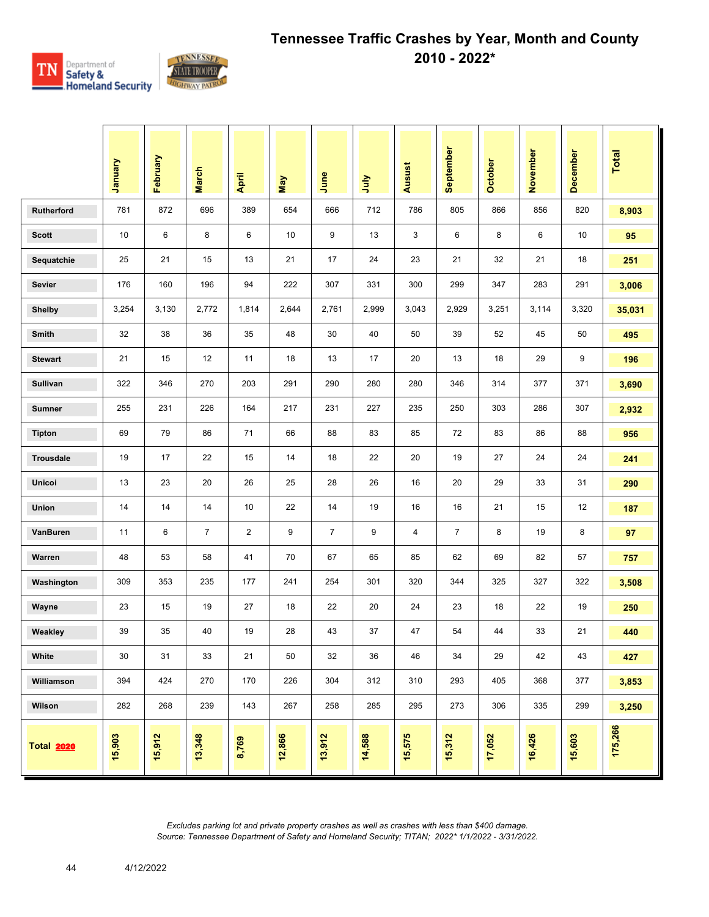

|                   | January | February | <b>March</b>   | April          | May    | June           | July   | <b>Ausust</b> | September      | <b>October</b> | November | December | <b>Total</b> |
|-------------------|---------|----------|----------------|----------------|--------|----------------|--------|---------------|----------------|----------------|----------|----------|--------------|
| <b>Rutherford</b> | 781     | 872      | 696            | 389            | 654    | 666            | 712    | 786           | 805            | 866            | 856      | 820      | 8,903        |
| <b>Scott</b>      | 10      | 6        | 8              | 6              | 10     | 9              | 13     | 3             | 6              | 8              | 6        | 10       | 95           |
| Sequatchie        | 25      | 21       | 15             | 13             | 21     | 17             | 24     | 23            | 21             | 32             | 21       | 18       | 251          |
| <b>Sevier</b>     | 176     | 160      | 196            | 94             | 222    | 307            | 331    | 300           | 299            | 347            | 283      | 291      | 3,006        |
| <b>Shelby</b>     | 3,254   | 3,130    | 2,772          | 1,814          | 2,644  | 2,761          | 2,999  | 3,043         | 2,929          | 3,251          | 3,114    | 3,320    | 35,031       |
| Smith             | 32      | 38       | 36             | 35             | 48     | 30             | 40     | 50            | 39             | 52             | 45       | 50       | 495          |
| <b>Stewart</b>    | 21      | 15       | 12             | 11             | 18     | 13             | 17     | 20            | 13             | 18             | 29       | 9        | 196          |
| Sullivan          | 322     | 346      | 270            | 203            | 291    | 290            | 280    | 280           | 346            | 314            | 377      | 371      | 3,690        |
| <b>Sumner</b>     | 255     | 231      | 226            | 164            | 217    | 231            | 227    | 235           | 250            | 303            | 286      | 307      | 2,932        |
| <b>Tipton</b>     | 69      | 79       | 86             | 71             | 66     | 88             | 83     | 85            | 72             | 83             | 86       | 88       | 956          |
| <b>Trousdale</b>  | 19      | 17       | 22             | 15             | 14     | 18             | 22     | 20            | 19             | 27             | 24       | 24       | 241          |
| Unicoi            | 13      | 23       | 20             | 26             | 25     | 28             | 26     | 16            | 20             | 29             | 33       | 31       | 290          |
| Union             | 14      | 14       | 14             | 10             | 22     | 14             | 19     | 16            | 16             | 21             | 15       | 12       | 187          |
| VanBuren          | 11      | 6        | $\overline{7}$ | $\overline{2}$ | 9      | $\overline{7}$ | 9      | 4             | $\overline{7}$ | 8              | 19       | 8        | 97           |
| Warren            | 48      | 53       | 58             | 41             | 70     | 67             | 65     | 85            | 62             | 69             | 82       | 57       | 757          |
| Washington        | 309     | 353      | 235            | 177            | 241    | 254            | 301    | 320           | 344            | 325            | 327      | 322      | 3,508        |
| Wayne             | 23      | 15       | 19             | 27             | 18     | 22             | 20     | 24            | 23             | 18             | 22       | 19       | 250          |
| Weakley           | 39      | 35       | 40             | 19             | 28     | 43             | 37     | 47            | 54             | 44             | 33       | 21       | 440          |
| White             | 30      | 31       | 33             | 21             | 50     | 32             | 36     | 46            | 34             | 29             | 42       | 43       | 427          |
| Williamson        | 394     | 424      | 270            | 170            | 226    | 304            | 312    | 310           | 293            | 405            | 368      | 377      | 3,853        |
| Wilson            | 282     | 268      | 239            | 143            | 267    | 258            | 285    | 295           | 273            | 306            | 335      | 299      | 3,250        |
| <b>Total 2020</b> | 15,903  | 15,912   | 13,348         | 8,769          | 12,866 | 13,912         | 14,588 | 15,575        | 15,312         | 17,052         | 16,426   | 15,603   | 175,266      |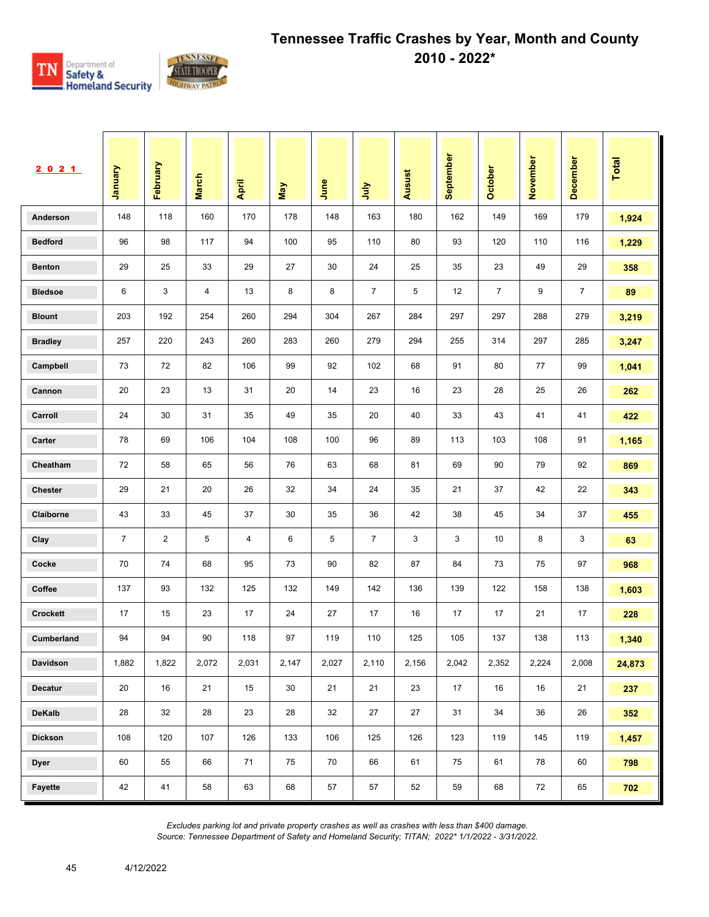

| 2021            | <b>January</b> | February       | <b>March</b> | April | <b>May</b> | June  | <b>July</b>    | Ausust | September | October        | November | December       | <b>Total</b> |
|-----------------|----------------|----------------|--------------|-------|------------|-------|----------------|--------|-----------|----------------|----------|----------------|--------------|
| Anderson        | 148            | 118            | 160          | 170   | 178        | 148   | 163            | 180    | 162       | 149            | 169      | 179            | 1,924        |
| <b>Bedford</b>  | 96             | 98             | 117          | 94    | 100        | 95    | 110            | 80     | 93        | 120            | 110      | 116            | 1,229        |
| <b>Benton</b>   | 29             | 25             | 33           | 29    | 27         | 30    | 24             | 25     | 35        | 23             | 49       | 29             | 358          |
| <b>Bledsoe</b>  | 6              | 3              | 4            | 13    | 8          | 8     | $\overline{7}$ | 5      | 12        | $\overline{7}$ | 9        | $\overline{7}$ | 89           |
| <b>Blount</b>   | 203            | 192            | 254          | 260   | 294        | 304   | 267            | 284    | 297       | 297            | 288      | 279            | 3,219        |
| <b>Bradley</b>  | 257            | 220            | 243          | 260   | 283        | 260   | 279            | 294    | 255       | 314            | 297      | 285            | 3,247        |
| Campbell        | 73             | 72             | 82           | 106   | 99         | 92    | 102            | 68     | 91        | 80             | 77       | 99             | 1,041        |
| Cannon          | 20             | 23             | 13           | 31    | 20         | 14    | 23             | 16     | 23        | 28             | 25       | 26             | 262          |
| Carroll         | 24             | 30             | 31           | 35    | 49         | 35    | 20             | 40     | 33        | 43             | 41       | 41             | 422          |
| Carter          | 78             | 69             | 106          | 104   | 108        | 100   | 96             | 89     | 113       | 103            | 108      | 91             | 1,165        |
| Cheatham        | 72             | 58             | 65           | 56    | 76         | 63    | 68             | 81     | 69        | 90             | 79       | 92             | 869          |
| <b>Chester</b>  | 29             | 21             | 20           | 26    | 32         | 34    | 24             | 35     | 21        | 37             | 42       | 22             | 343          |
| Claiborne       | 43             | 33             | 45           | 37    | 30         | 35    | 36             | 42     | 38        | 45             | 34       | 37             | 455          |
| Clay            | $\overline{7}$ | $\overline{2}$ | 5            | 4     | 6          | 5     | $\overline{7}$ | 3      | 3         | 10             | 8        | 3              | 63           |
| Cocke           | 70             | 74             | 68           | 95    | 73         | 90    | 82             | 87     | 84        | 73             | 75       | 97             | 968          |
| Coffee          | 137            | 93             | 132          | 125   | 132        | 149   | 142            | 136    | 139       | 122            | 158      | 138            | 1,603        |
| <b>Crockett</b> | 17             | 15             | 23           | 17    | 24         | 27    | 17             | 16     | 17        | 17             | 21       | 17             | 228          |
| Cumberland      | 94             | 94             | 90           | 118   | 97         | 119   | 110            | 125    | 105       | 137            | 138      | 113            | 1,340        |
| Davidson        | 1,882          | 1,822          | 2,072        | 2,031 | 2,147      | 2,027 | 2,110          | 2,156  | 2,042     | 2,352          | 2,224    | 2,008          | 24,873       |
| Decatur         | 20             | 16             | 21           | 15    | 30         | 21    | 21             | 23     | 17        | 16             | 16       | 21             | 237          |
| <b>DeKalb</b>   | 28             | 32             | 28           | 23    | 28         | 32    | 27             | 27     | 31        | 34             | 36       | 26             | 352          |
| <b>Dickson</b>  | 108            | 120            | 107          | 126   | 133        | 106   | 125            | 126    | 123       | 119            | 145      | 119            | 1,457        |
| <b>Dyer</b>     | 60             | 55             | 66           | 71    | 75         | 70    | 66             | 61     | 75        | 61             | 78       | 60             | 798          |
| Fayette         | 42             | 41             | 58           | 63    | 68         | 57    | 57             | 52     | 59        | 68             | 72       | 65             | 702          |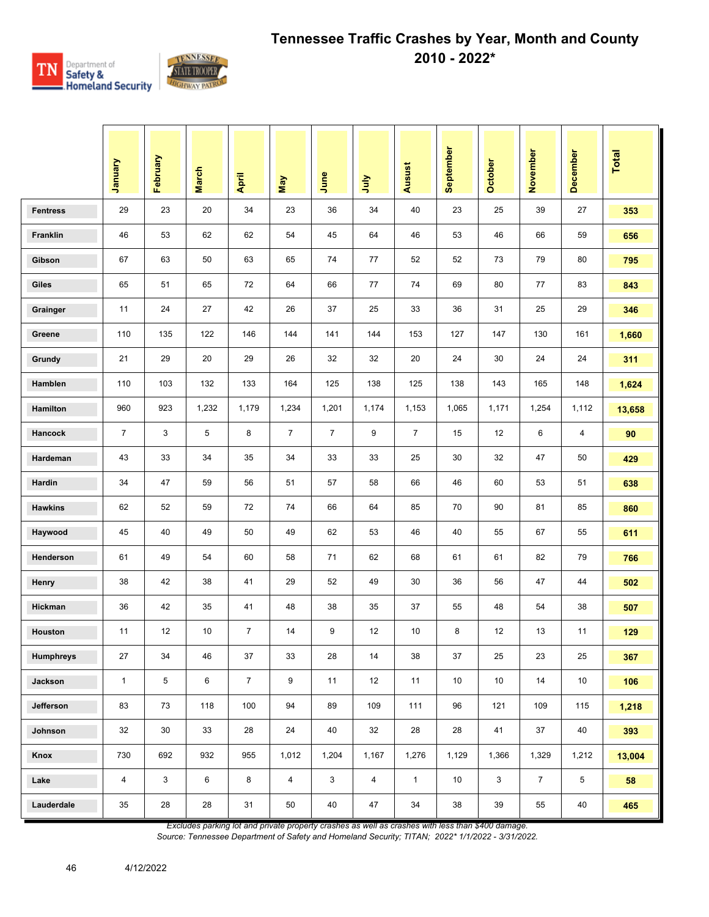

|                  | Vienuary       | February     | <b>March</b> | April          | May            | June           | July           | Ausust         | September | <b>October</b> | November       | <b>December</b> | Total  |
|------------------|----------------|--------------|--------------|----------------|----------------|----------------|----------------|----------------|-----------|----------------|----------------|-----------------|--------|
| <b>Fentress</b>  | 29             | 23           | 20           | 34             | 23             | 36             | 34             | 40             | 23        | 25             | 39             | 27              | 353    |
| Franklin         | 46             | 53           | 62           | 62             | 54             | 45             | 64             | 46             | 53        | 46             | 66             | 59              | 656    |
| Gibson           | 67             | 63           | 50           | 63             | 65             | 74             | 77             | 52             | 52        | 73             | 79             | 80              | 795    |
| <b>Giles</b>     | 65             | 51           | 65           | 72             | 64             | 66             | 77             | 74             | 69        | 80             | 77             | 83              | 843    |
| Grainger         | 11             | 24           | 27           | 42             | 26             | 37             | 25             | 33             | 36        | 31             | 25             | 29              | 346    |
| Greene           | 110            | 135          | 122          | 146            | 144            | 141            | 144            | 153            | 127       | 147            | 130            | 161             | 1,660  |
| Grundy           | 21             | 29           | 20           | 29             | 26             | 32             | 32             | 20             | 24        | 30             | 24             | 24              | 311    |
| Hamblen          | 110            | 103          | 132          | 133            | 164            | 125            | 138            | 125            | 138       | 143            | 165            | 148             | 1,624  |
| Hamilton         | 960            | 923          | 1,232        | 1,179          | 1,234          | 1,201          | 1,174          | 1,153          | 1,065     | 1,171          | 1,254          | 1,112           | 13,658 |
| Hancock          | $\overline{7}$ | 3            | 5            | 8              | $\overline{7}$ | $\overline{7}$ | 9              | $\overline{7}$ | 15        | 12             | 6              | 4               | 90     |
| Hardeman         | 43             | 33           | 34           | 35             | 34             | 33             | 33             | 25             | 30        | 32             | 47             | 50              | 429    |
| Hardin           | 34             | 47           | 59           | 56             | 51             | 57             | 58             | 66             | 46        | 60             | 53             | 51              | 638    |
| <b>Hawkins</b>   | 62             | 52           | 59           | 72             | 74             | 66             | 64             | 85             | 70        | 90             | 81             | 85              | 860    |
| Haywood          | 45             | 40           | 49           | 50             | 49             | 62             | 53             | 46             | 40        | 55             | 67             | 55              | 611    |
| Henderson        | 61             | 49           | 54           | 60             | 58             | 71             | 62             | 68             | 61        | 61             | 82             | 79              | 766    |
| <b>Henry</b>     | 38             | 42           | 38           | 41             | 29             | 52             | 49             | 30             | 36        | 56             | 47             | 44              | 502    |
| Hickman          | 36             | 42           | 35           | 41             | 48             | 38             | 35             | 37             | 55        | 48             | 54             | 38              | 507    |
| <b>Houston</b>   | 11             | 12           | 10           | $\overline{7}$ | 14             | 9              | 12             | 10             | 8         | 12             | 13             | 11              | 129    |
| <b>Humphreys</b> | 27             | 34           | 46           | 37             | 33             | 28             | 14             | 38             | 37        | 25             | 23             | 25              | 367    |
| Jackson          | $\mathbf{1}$   | 5            | 6            | 7 <sup>1</sup> | 9              | 11             | 12             | 11             | 10        | 10             | 14             | $10$            | 106    |
| Jefferson        | 83             | 73           | 118          | 100            | 94             | 89             | 109            | 111            | 96        | 121            | 109            | 115             | 1,218  |
| Johnson          | 32             | 30           | 33           | 28             | 24             | 40             | 32             | 28             | 28        | 41             | 37             | 40              | 393    |
| Knox             | 730            | 692          | 932          | 955            | 1,012          | 1,204          | 1,167          | 1,276          | 1,129     | 1,366          | 1,329          | 1,212           | 13,004 |
| Lake             | 4              | $\mathbf{3}$ | 6            | 8              | $\overline{4}$ | 3              | $\overline{4}$ | $\mathbf{1}$   | 10        | 3              | $\overline{7}$ | 5               | 58     |
| Lauderdale       | 35             | 28           | 28           | 31             | 50             | 40             | 47             | 34             | 38        | 39             | 55             | 40              | 465    |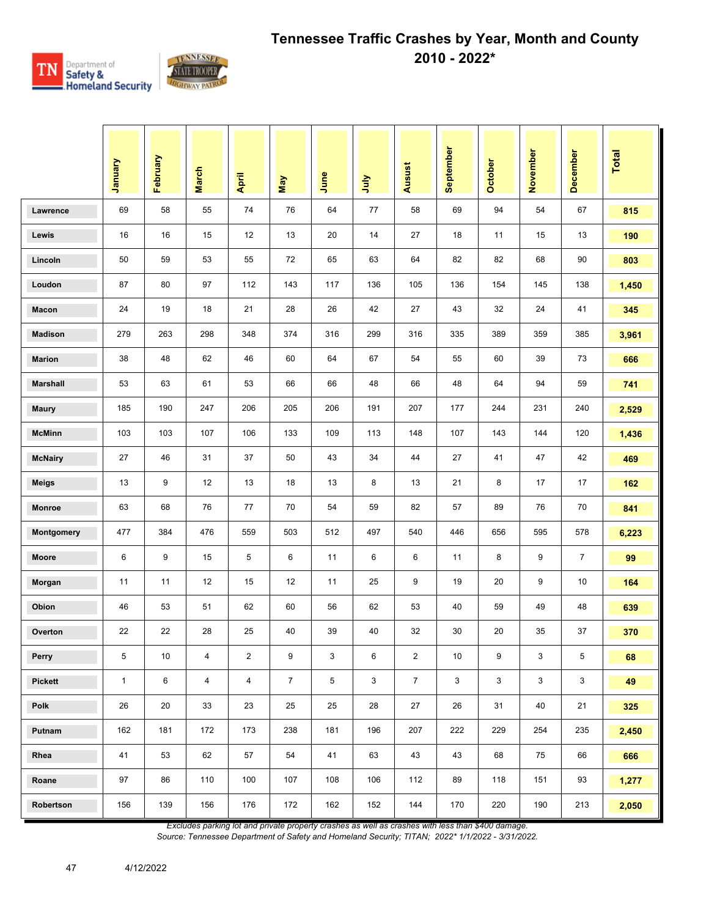

|                 | Vienuary     | February | <b>March</b>   | April                   | May            | June | ήnη | <b>Ausust</b>  | September | October | November | December       | Total |
|-----------------|--------------|----------|----------------|-------------------------|----------------|------|-----|----------------|-----------|---------|----------|----------------|-------|
| Lawrence        | 69           | 58       | 55             | 74                      | 76             | 64   | 77  | 58             | 69        | 94      | 54       | 67             | 815   |
| Lewis           | 16           | 16       | 15             | 12                      | 13             | 20   | 14  | 27             | 18        | 11      | 15       | 13             | 190   |
| Lincoln         | 50           | 59       | 53             | 55                      | 72             | 65   | 63  | 64             | 82        | 82      | 68       | 90             | 803   |
| Loudon          | 87           | 80       | 97             | 112                     | 143            | 117  | 136 | 105            | 136       | 154     | 145      | 138            | 1,450 |
| Macon           | 24           | 19       | 18             | 21                      | 28             | 26   | 42  | 27             | 43        | 32      | 24       | 41             | 345   |
| <b>Madison</b>  | 279          | 263      | 298            | 348                     | 374            | 316  | 299 | 316            | 335       | 389     | 359      | 385            | 3,961 |
| <b>Marion</b>   | 38           | 48       | 62             | 46                      | 60             | 64   | 67  | 54             | 55        | 60      | 39       | 73             | 666   |
| <b>Marshall</b> | 53           | 63       | 61             | 53                      | 66             | 66   | 48  | 66             | 48        | 64      | 94       | 59             | 741   |
| <b>Maury</b>    | 185          | 190      | 247            | 206                     | 205            | 206  | 191 | 207            | 177       | 244     | 231      | 240            | 2,529 |
| <b>McMinn</b>   | 103          | 103      | 107            | 106                     | 133            | 109  | 113 | 148            | 107       | 143     | 144      | 120            | 1,436 |
| <b>McNairy</b>  | 27           | 46       | 31             | 37                      | 50             | 43   | 34  | 44             | 27        | 41      | 47       | 42             | 469   |
| <b>Meigs</b>    | 13           | 9        | 12             | 13                      | 18             | 13   | 8   | 13             | 21        | 8       | 17       | 17             | 162   |
| <b>Monroe</b>   | 63           | 68       | 76             | 77                      | 70             | 54   | 59  | 82             | 57        | 89      | 76       | 70             | 841   |
| Montgomery      | 477          | 384      | 476            | 559                     | 503            | 512  | 497 | 540            | 446       | 656     | 595      | 578            | 6,223 |
| Moore           | 6            | 9        | 15             | 5                       | 6              | 11   | 6   | 6              | 11        | 8       | 9        | $\overline{7}$ | 99    |
| Morgan          | 11           | 11       | 12             | 15                      | 12             | 11   | 25  | 9              | 19        | 20      | 9        | 10             | 164   |
| Obion           | 46           | 53       | 51             | 62                      | 60             | 56   | 62  | 53             | 40        | 59      | 49       | 48             | 639   |
| Overton         | 22           | 22       | 28             | 25                      | 40             | 39   | 40  | 32             | 30        | 20      | 35       | 37             | 370   |
| Perry           | 5            | 10       | $\overline{4}$ | $\overline{\mathbf{c}}$ | 9              | 3    | 6   | $\sqrt{2}$     | 10        | 9       | 3        | $\,$ 5 $\,$    | 68    |
| <b>Pickett</b>  | $\mathbf{1}$ | $\,6$    | $\overline{4}$ | $\overline{4}$          | $\overline{7}$ | 5    | 3   | $\overline{7}$ | 3         | 3       | 3        | $\mathbf{3}$   | 49    |
| Polk            | 26           | 20       | 33             | 23                      | 25             | 25   | 28  | 27             | 26        | 31      | 40       | 21             | 325   |
| Putnam          | 162          | 181      | 172            | 173                     | 238            | 181  | 196 | 207            | 222       | 229     | 254      | 235            | 2,450 |
| Rhea            | 41           | 53       | 62             | 57                      | 54             | 41   | 63  | 43             | 43        | 68      | 75       | 66             | 666   |
| Roane           | 97           | 86       | 110            | 100                     | 107            | 108  | 106 | 112            | 89        | 118     | 151      | 93             | 1,277 |
| Robertson       | 156          | 139      | 156            | 176                     | 172            | 162  | 152 | 144            | 170       | 220     | 190      | 213            | 2,050 |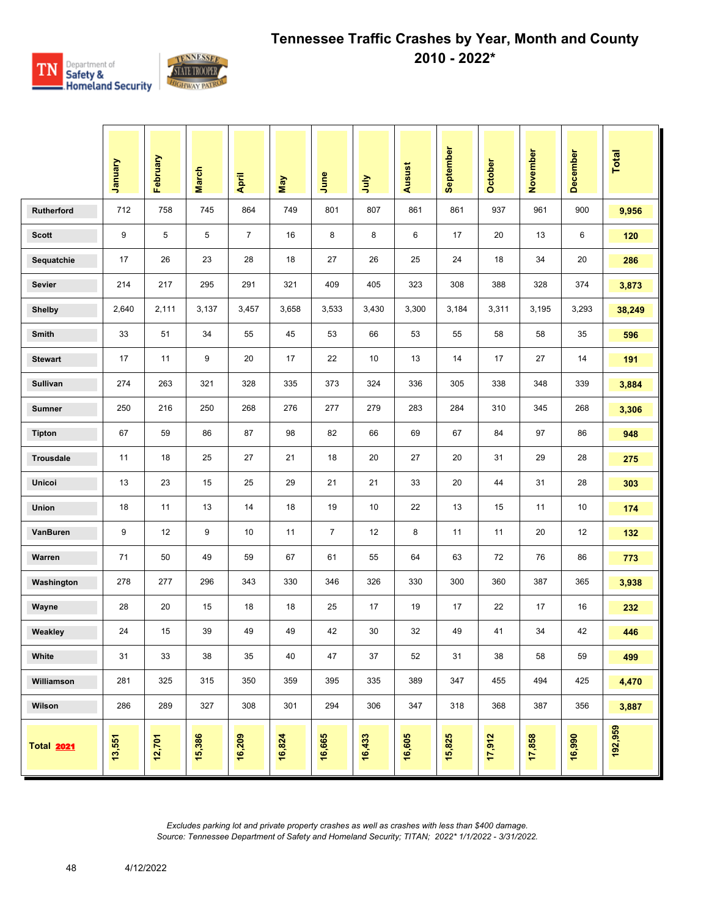

|                   | Vienuary | February | <b>March</b> | April          | May    | June           | <b>Surt</b> | <b>Ausust</b> | September | <b>October</b> | November | December | <b>Total</b> |
|-------------------|----------|----------|--------------|----------------|--------|----------------|-------------|---------------|-----------|----------------|----------|----------|--------------|
| <b>Rutherford</b> | 712      | 758      | 745          | 864            | 749    | 801            | 807         | 861           | 861       | 937            | 961      | 900      | 9,956        |
| <b>Scott</b>      | 9        | 5        | 5            | $\overline{7}$ | 16     | 8              | 8           | 6             | 17        | 20             | 13       | 6        | 120          |
| Sequatchie        | 17       | 26       | 23           | 28             | 18     | 27             | 26          | 25            | 24        | 18             | 34       | 20       | 286          |
| <b>Sevier</b>     | 214      | 217      | 295          | 291            | 321    | 409            | 405         | 323           | 308       | 388            | 328      | 374      | 3,873        |
| <b>Shelby</b>     | 2,640    | 2,111    | 3,137        | 3,457          | 3,658  | 3,533          | 3,430       | 3,300         | 3,184     | 3,311          | 3,195    | 3,293    | 38,249       |
| Smith             | 33       | 51       | 34           | 55             | 45     | 53             | 66          | 53            | 55        | 58             | 58       | 35       | 596          |
| <b>Stewart</b>    | 17       | 11       | 9            | 20             | 17     | 22             | 10          | 13            | 14        | 17             | 27       | 14       | 191          |
| Sullivan          | 274      | 263      | 321          | 328            | 335    | 373            | 324         | 336           | 305       | 338            | 348      | 339      | 3,884        |
| <b>Sumner</b>     | 250      | 216      | 250          | 268            | 276    | 277            | 279         | 283           | 284       | 310            | 345      | 268      | 3,306        |
| <b>Tipton</b>     | 67       | 59       | 86           | 87             | 98     | 82             | 66          | 69            | 67        | 84             | 97       | 86       | 948          |
| <b>Trousdale</b>  | 11       | 18       | 25           | 27             | 21     | 18             | 20          | 27            | 20        | 31             | 29       | 28       | 275          |
| Unicoi            | 13       | 23       | 15           | 25             | 29     | 21             | 21          | 33            | 20        | 44             | 31       | 28       | 303          |
| Union             | 18       | 11       | 13           | 14             | 18     | 19             | 10          | 22            | 13        | 15             | 11       | 10       | 174          |
| VanBuren          | 9        | 12       | 9            | 10             | 11     | $\overline{7}$ | 12          | 8             | 11        | 11             | 20       | 12       | 132          |
| Warren            | 71       | 50       | 49           | 59             | 67     | 61             | 55          | 64            | 63        | 72             | 76       | 86       | 773          |
| Washington        | 278      | 277      | 296          | 343            | 330    | 346            | 326         | 330           | 300       | 360            | 387      | 365      | 3,938        |
| Wayne             | 28       | 20       | 15           | 18             | 18     | 25             | 17          | 19            | 17        | 22             | 17       | 16       | 232          |
| Weakley           | 24       | 15       | 39           | 49             | 49     | 42             | 30          | 32            | 49        | 41             | 34       | 42       | 446          |
| White             | 31       | 33       | 38           | 35             | 40     | 47             | 37          | 52            | 31        | 38             | 58       | 59       | 499          |
| Williamson        | 281      | 325      | 315          | 350            | 359    | 395            | 335         | 389           | 347       | 455            | 494      | 425      | 4,470        |
| Wilson            | 286      | 289      | 327          | 308            | 301    | 294            | 306         | 347           | 318       | 368            | 387      | 356      | 3,887        |
| <b>Total 2021</b> | 13,551   | 12,701   | 15,386       | 16,209         | 16,824 | 16,665         | 16,433      | 16,605        | 15,825    | 17,912         | 17,858   | 16,990   | 192,959      |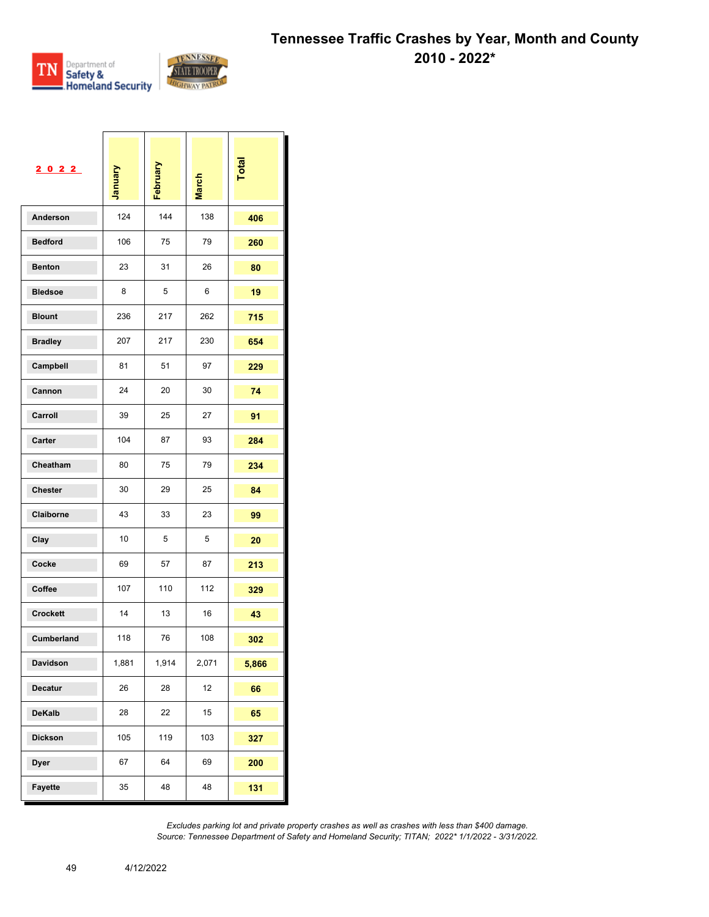

Τ

 $\mathbf{I}$ 

 $\mathbf{I}$ 

 $\Box$ 

| 2022              | January | February | <b>March</b> | Total |
|-------------------|---------|----------|--------------|-------|
| Anderson          | 124     | 144      | 138          | 406   |
| <b>Bedford</b>    | 106     | 75       | 79           | 260   |
| <b>Benton</b>     | 23      | 31       | 26           | 80    |
| <b>Bledsoe</b>    | 8       | 5        | 6            | 19    |
| <b>Blount</b>     | 236     | 217      | 262          | 715   |
| <b>Bradley</b>    | 207     | 217      | 230          | 654   |
| Campbell          | 81      | 51       | 97           | 229   |
| Cannon            | 24      | 20       | 30           | 74    |
| Carroll           | 39      | 25       | 27           | 91    |
| Carter            | 104     | 87       | 93           | 284   |
| Cheatham          | 80      | 75       | 79           | 234   |
| <b>Chester</b>    | 30      | 29       | 25           | 84    |
| Claiborne         | 43      | 33       | 23           | 99    |
| Clay              | 10      | 5        | 5            | 20    |
| Cocke             | 69      | 57       | 87           | 213   |
| Coffee            | 107     | 110      | 112          | 329   |
| <b>Crockett</b>   | 14      | 13       | 16           | 43    |
| <b>Cumberland</b> | 118     | 76       | 108          | 302   |
| Davidson          | 1,881   | 1,914    | 2,071        | 5,866 |
| <b>Decatur</b>    | 26      | 28       | 12           | 66    |
| <b>DeKalb</b>     | 28      | 22       | 15           | 65    |
| <b>Dickson</b>    | 105     | 119      | 103          | 327   |
| <b>Dyer</b>       | 67      | 64       | 69           | 200   |
| Fayette           | 35      | 48       | 48           | 131   |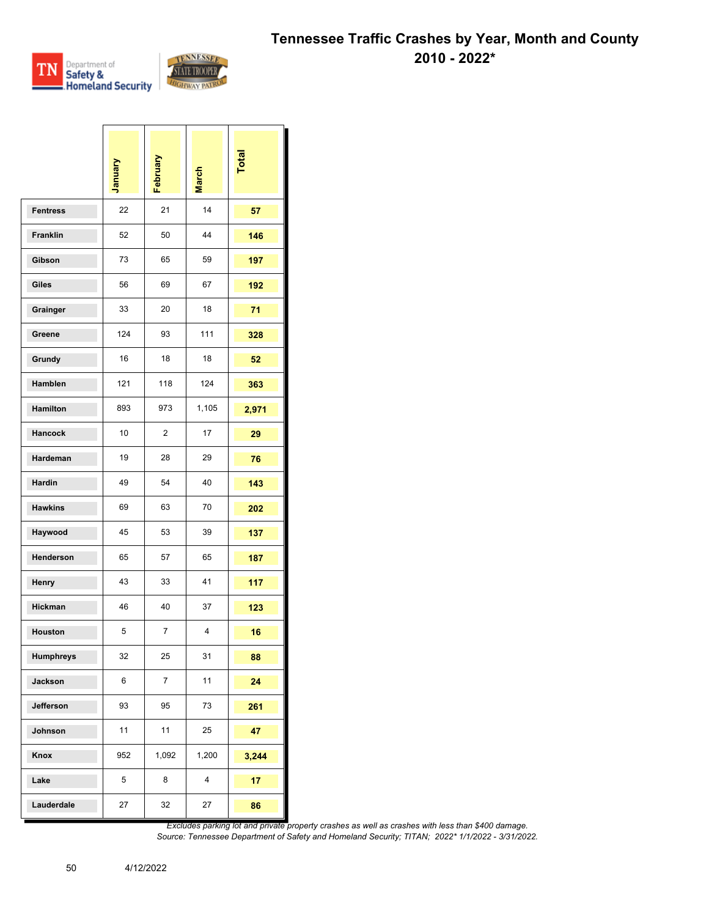

a sa ba

\_\_\_\_\_

`I

 $\sim$ 

|                 | Vienuary | February       | <b>March</b> | Total |
|-----------------|----------|----------------|--------------|-------|
| <b>Fentress</b> | 22       | 21             | 14           | 57    |
| Franklin        | 52       | 50             | 44           | 146   |
| Gibson          | 73       | 65             | 59           | 197   |
| Giles           | 56       | 69             | 67           | 192   |
| Grainger        | 33       | 20             | 18           | 71    |
| Greene          | 124      | 93             | 111          | 328   |
| Grundy          | 16       | 18             | 18           | 52    |
| Hamblen         | 121      | 118            | 124          | 363   |
| Hamilton        | 893      | 973            | 1,105        | 2,971 |
| Hancock         | 10       | $\overline{2}$ | 17           | 29    |
| Hardeman        | 19       | 28             | 29           | 76    |
| Hardin          | 49       | 54             | 40           | 143   |
| <b>Hawkins</b>  | 69       | 63             | 70           | 202   |
| Haywood         | 45       | 53             | 39           | 137   |
| Henderson       | 65       | 57             | 65           | 187   |
| Henry           | 43       | 33             | 41           | 117   |
| Hickman         | 46       | 40             | 37           | 123   |
| Houston         | 5        | 7              | 4            | 16    |
| Humphreys       | 32       | 25             | 31           | 88    |
| Jackson         | 6        | 7              | 11           | 24    |
| Jefferson       | 93       | 95             | 73           | 261   |
| Johnson         | 11       | 11             | 25           | 47    |
| Knox            | 952      | 1,092          | 1,200        | 3,244 |
| Lake            | 5        | 8              | 4            | 17    |
| Lauderdale      | 27       | 32             | 27           | 86    |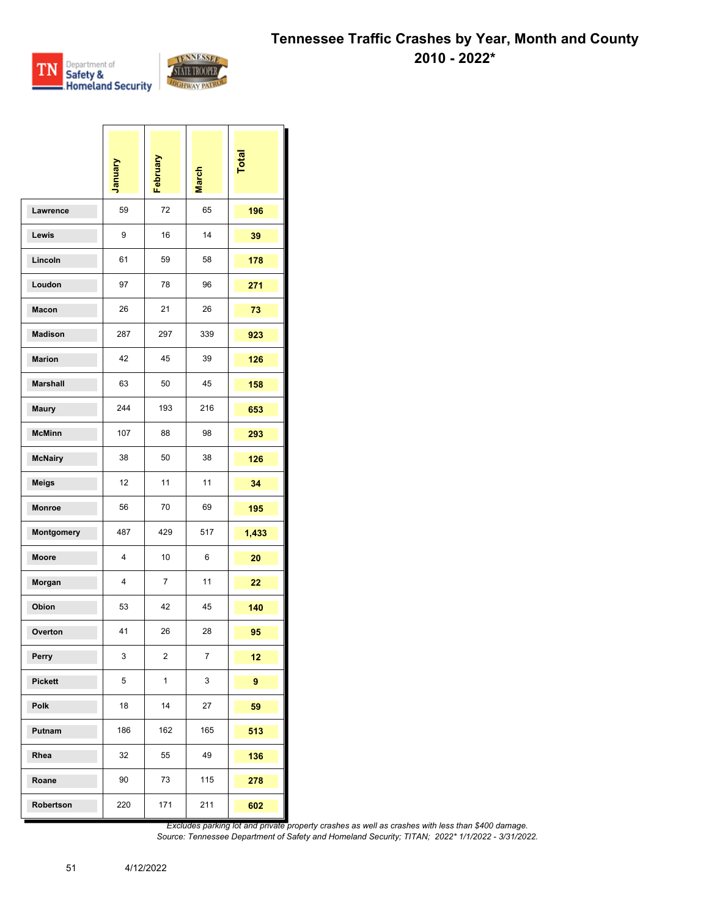

 $\mathbf{I}$ 

 $\overline{1}$ 

 $\overline{1}$ 

h

 $\overline{ }$ 

|                 | <b>January</b> | February       | <b>March</b>   | Total |
|-----------------|----------------|----------------|----------------|-------|
| Lawrence        | 59             | 72             | 65             | 196   |
| Lewis           | 9              | 16             | 14             | 39    |
| Lincoln         | 61             | 59             | 58             | 178   |
| Loudon          | 97             | 78             | 96             | 271   |
| Macon           | 26             | 21             | 26             | 73    |
| <b>Madison</b>  | 287            | 297            | 339            | 923   |
| <b>Marion</b>   | 42             | 45             | 39             | 126   |
| <b>Marshall</b> | 63             | 50             | 45             | 158   |
| <b>Maury</b>    | 244            | 193            | 216            | 653   |
| <b>McMinn</b>   | 107            | 88             | 98             | 293   |
| <b>McNairy</b>  | 38             | 50             | 38             | 126   |
| Meigs           | 12             | 11             | 11             | 34    |
| Monroe          | 56             | 70             | 69             | 195   |
| Montgomery      | 487            | 429            | 517            | 1,433 |
| <b>Moore</b>    | 4              | 10             | 6              | 20    |
| Morgan          | 4              | $\overline{7}$ | 11             | 22    |
| Obion           | 53             | 42             | 45             | 140   |
| Overton         | 41             | 26             | 28             | 95    |
| Perry           | 3              | $\overline{2}$ | $\overline{7}$ | 12    |
| <b>Pickett</b>  | $\,$ 5 $\,$    | $\mathbf{1}$   | 3              | 9     |
| Polk            | 18             | 14             | 27             | 59    |
| Putnam          | 186            | 162            | 165            | 513   |
| Rhea            | 32             | 55             | 49             | 136   |
| Roane           | 90             | 73             | 115            | 278   |
| Robertson       | 220            | 171            | 211            | 602   |